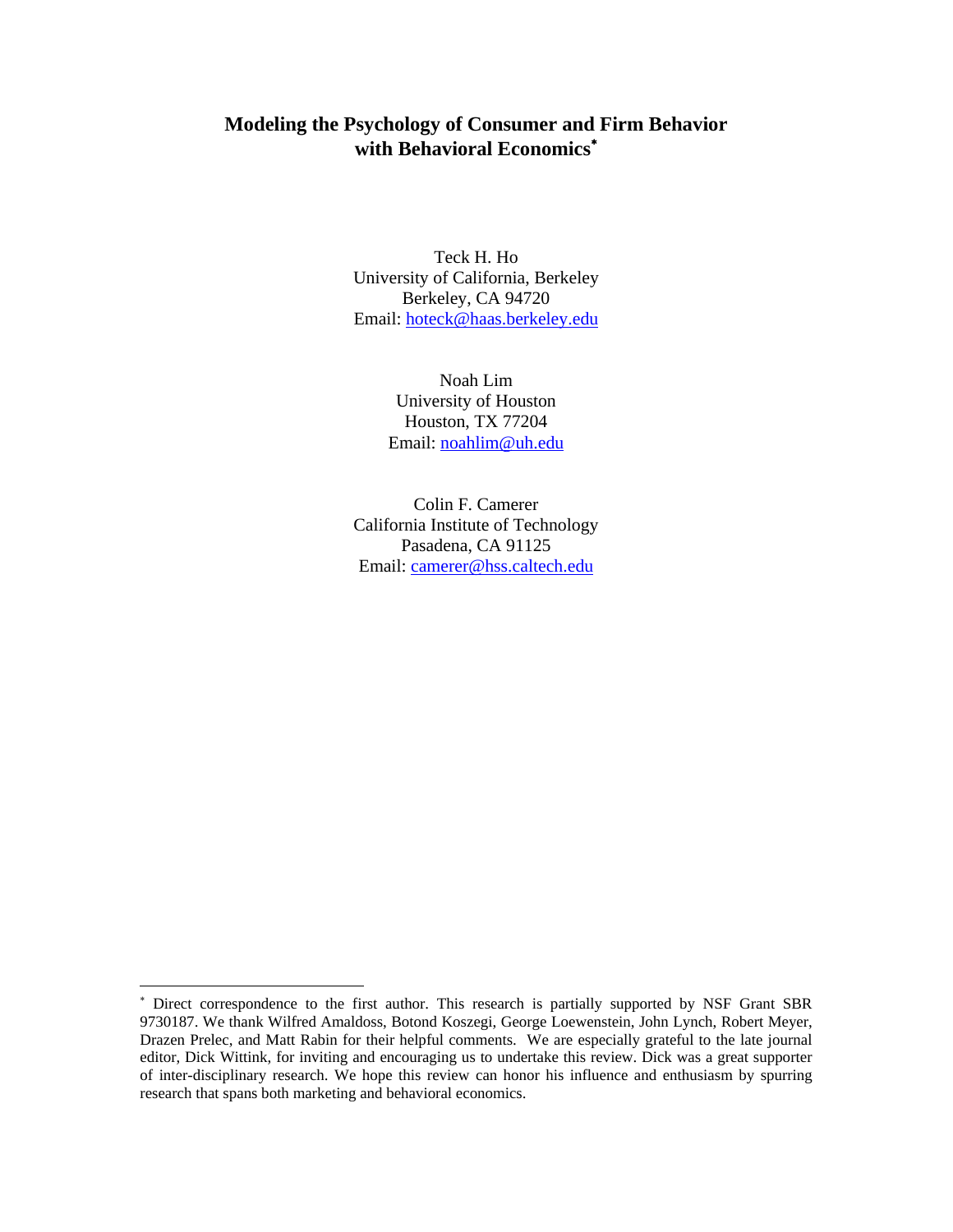# **Modeling the Psychology of Consumer and Firm Behavior with Behavioral Economics**<sup>∗</sup>

Teck H. Ho University of California, Berkeley Berkeley, CA 94720 Email: hoteck@haas.berkeley.edu

> Noah Lim University of Houston Houston, TX 77204 Email: noahlim@uh.edu

Colin F. Camerer California Institute of Technology Pasadena, CA 91125 Email: camerer@hss.caltech.edu

 $\overline{\phantom{a}}$ 

<sup>∗</sup> Direct correspondence to the first author. This research is partially supported by NSF Grant SBR 9730187. We thank Wilfred Amaldoss, Botond Koszegi, George Loewenstein, John Lynch, Robert Meyer, Drazen Prelec, and Matt Rabin for their helpful comments. We are especially grateful to the late journal editor, Dick Wittink, for inviting and encouraging us to undertake this review. Dick was a great supporter of inter-disciplinary research. We hope this review can honor his influence and enthusiasm by spurring research that spans both marketing and behavioral economics.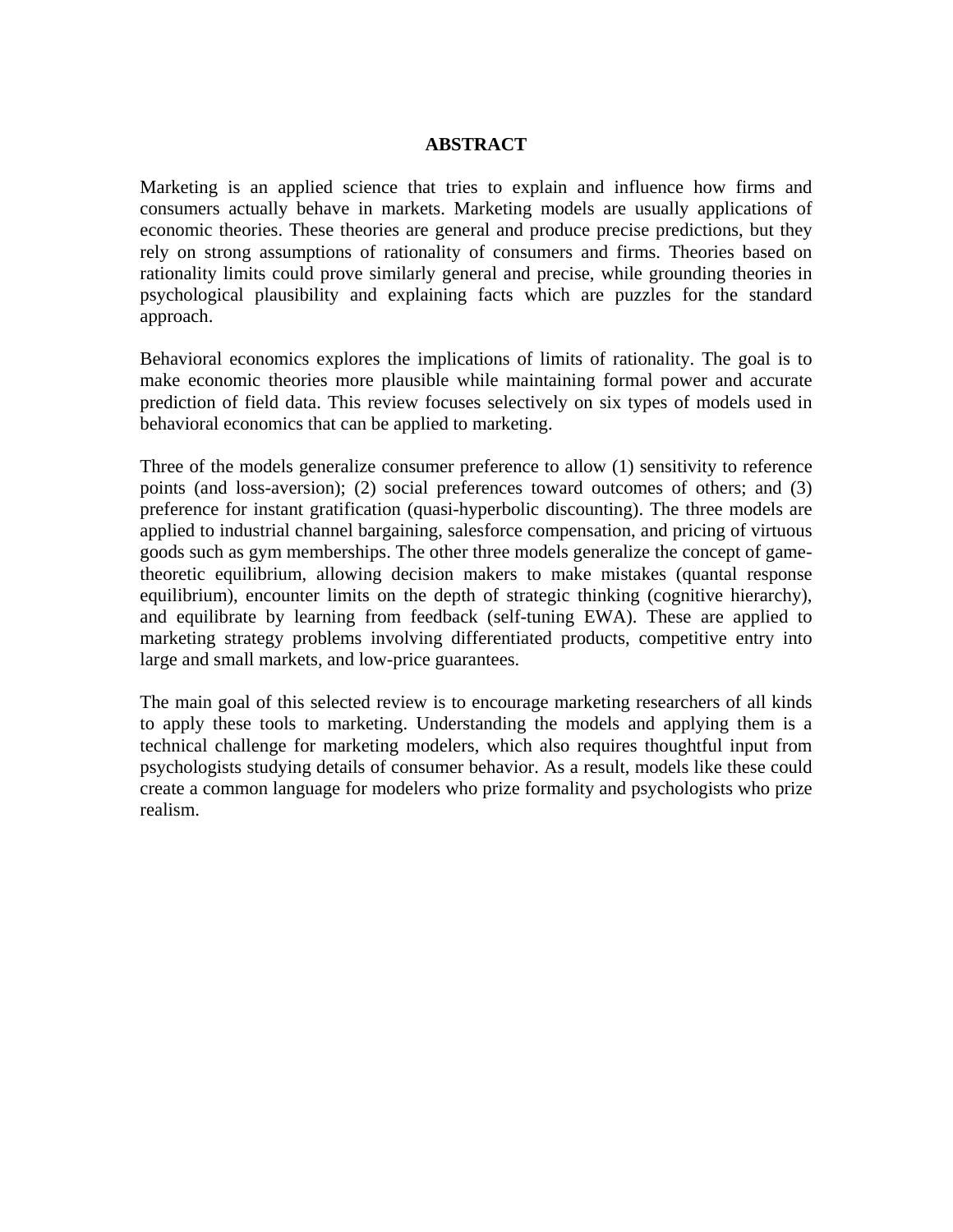## **ABSTRACT**

Marketing is an applied science that tries to explain and influence how firms and consumers actually behave in markets. Marketing models are usually applications of economic theories. These theories are general and produce precise predictions, but they rely on strong assumptions of rationality of consumers and firms. Theories based on rationality limits could prove similarly general and precise, while grounding theories in psychological plausibility and explaining facts which are puzzles for the standard approach.

Behavioral economics explores the implications of limits of rationality. The goal is to make economic theories more plausible while maintaining formal power and accurate prediction of field data. This review focuses selectively on six types of models used in behavioral economics that can be applied to marketing.

Three of the models generalize consumer preference to allow (1) sensitivity to reference points (and loss-aversion); (2) social preferences toward outcomes of others; and (3) preference for instant gratification (quasi-hyperbolic discounting). The three models are applied to industrial channel bargaining, salesforce compensation, and pricing of virtuous goods such as gym memberships. The other three models generalize the concept of gametheoretic equilibrium, allowing decision makers to make mistakes (quantal response equilibrium), encounter limits on the depth of strategic thinking (cognitive hierarchy), and equilibrate by learning from feedback (self-tuning EWA). These are applied to marketing strategy problems involving differentiated products, competitive entry into large and small markets, and low-price guarantees.

The main goal of this selected review is to encourage marketing researchers of all kinds to apply these tools to marketing. Understanding the models and applying them is a technical challenge for marketing modelers, which also requires thoughtful input from psychologists studying details of consumer behavior. As a result, models like these could create a common language for modelers who prize formality and psychologists who prize realism.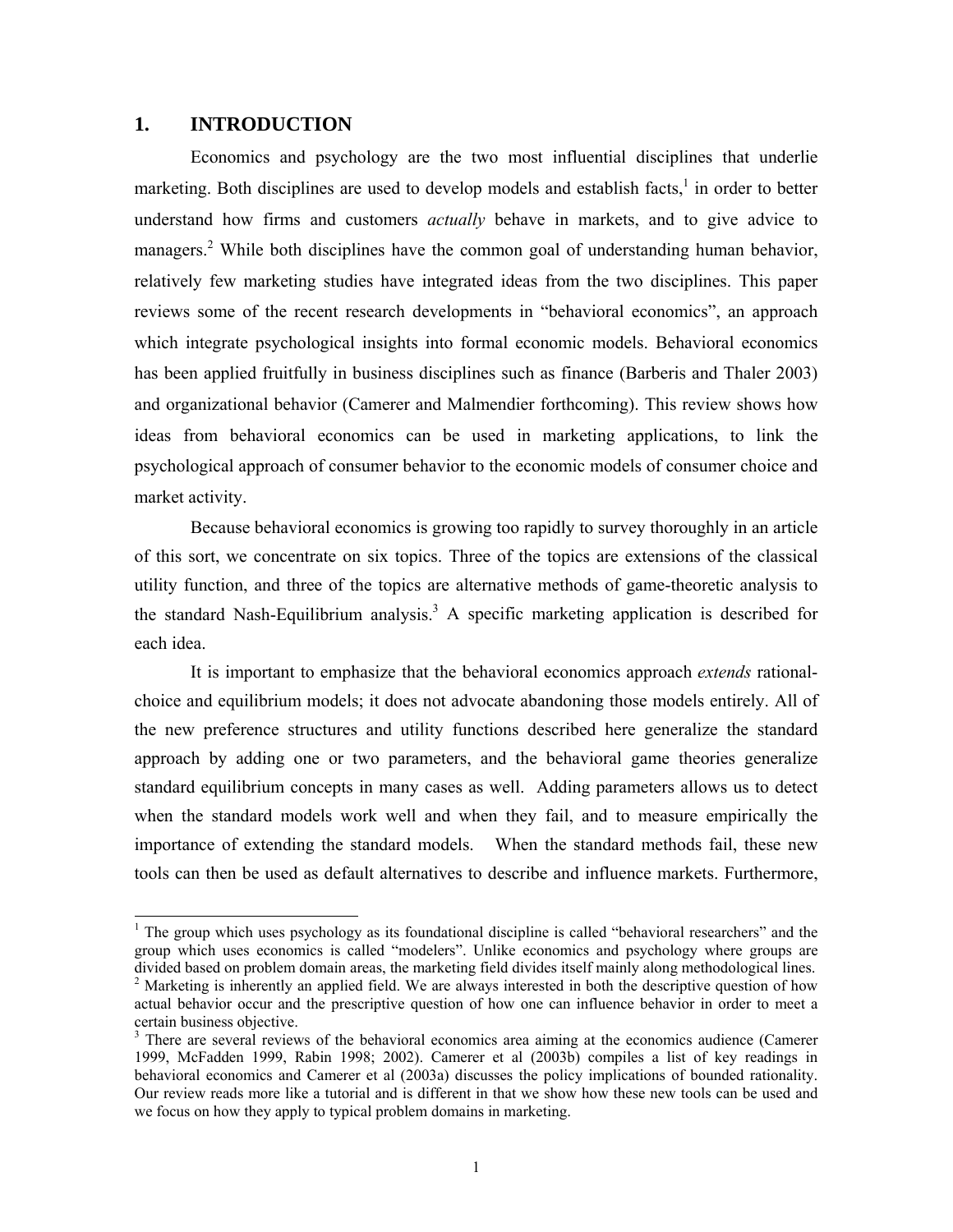## **1. INTRODUCTION**

l

Economics and psychology are the two most influential disciplines that underlie marketing. Both disciplines are used to develop models and establish facts, $\frac{1}{1}$  in order to better understand how firms and customers *actually* behave in markets, and to give advice to managers.<sup>2</sup> While both disciplines have the common goal of understanding human behavior, relatively few marketing studies have integrated ideas from the two disciplines. This paper reviews some of the recent research developments in "behavioral economics", an approach which integrate psychological insights into formal economic models. Behavioral economics has been applied fruitfully in business disciplines such as finance (Barberis and Thaler 2003) and organizational behavior (Camerer and Malmendier forthcoming). This review shows how ideas from behavioral economics can be used in marketing applications, to link the psychological approach of consumer behavior to the economic models of consumer choice and market activity.

 Because behavioral economics is growing too rapidly to survey thoroughly in an article of this sort, we concentrate on six topics. Three of the topics are extensions of the classical utility function, and three of the topics are alternative methods of game-theoretic analysis to the standard Nash-Equilibrium analysis.<sup>3</sup> A specific marketing application is described for each idea.

It is important to emphasize that the behavioral economics approach *extends* rationalchoice and equilibrium models; it does not advocate abandoning those models entirely. All of the new preference structures and utility functions described here generalize the standard approach by adding one or two parameters, and the behavioral game theories generalize standard equilibrium concepts in many cases as well. Adding parameters allows us to detect when the standard models work well and when they fail, and to measure empirically the importance of extending the standard models. When the standard methods fail, these new tools can then be used as default alternatives to describe and influence markets. Furthermore,

<sup>&</sup>lt;sup>1</sup> The group which uses psychology as its foundational discipline is called "behavioral researchers" and the group which uses economics is called "modelers". Unlike economics and psychology where groups are divided based on problem domain areas, the marketing field divides itself mainly along methodological lines. <sup>2</sup> Marketing is inherently an applied field. We are always interested in both the descriptive question of how actual behavior occur and the prescriptive question of how one can influence behavior in order to meet a certain business objective.

<sup>&</sup>lt;sup>3</sup> There are several reviews of the behavioral economics area aiming at the economics audience (Camerer 1999, McFadden 1999, Rabin 1998; 2002). Camerer et al (2003b) compiles a list of key readings in behavioral economics and Camerer et al (2003a) discusses the policy implications of bounded rationality. Our review reads more like a tutorial and is different in that we show how these new tools can be used and we focus on how they apply to typical problem domains in marketing.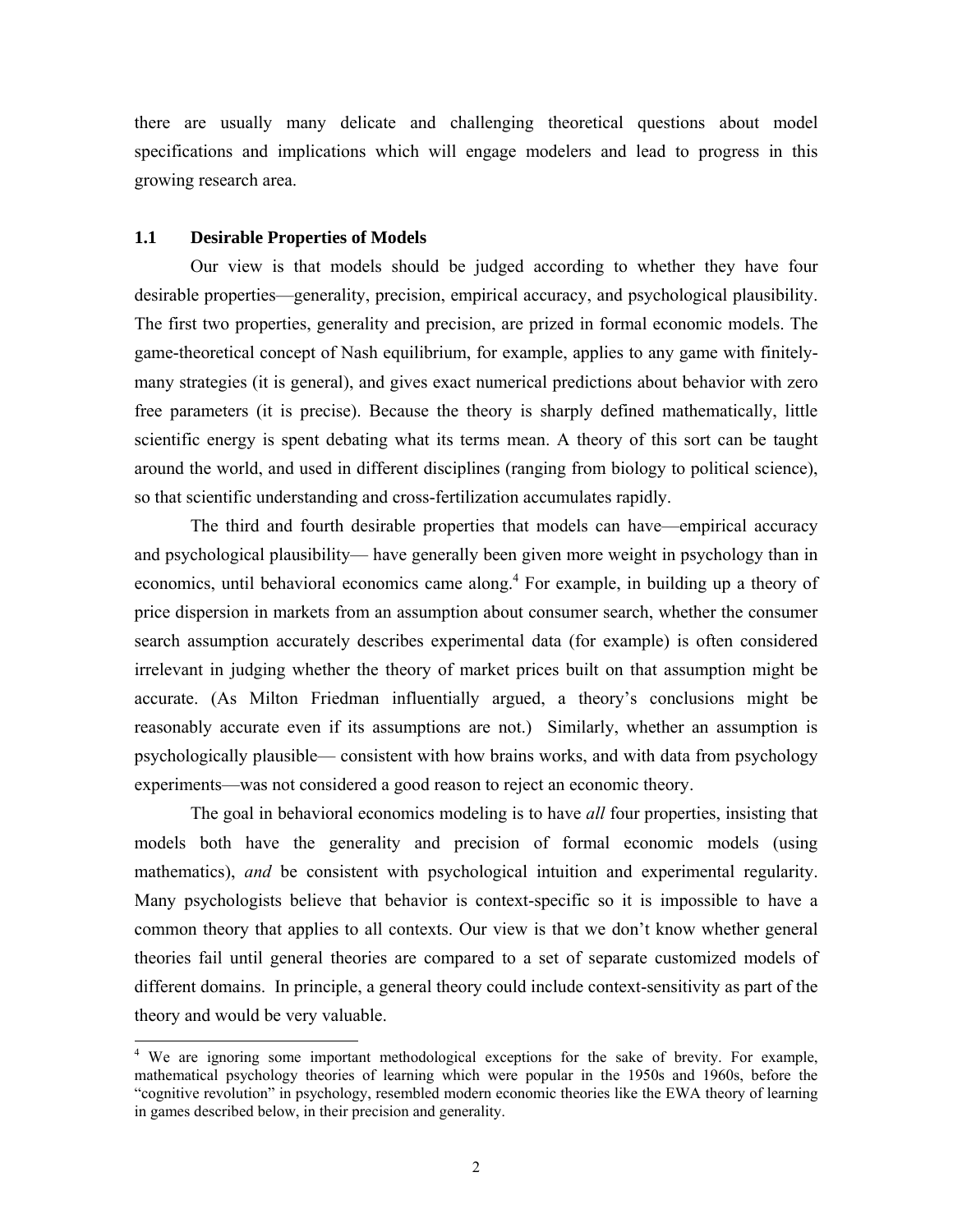there are usually many delicate and challenging theoretical questions about model specifications and implications which will engage modelers and lead to progress in this growing research area.

### **1.1 Desirable Properties of Models**

l

Our view is that models should be judged according to whether they have four desirable properties—generality, precision, empirical accuracy, and psychological plausibility. The first two properties, generality and precision, are prized in formal economic models. The game-theoretical concept of Nash equilibrium, for example, applies to any game with finitelymany strategies (it is general), and gives exact numerical predictions about behavior with zero free parameters (it is precise). Because the theory is sharply defined mathematically, little scientific energy is spent debating what its terms mean. A theory of this sort can be taught around the world, and used in different disciplines (ranging from biology to political science), so that scientific understanding and cross-fertilization accumulates rapidly.

 The third and fourth desirable properties that models can have—empirical accuracy and psychological plausibility— have generally been given more weight in psychology than in economics, until behavioral economics came along.<sup>4</sup> For example, in building up a theory of price dispersion in markets from an assumption about consumer search, whether the consumer search assumption accurately describes experimental data (for example) is often considered irrelevant in judging whether the theory of market prices built on that assumption might be accurate. (As Milton Friedman influentially argued, a theory's conclusions might be reasonably accurate even if its assumptions are not.) Similarly, whether an assumption is psychologically plausible— consistent with how brains works, and with data from psychology experiments—was not considered a good reason to reject an economic theory.

The goal in behavioral economics modeling is to have *all* four properties, insisting that models both have the generality and precision of formal economic models (using mathematics), *and* be consistent with psychological intuition and experimental regularity. Many psychologists believe that behavior is context-specific so it is impossible to have a common theory that applies to all contexts. Our view is that we don't know whether general theories fail until general theories are compared to a set of separate customized models of different domains. In principle, a general theory could include context-sensitivity as part of the theory and would be very valuable.

<sup>&</sup>lt;sup>4</sup> We are ignoring some important methodological exceptions for the sake of brevity. For example, mathematical psychology theories of learning which were popular in the 1950s and 1960s, before the "cognitive revolution" in psychology, resembled modern economic theories like the EWA theory of learning in games described below, in their precision and generality.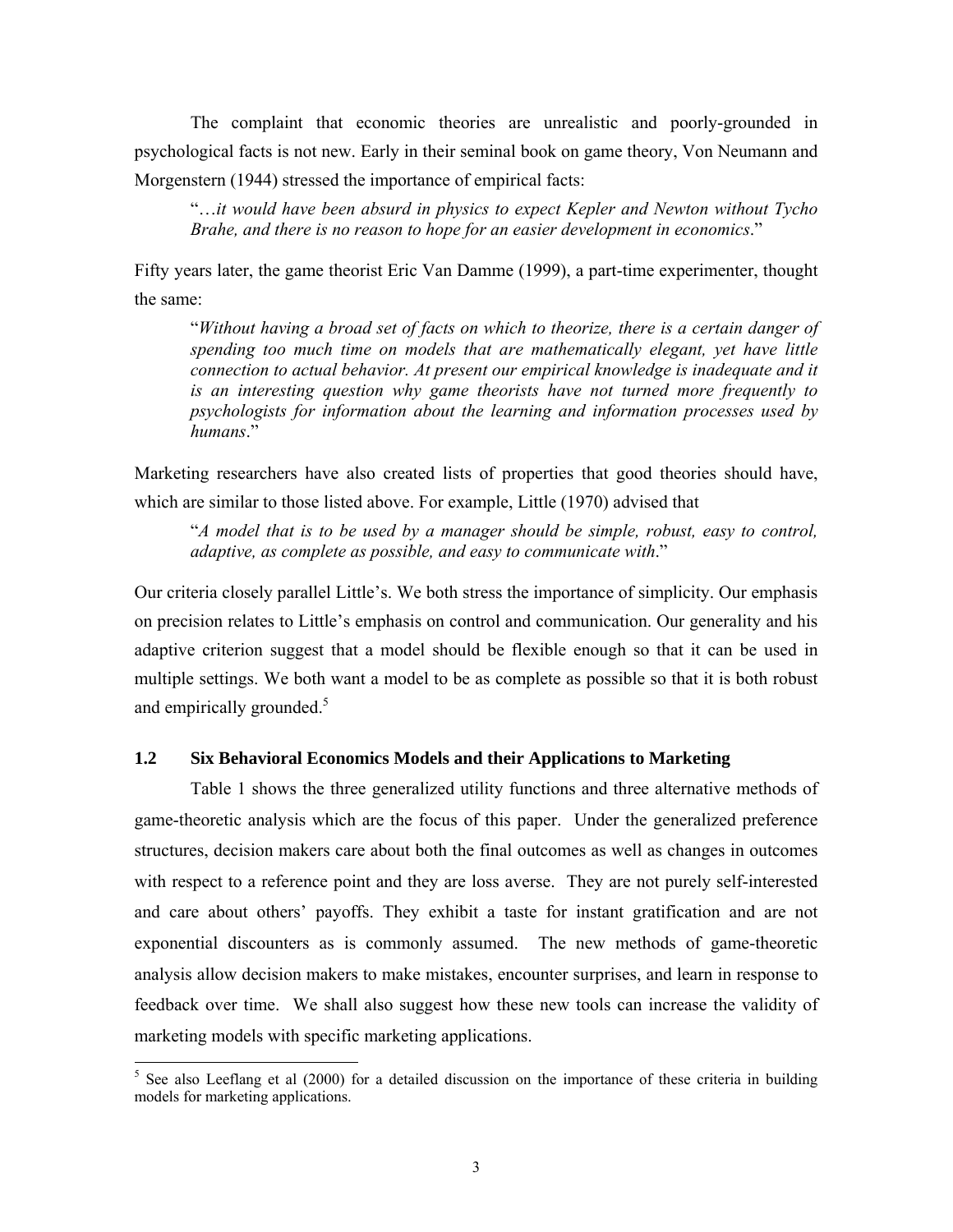The complaint that economic theories are unrealistic and poorly-grounded in psychological facts is not new. Early in their seminal book on game theory, Von Neumann and Morgenstern (1944) stressed the importance of empirical facts:

"…*it would have been absurd in physics to expect Kepler and Newton without Tycho Brahe, and there is no reason to hope for an easier development in economics*."

Fifty years later, the game theorist Eric Van Damme (1999), a part-time experimenter, thought the same:

"*Without having a broad set of facts on which to theorize, there is a certain danger of spending too much time on models that are mathematically elegant, yet have little connection to actual behavior. At present our empirical knowledge is inadequate and it is an interesting question why game theorists have not turned more frequently to psychologists for information about the learning and information processes used by humans*."

Marketing researchers have also created lists of properties that good theories should have, which are similar to those listed above. For example, Little (1970) advised that

"*A model that is to be used by a manager should be simple, robust, easy to control, adaptive, as complete as possible, and easy to communicate with*."

Our criteria closely parallel Little's. We both stress the importance of simplicity. Our emphasis on precision relates to Little's emphasis on control and communication. Our generality and his adaptive criterion suggest that a model should be flexible enough so that it can be used in multiple settings. We both want a model to be as complete as possible so that it is both robust and empirically grounded.<sup>5</sup>

### **1.2 Six Behavioral Economics Models and their Applications to Marketing**

Table 1 shows the three generalized utility functions and three alternative methods of game-theoretic analysis which are the focus of this paper. Under the generalized preference structures, decision makers care about both the final outcomes as well as changes in outcomes with respect to a reference point and they are loss averse. They are not purely self-interested and care about others' payoffs. They exhibit a taste for instant gratification and are not exponential discounters as is commonly assumed. The new methods of game-theoretic analysis allow decision makers to make mistakes, encounter surprises, and learn in response to feedback over time. We shall also suggest how these new tools can increase the validity of marketing models with specific marketing applications.

<sup>&</sup>lt;sup>5</sup> See also Leeflang et al (2000) for a detailed discussion on the importance of these criteria in building models for marketing applications.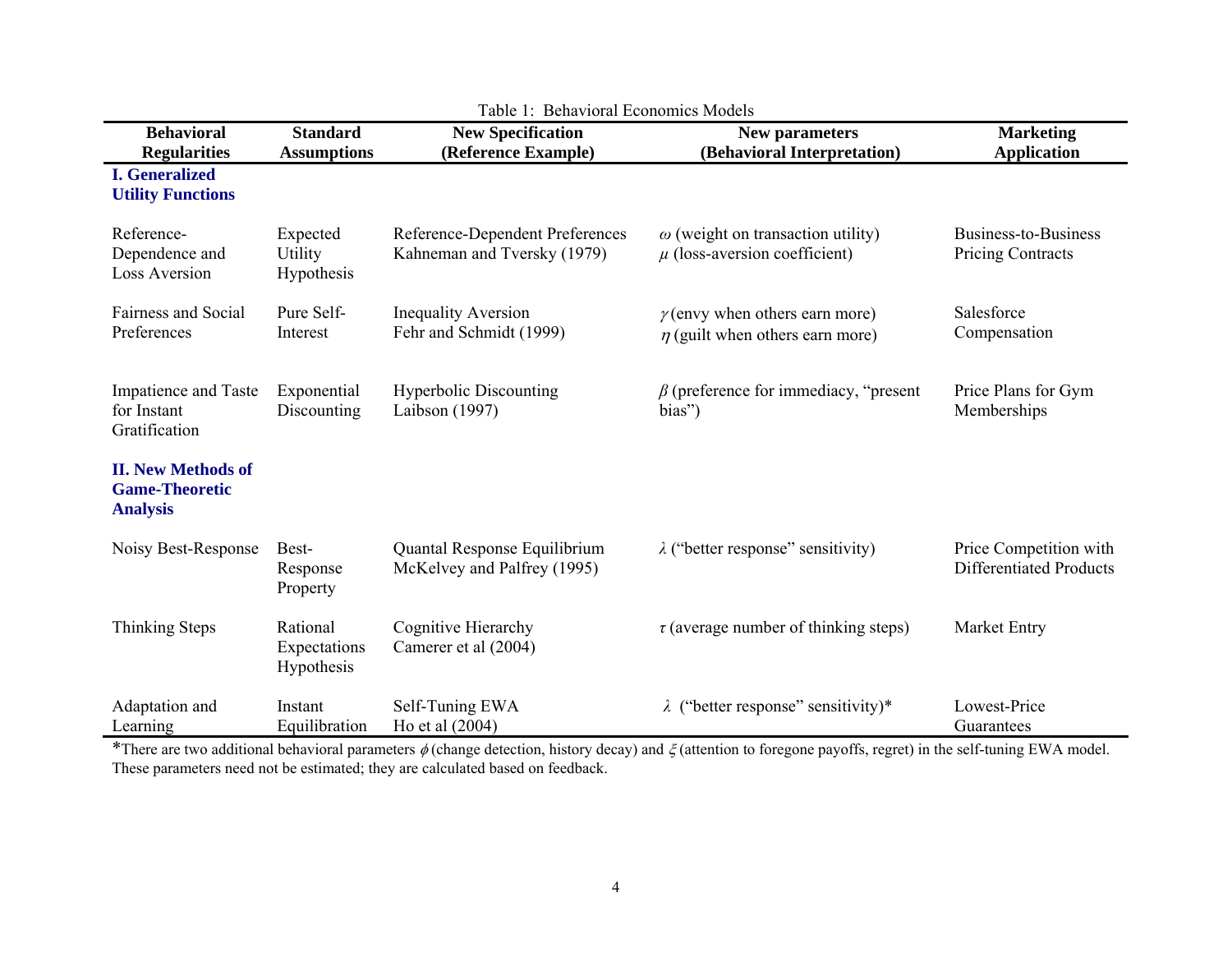| <b>Behavioral</b>                                                     | <b>Standard</b>                          | <b>New Specification</b>                                       | <b>New parameters</b>                                                         | <b>Marketing</b>                                         |
|-----------------------------------------------------------------------|------------------------------------------|----------------------------------------------------------------|-------------------------------------------------------------------------------|----------------------------------------------------------|
| <b>Regularities</b>                                                   | <b>Assumptions</b>                       | (Reference Example)                                            | (Behavioral Interpretation)                                                   | <b>Application</b>                                       |
| <b>I.</b> Generalized<br><b>Utility Functions</b>                     |                                          |                                                                |                                                                               |                                                          |
| Reference-<br>Dependence and<br><b>Loss Aversion</b>                  | Expected<br><b>Utility</b><br>Hypothesis | Reference-Dependent Preferences<br>Kahneman and Tversky (1979) | $\omega$ (weight on transaction utility)<br>$\mu$ (loss-aversion coefficient) | Business-to-Business<br><b>Pricing Contracts</b>         |
| Fairness and Social<br>Preferences                                    | Pure Self-<br>Interest                   | <b>Inequality Aversion</b><br>Fehr and Schmidt (1999)          | $\gamma$ (envy when others earn more)<br>$\eta$ (guilt when others earn more) | Salesforce<br>Compensation                               |
| Impatience and Taste<br>for Instant<br>Gratification                  | Exponential<br>Discounting               | <b>Hyperbolic Discounting</b><br>Laibson (1997)                | $\beta$ (preference for immediacy, "present"<br>bias")                        | Price Plans for Gym<br>Memberships                       |
| <b>II. New Methods of</b><br><b>Game-Theoretic</b><br><b>Analysis</b> |                                          |                                                                |                                                                               |                                                          |
| Noisy Best-Response                                                   | Best-<br>Response<br>Property            | Quantal Response Equilibrium<br>McKelvey and Palfrey (1995)    | $\lambda$ ("better response" sensitivity)                                     | Price Competition with<br><b>Differentiated Products</b> |
| Thinking Steps                                                        | Rational<br>Expectations<br>Hypothesis   | Cognitive Hierarchy<br>Camerer et al (2004)                    | $\tau$ (average number of thinking steps)                                     | Market Entry                                             |
| Adaptation and<br>Learning                                            | Instant<br>Equilibration                 | Self-Tuning EWA<br>Ho et al (2004)                             | $\lambda$ ("better response" sensitivity)*                                    | Lowest-Price<br>Guarantees                               |

Table 1: Behavioral Economics Models

\*There are two additional behavioral parameters  $\phi$  (change detection, history decay) and  $\xi$  (attention to foregone payoffs, regret) in the self-tuning EWA model. These parameters need not be estimated; they are calculated based on feedback.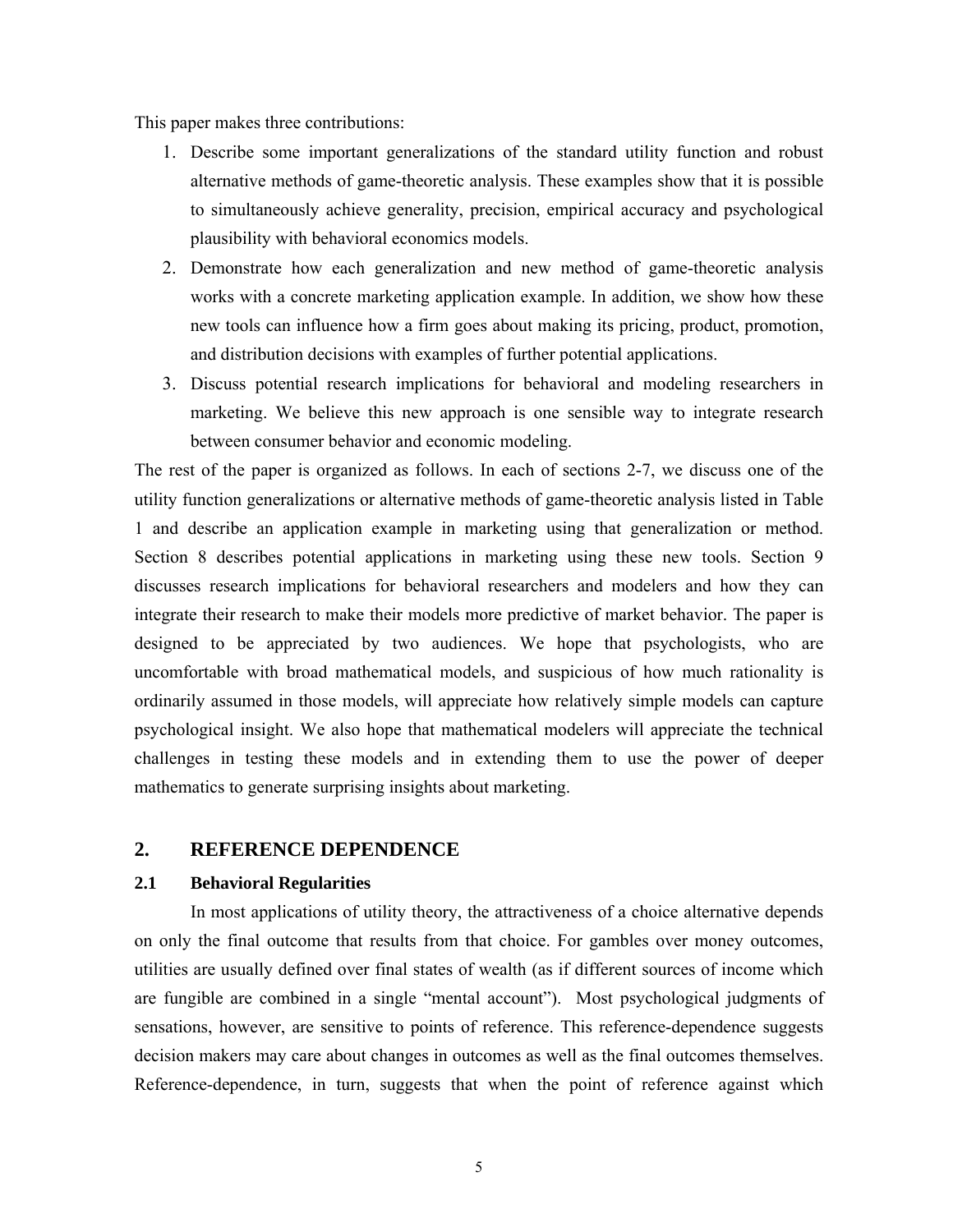This paper makes three contributions:

- 1. Describe some important generalizations of the standard utility function and robust alternative methods of game-theoretic analysis. These examples show that it is possible to simultaneously achieve generality, precision, empirical accuracy and psychological plausibility with behavioral economics models.
- 2. Demonstrate how each generalization and new method of game-theoretic analysis works with a concrete marketing application example. In addition, we show how these new tools can influence how a firm goes about making its pricing, product, promotion, and distribution decisions with examples of further potential applications.
- 3. Discuss potential research implications for behavioral and modeling researchers in marketing. We believe this new approach is one sensible way to integrate research between consumer behavior and economic modeling.

The rest of the paper is organized as follows. In each of sections 2-7, we discuss one of the utility function generalizations or alternative methods of game-theoretic analysis listed in Table 1 and describe an application example in marketing using that generalization or method. Section 8 describes potential applications in marketing using these new tools. Section 9 discusses research implications for behavioral researchers and modelers and how they can integrate their research to make their models more predictive of market behavior. The paper is designed to be appreciated by two audiences. We hope that psychologists, who are uncomfortable with broad mathematical models, and suspicious of how much rationality is ordinarily assumed in those models, will appreciate how relatively simple models can capture psychological insight. We also hope that mathematical modelers will appreciate the technical challenges in testing these models and in extending them to use the power of deeper mathematics to generate surprising insights about marketing.

## **2. REFERENCE DEPENDENCE**

## **2.1 Behavioral Regularities**

In most applications of utility theory, the attractiveness of a choice alternative depends on only the final outcome that results from that choice. For gambles over money outcomes, utilities are usually defined over final states of wealth (as if different sources of income which are fungible are combined in a single "mental account"). Most psychological judgments of sensations, however, are sensitive to points of reference. This reference-dependence suggests decision makers may care about changes in outcomes as well as the final outcomes themselves. Reference-dependence, in turn, suggests that when the point of reference against which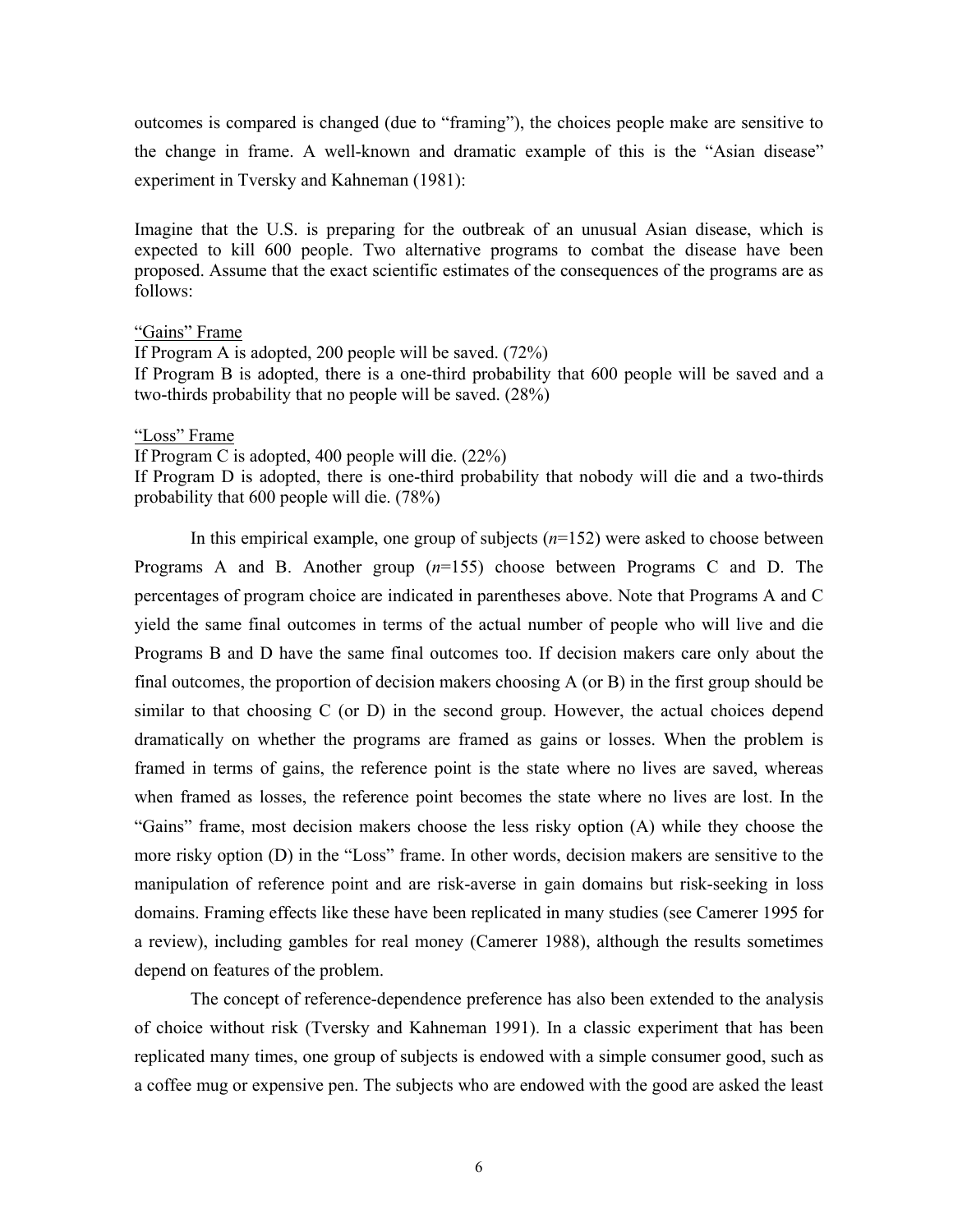outcomes is compared is changed (due to "framing"), the choices people make are sensitive to the change in frame. A well-known and dramatic example of this is the "Asian disease" experiment in Tversky and Kahneman (1981):

Imagine that the U.S. is preparing for the outbreak of an unusual Asian disease, which is expected to kill 600 people. Two alternative programs to combat the disease have been proposed. Assume that the exact scientific estimates of the consequences of the programs are as follows:

### "Gains" Frame

If Program A is adopted, 200 people will be saved. (72%) If Program B is adopted, there is a one-third probability that 600 people will be saved and a two-thirds probability that no people will be saved. (28%)

### "Loss" Frame

If Program C is adopted, 400 people will die. (22%)

If Program D is adopted, there is one-third probability that nobody will die and a two-thirds probability that 600 people will die. (78%)

In this empirical example, one group of subjects (*n*=152) were asked to choose between Programs A and B. Another group (*n*=155) choose between Programs C and D. The percentages of program choice are indicated in parentheses above. Note that Programs A and C yield the same final outcomes in terms of the actual number of people who will live and die Programs B and D have the same final outcomes too. If decision makers care only about the final outcomes, the proportion of decision makers choosing A (or B) in the first group should be similar to that choosing C (or D) in the second group. However, the actual choices depend dramatically on whether the programs are framed as gains or losses. When the problem is framed in terms of gains, the reference point is the state where no lives are saved, whereas when framed as losses, the reference point becomes the state where no lives are lost. In the "Gains" frame, most decision makers choose the less risky option (A) while they choose the more risky option (D) in the "Loss" frame. In other words, decision makers are sensitive to the manipulation of reference point and are risk-averse in gain domains but risk-seeking in loss domains. Framing effects like these have been replicated in many studies (see Camerer 1995 for a review), including gambles for real money (Camerer 1988), although the results sometimes depend on features of the problem.

The concept of reference-dependence preference has also been extended to the analysis of choice without risk (Tversky and Kahneman 1991). In a classic experiment that has been replicated many times, one group of subjects is endowed with a simple consumer good, such as a coffee mug or expensive pen. The subjects who are endowed with the good are asked the least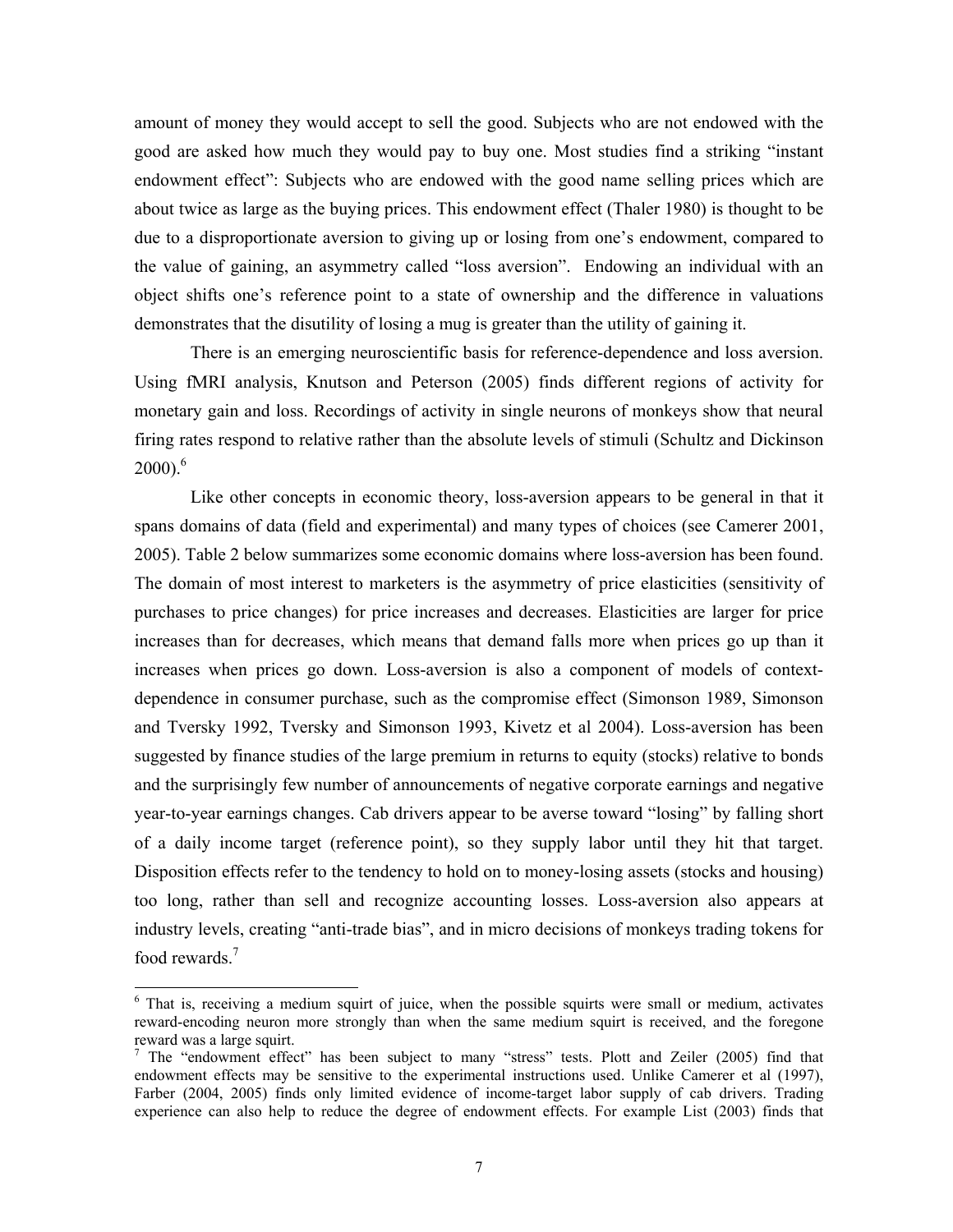amount of money they would accept to sell the good. Subjects who are not endowed with the good are asked how much they would pay to buy one. Most studies find a striking "instant endowment effect": Subjects who are endowed with the good name selling prices which are about twice as large as the buying prices. This endowment effect (Thaler 1980) is thought to be due to a disproportionate aversion to giving up or losing from one's endowment, compared to the value of gaining, an asymmetry called "loss aversion". Endowing an individual with an object shifts one's reference point to a state of ownership and the difference in valuations demonstrates that the disutility of losing a mug is greater than the utility of gaining it.

There is an emerging neuroscientific basis for reference-dependence and loss aversion. Using fMRI analysis, Knutson and Peterson (2005) finds different regions of activity for monetary gain and loss. Recordings of activity in single neurons of monkeys show that neural firing rates respond to relative rather than the absolute levels of stimuli (Schultz and Dickinson  $2000$ <sup>6</sup>.

 Like other concepts in economic theory, loss-aversion appears to be general in that it spans domains of data (field and experimental) and many types of choices (see Camerer 2001, 2005). Table 2 below summarizes some economic domains where loss-aversion has been found. The domain of most interest to marketers is the asymmetry of price elasticities (sensitivity of purchases to price changes) for price increases and decreases. Elasticities are larger for price increases than for decreases, which means that demand falls more when prices go up than it increases when prices go down. Loss-aversion is also a component of models of contextdependence in consumer purchase, such as the compromise effect (Simonson 1989, Simonson and Tversky 1992, Tversky and Simonson 1993, Kivetz et al 2004). Loss-aversion has been suggested by finance studies of the large premium in returns to equity (stocks) relative to bonds and the surprisingly few number of announcements of negative corporate earnings and negative year-to-year earnings changes. Cab drivers appear to be averse toward "losing" by falling short of a daily income target (reference point), so they supply labor until they hit that target. Disposition effects refer to the tendency to hold on to money-losing assets (stocks and housing) too long, rather than sell and recognize accounting losses. Loss-aversion also appears at industry levels, creating "anti-trade bias", and in micro decisions of monkeys trading tokens for food rewards.<sup>7</sup>

<sup>&</sup>lt;sup>6</sup> That is, receiving a medium squirt of juice, when the possible squirts were small or medium, activates reward-encoding neuron more strongly than when the same medium squirt is received, and the foregone reward was a large squirt.

<sup>&</sup>lt;sup>7</sup> The "endowment effect" has been subject to many "stress" tests. Plott and Zeiler (2005) find that endowment effects may be sensitive to the experimental instructions used. Unlike Camerer et al (1997), Farber (2004, 2005) finds only limited evidence of income-target labor supply of cab drivers. Trading experience can also help to reduce the degree of endowment effects. For example List (2003) finds that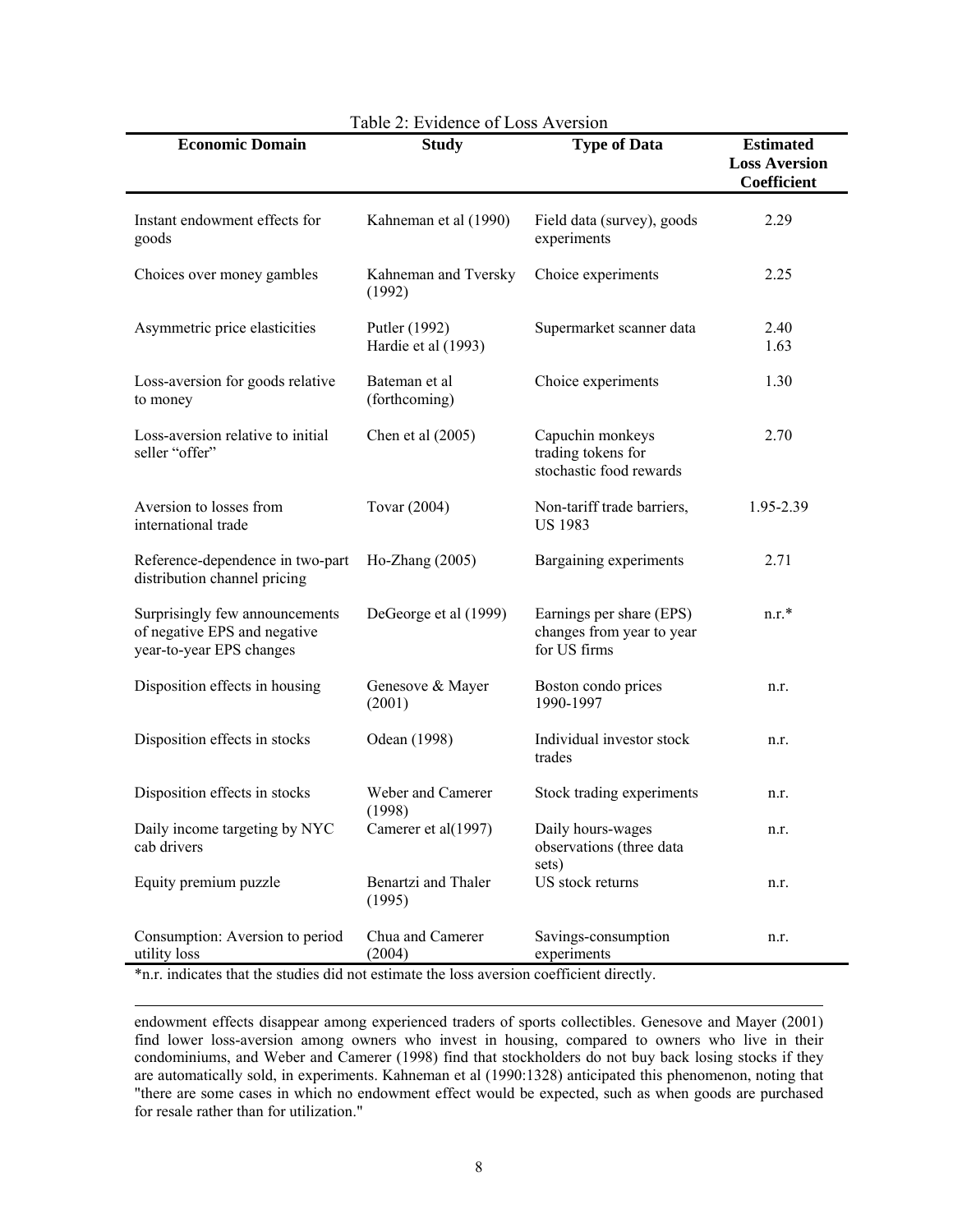| <b>Economic Domain</b>                                                                                                                                                          | <b>Study</b>                         | <b>Type of Data</b>                                                   | <b>Estimated</b><br><b>Loss Aversion</b><br>Coefficient |
|---------------------------------------------------------------------------------------------------------------------------------------------------------------------------------|--------------------------------------|-----------------------------------------------------------------------|---------------------------------------------------------|
| Instant endowment effects for<br>goods                                                                                                                                          | Kahneman et al (1990)                | Field data (survey), goods<br>experiments                             | 2.29                                                    |
| Choices over money gambles                                                                                                                                                      | Kahneman and Tversky<br>(1992)       | Choice experiments                                                    | 2.25                                                    |
| Asymmetric price elasticities                                                                                                                                                   | Putler (1992)<br>Hardie et al (1993) | Supermarket scanner data                                              | 2.40<br>1.63                                            |
| Loss-aversion for goods relative<br>to money                                                                                                                                    | Bateman et al<br>(forthcoming)       | Choice experiments                                                    | 1.30                                                    |
| Loss-aversion relative to initial<br>seller "offer"                                                                                                                             | Chen et al $(2005)$                  | Capuchin monkeys<br>trading tokens for<br>stochastic food rewards     | 2.70                                                    |
| Aversion to losses from<br>international trade                                                                                                                                  | Tovar (2004)                         | Non-tariff trade barriers,<br><b>US 1983</b>                          | 1.95-2.39                                               |
| Reference-dependence in two-part<br>distribution channel pricing                                                                                                                | Ho-Zhang (2005)                      | Bargaining experiments                                                | 2.71                                                    |
| Surprisingly few announcements<br>of negative EPS and negative<br>year-to-year EPS changes                                                                                      | DeGeorge et al (1999)                | Earnings per share (EPS)<br>changes from year to year<br>for US firms | $n.r.*$                                                 |
| Disposition effects in housing                                                                                                                                                  | Genesove & Mayer<br>(2001)           | Boston condo prices<br>1990-1997                                      | n.r.                                                    |
| Disposition effects in stocks                                                                                                                                                   | Odean (1998)                         | Individual investor stock<br>trades                                   | n.r.                                                    |
| Disposition effects in stocks                                                                                                                                                   | Weber and Camerer<br>(1998)          | Stock trading experiments                                             | n.r.                                                    |
| Daily income targeting by NYC<br>cab drivers                                                                                                                                    | Camerer et al(1997)                  | Daily hours-wages<br>observations (three data<br>sets)                | n.r.                                                    |
| Equity premium puzzle                                                                                                                                                           | Benartzi and Thaler<br>(1995)        | US stock returns                                                      | n.r.                                                    |
| Consumption: Aversion to period<br>utility loss<br>utility loss $(2004)$ experiments<br>*n r indicates that the studies did not estimate the loss aversion coefficient directly | Chua and Camerer<br>(2004)           | Savings-consumption<br>experiments                                    | n.r.                                                    |

## Table 2: Evidence of Loss Aversion

\*n.r. indicates that the studies did not estimate the loss aversion coefficient directly.

l

endowment effects disappear among experienced traders of sports collectibles. Genesove and Mayer (2001) find lower loss-aversion among owners who invest in housing, compared to owners who live in their condominiums, and Weber and Camerer (1998) find that stockholders do not buy back losing stocks if they are automatically sold, in experiments. Kahneman et al (1990:1328) anticipated this phenomenon, noting that "there are some cases in which no endowment effect would be expected, such as when goods are purchased for resale rather than for utilization."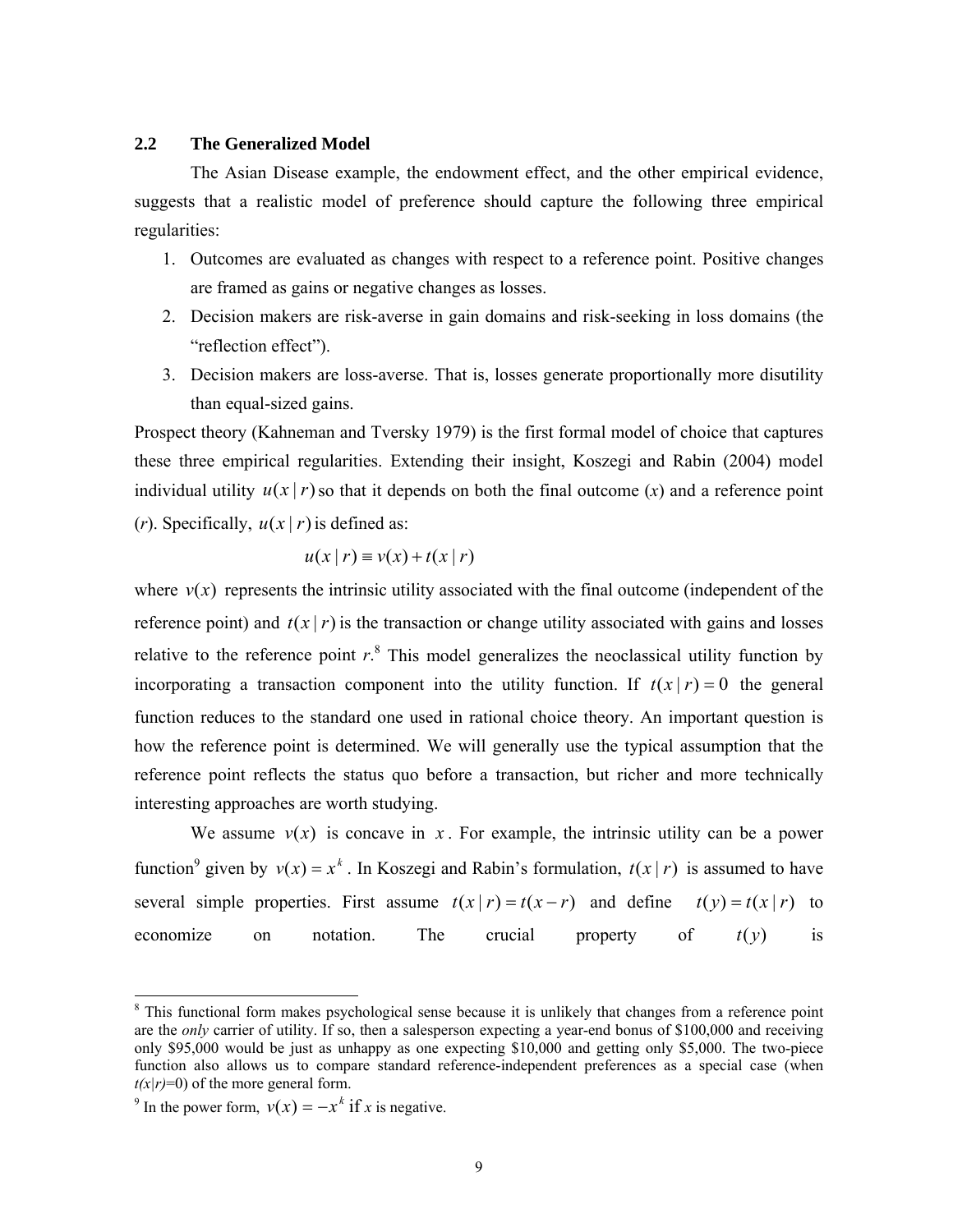### **2.2 The Generalized Model**

The Asian Disease example, the endowment effect, and the other empirical evidence, suggests that a realistic model of preference should capture the following three empirical regularities:

- 1. Outcomes are evaluated as changes with respect to a reference point. Positive changes are framed as gains or negative changes as losses.
- 2. Decision makers are risk-averse in gain domains and risk-seeking in loss domains (the "reflection effect").
- 3. Decision makers are loss-averse. That is, losses generate proportionally more disutility than equal-sized gains.

Prospect theory (Kahneman and Tversky 1979) is the first formal model of choice that captures these three empirical regularities. Extending their insight, Koszegi and Rabin (2004) model individual utility  $u(x | r)$  so that it depends on both the final outcome  $(x)$  and a reference point

(*r*). Specifically,  $u(x | r)$  is defined as:

$$
u(x | r) \equiv v(x) + t(x | r)
$$

where  $v(x)$  represents the intrinsic utility associated with the final outcome (independent of the reference point) and  $t(x | r)$  is the transaction or change utility associated with gains and losses relative to the reference point  $r<sup>8</sup>$ . This model generalizes the neoclassical utility function by incorporating a transaction component into the utility function. If  $t(x | r) = 0$  the general function reduces to the standard one used in rational choice theory. An important question is how the reference point is determined. We will generally use the typical assumption that the reference point reflects the status quo before a transaction, but richer and more technically interesting approaches are worth studying.

We assume  $v(x)$  is concave in x. For example, the intrinsic utility can be a power function<sup>9</sup> given by  $v(x) = x^k$ . In Koszegi and Rabin's formulation,  $t(x | r)$  is assumed to have several simple properties. First assume  $t(x | r) = t(x - r)$  and define  $t(y) = t(x | r)$  to economize on notation. The crucial property of  $t(y)$  is

<sup>&</sup>lt;sup>8</sup> This functional form makes psychological sense because it is unlikely that changes from a reference point are the *only* carrier of utility. If so, then a salesperson expecting a year-end bonus of \$100,000 and receiving only \$95,000 would be just as unhappy as one expecting \$10,000 and getting only \$5,000. The two-piece function also allows us to compare standard reference-independent preferences as a special case (when  $t(x|r)=0$  of the more general form.

<sup>&</sup>lt;sup>9</sup> In the power form,  $v(x) = -x^k$  if *x* is negative.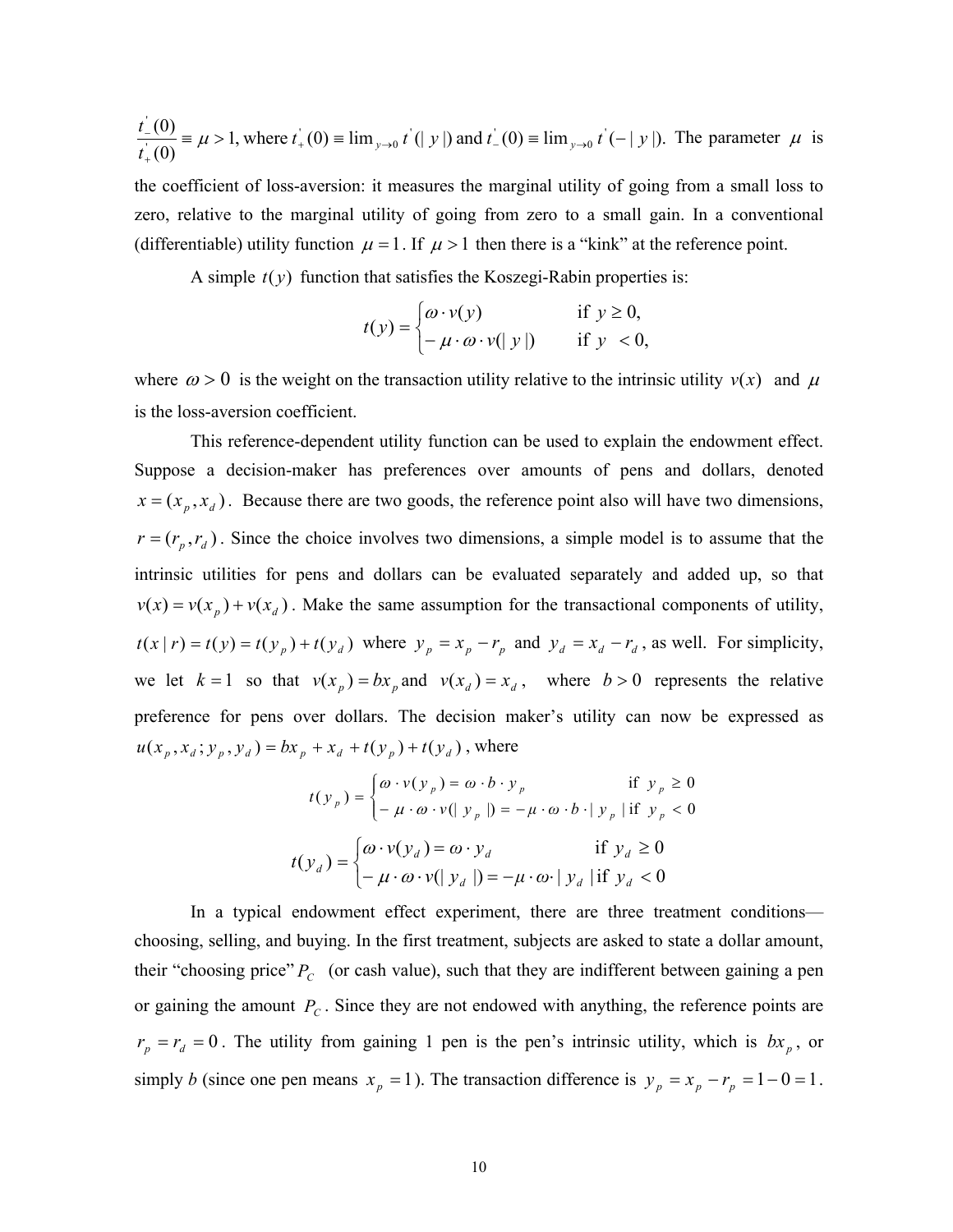$$
\frac{t_{-}(0)}{t_{+}(0)} = \mu > 1, \text{ where } t_{+}(0) = \lim_{y \to 0} t'(y) \text{ and } t_{-}(0) = \lim_{y \to 0} t'(-|y|). \text{ The parameter } \mu \text{ is}
$$

the coefficient of loss-aversion: it measures the marginal utility of going from a small loss to zero, relative to the marginal utility of going from zero to a small gain. In a conventional (differentiable) utility function  $\mu = 1$ . If  $\mu > 1$  then there is a "kink" at the reference point.

A simple  $t(y)$  function that satisfies the Koszegi-Rabin properties is:

$$
t(y) = \begin{cases} \omega \cdot v(y) & \text{if } y \ge 0, \\ -\mu \cdot \omega \cdot v(|y|) & \text{if } y < 0, \end{cases}
$$

where  $\omega > 0$  is the weight on the transaction utility relative to the intrinsic utility  $v(x)$  and  $\mu$ is the loss-aversion coefficient.

 This reference-dependent utility function can be used to explain the endowment effect. Suppose a decision-maker has preferences over amounts of pens and dollars, denoted  $x = (x_p, x_d)$ . Because there are two goods, the reference point also will have two dimensions,  $r = (r_p, r_d)$ . Since the choice involves two dimensions, a simple model is to assume that the intrinsic utilities for pens and dollars can be evaluated separately and added up, so that  $v(x) = v(x_p) + v(x_d)$ . Make the same assumption for the transactional components of utility,  $t(x | r) = t(y) = t(y_p) + t(y_d)$  where  $y_p = x_p - r_p$  and  $y_d = x_d - r_d$ , as well. For simplicity, we let  $k = 1$  so that  $v(x_p) = bx_p$  and  $v(x_d) = x_d$ , where  $b > 0$  represents the relative preference for pens over dollars. The decision maker's utility can now be expressed as  $u(x_{p}, x_{d}; y_{p}, y_{d}) = bx_{p} + x_{d} + t(y_{p}) + t(y_{d})$ , where

$$
t(y_p) = \begin{cases} \omega \cdot v(y_p) = \omega \cdot b \cdot y_p & \text{if } y_p \ge 0 \\ -\mu \cdot \omega \cdot v(|y_p|) = -\mu \cdot \omega \cdot b \cdot |y_p| & \text{if } y_p < 0 \end{cases}
$$

$$
t(y_d) = \begin{cases} \omega \cdot v(y_d) = \omega \cdot y_d & \text{if } y_d \ge 0 \\ -\mu \cdot \omega \cdot v(|y_d|) = -\mu \cdot \omega \cdot |y_d| & \text{if } y_d < 0 \end{cases}
$$

In a typical endowment effect experiment, there are three treatment conditions choosing, selling, and buying. In the first treatment, subjects are asked to state a dollar amount, their "choosing price"  $P_c$  (or cash value), such that they are indifferent between gaining a pen or gaining the amount  $P_c$ . Since they are not endowed with anything, the reference points are  $r_p = r_d = 0$ . The utility from gaining 1 pen is the pen's intrinsic utility, which is  $bx_p$ , or simply *b* (since one pen means  $x_p = 1$ ). The transaction difference is  $y_p = x_p - r_p = 1 - 0 = 1$ .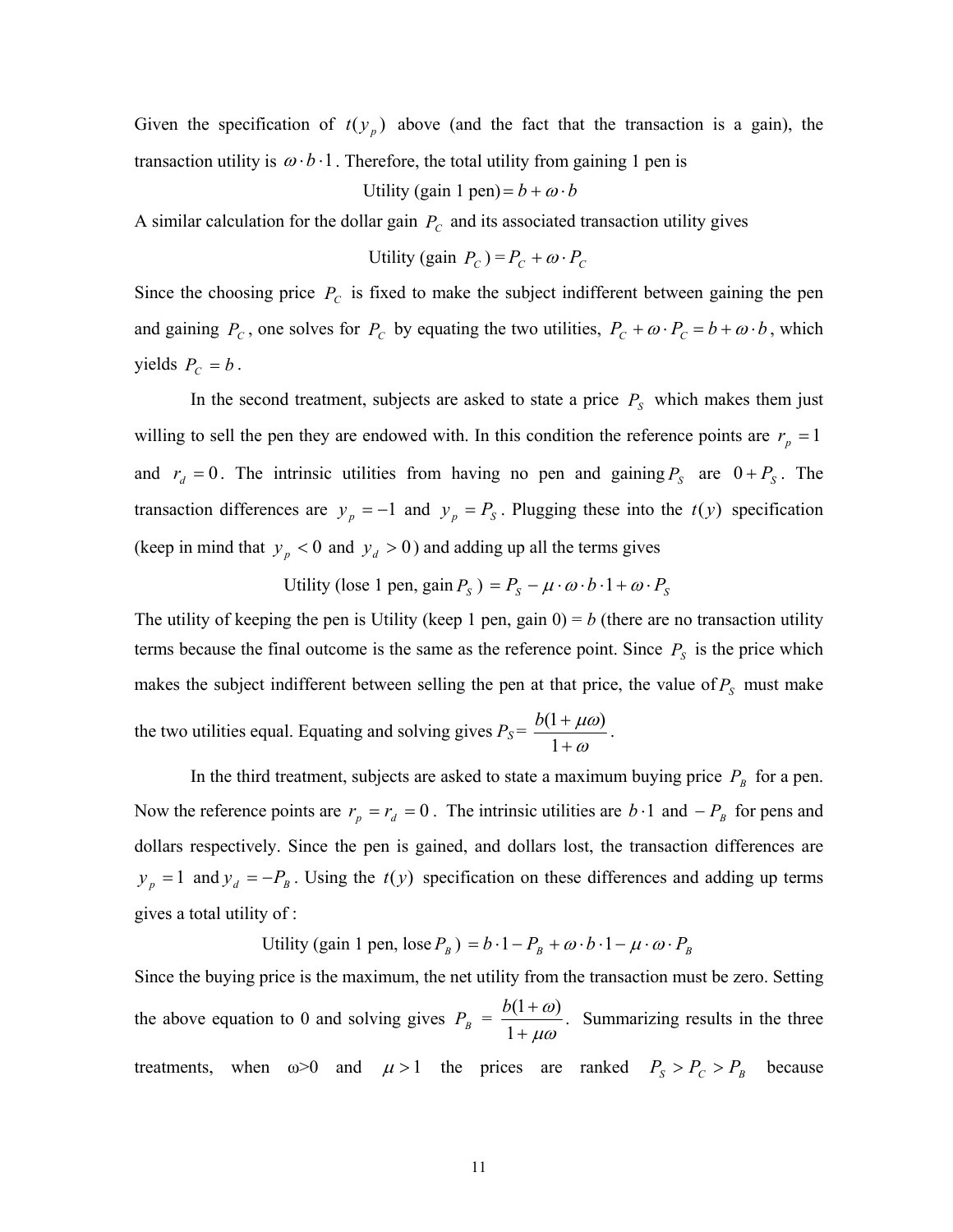Given the specification of  $t(y_p)$  above (and the fact that the transaction is a gain), the transaction utility is  $\omega \cdot b \cdot 1$ . Therefore, the total utility from gaining 1 pen is

#### Utility (gain 1 pen) =  $b + \omega \cdot b$

A similar calculation for the dollar gain  $P_c$  and its associated transaction utility gives

Utility (gain 
$$
P_c
$$
) =  $P_c + \omega \cdot P_c$ 

Since the choosing price  $P_c$  is fixed to make the subject indifferent between gaining the pen and gaining  $P_c$ , one solves for  $P_c$  by equating the two utilities,  $P_c + \omega \cdot P_c = b + \omega \cdot b$ , which yields  $P_C = b$ .

In the second treatment, subjects are asked to state a price  $P<sub>S</sub>$  which makes them just willing to sell the pen they are endowed with. In this condition the reference points are  $r_p = 1$ and  $r_d = 0$ . The intrinsic utilities from having no pen and gaining  $P_s$  are  $0 + P_s$ . The transaction differences are  $y_p = -1$  and  $y_p = P_s$ . Plugging these into the  $t(y)$  specification (keep in mind that  $y_p < 0$  and  $y_d > 0$ ) and adding up all the terms gives

Utility (lose 1 pen, gain  $P_S$ ) =  $P_S - \mu \cdot \omega \cdot b \cdot 1 + \omega \cdot P_S$ 

The utility of keeping the pen is Utility (keep 1 pen, gain  $0 = b$  (there are no transaction utility terms because the final outcome is the same as the reference point. Since  $P<sub>S</sub>$  is the price which makes the subject indifferent between selling the pen at that price, the value of  $P<sub>S</sub>$  must make the two utilities equal. Equating and solving gives  $P_S = \frac{Q(1 + \mu)}{1 + \omega}$ µω + + 1  $\frac{b(1+\mu\omega)}{1}$ .

In the third treatment, subjects are asked to state a maximum buying price  $P_B$  for a pen. Now the reference points are  $r_p = r_d = 0$ . The intrinsic utilities are  $b \cdot 1$  and  $-P_B$  for pens and dollars respectively. Since the pen is gained, and dollars lost, the transaction differences are  $y_p = 1$  and  $y_d = -P_B$ . Using the  $t(y)$  specification on these differences and adding up terms gives a total utility of :

Utility (gain 1 pen, lose  $P_B$ ) =  $b \cdot 1 - P_B + \omega \cdot b \cdot 1 - \mu \cdot \omega \cdot P_B$ 

Since the buying price is the maximum, the net utility from the transaction must be zero. Setting the above equation to 0 and solving gives  $P_B = \frac{P(A + \omega)}{1 + \mu \omega}$ ω + + 1  $\frac{b(1+\omega)}{2}$ . Summarizing results in the three treatments, when  $\omega > 0$  and  $\mu > 1$  the prices are ranked  $P_s > P_c > P_B$  because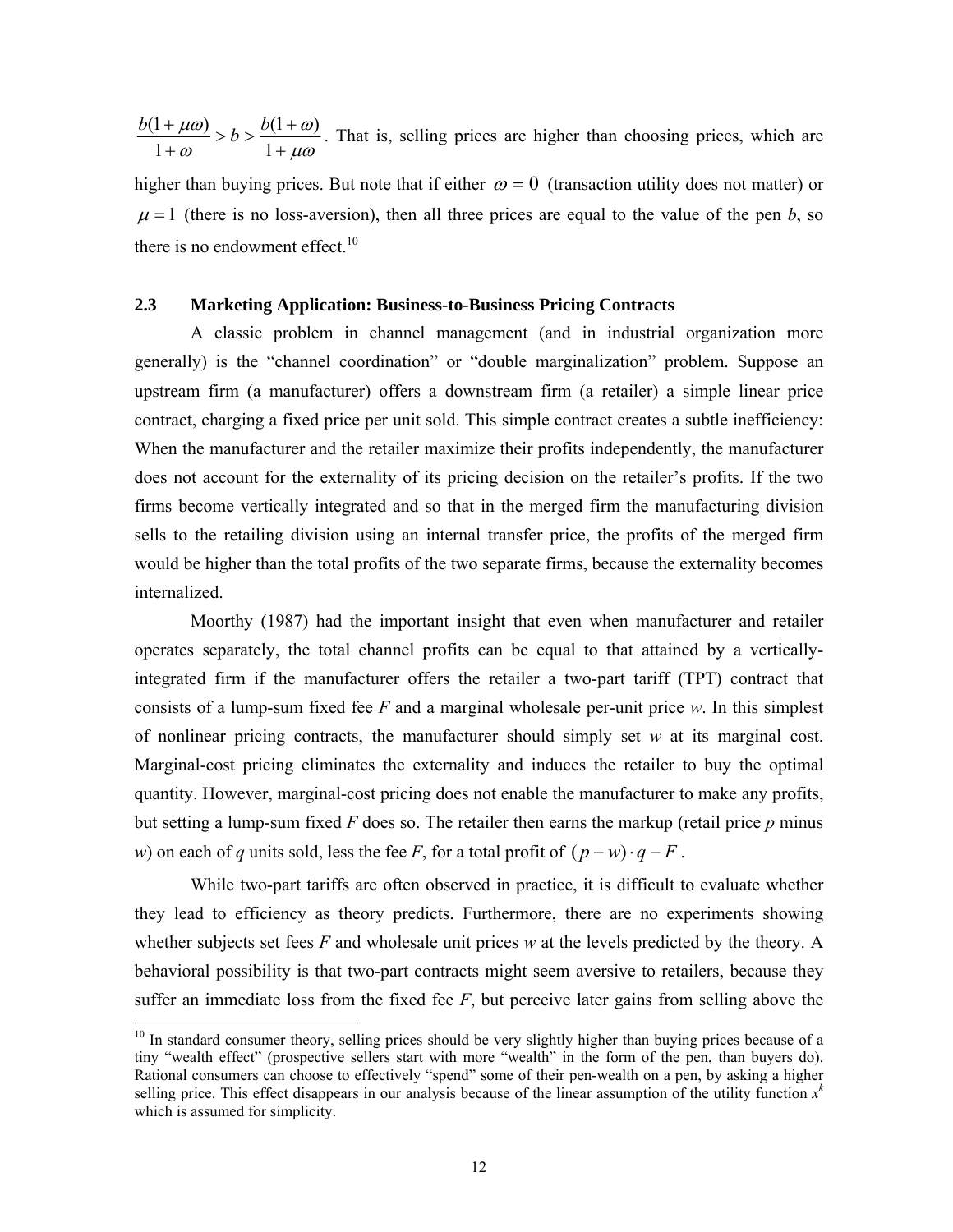µω ω ω µω +  $> b > \frac{b(1 + b)}{1}$ + + 1  $(1 + \omega)$ 1  $\frac{b(1 + \mu \omega)}{b} > b > \frac{b(1 + \omega)}{b}$ . That is, selling prices are higher than choosing prices, which are

higher than buying prices. But note that if either  $\omega = 0$  (transaction utility does not matter) or  $\mu = 1$  (there is no loss-aversion), then all three prices are equal to the value of the pen *b*, so there is no endowment effect. $10$ 

## **2.3 Marketing Application: Business-to-Business Pricing Contracts**

 A classic problem in channel management (and in industrial organization more generally) is the "channel coordination" or "double marginalization" problem. Suppose an upstream firm (a manufacturer) offers a downstream firm (a retailer) a simple linear price contract, charging a fixed price per unit sold. This simple contract creates a subtle inefficiency: When the manufacturer and the retailer maximize their profits independently, the manufacturer does not account for the externality of its pricing decision on the retailer's profits. If the two firms become vertically integrated and so that in the merged firm the manufacturing division sells to the retailing division using an internal transfer price, the profits of the merged firm would be higher than the total profits of the two separate firms, because the externality becomes internalized.

Moorthy (1987) had the important insight that even when manufacturer and retailer operates separately, the total channel profits can be equal to that attained by a verticallyintegrated firm if the manufacturer offers the retailer a two-part tariff (TPT) contract that consists of a lump-sum fixed fee *F* and a marginal wholesale per-unit price *w*. In this simplest of nonlinear pricing contracts, the manufacturer should simply set *w* at its marginal cost. Marginal-cost pricing eliminates the externality and induces the retailer to buy the optimal quantity. However, marginal-cost pricing does not enable the manufacturer to make any profits, but setting a lump-sum fixed *F* does so. The retailer then earns the markup (retail price *p* minus *w*) on each of *q* units sold, less the fee *F*, for a total profit of  $(p - w) \cdot q - F$ .

 While two-part tariffs are often observed in practice, it is difficult to evaluate whether they lead to efficiency as theory predicts. Furthermore, there are no experiments showing whether subjects set fees *F* and wholesale unit prices *w* at the levels predicted by the theory. A behavioral possibility is that two-part contracts might seem aversive to retailers, because they suffer an immediate loss from the fixed fee *F*, but perceive later gains from selling above the

<sup>&</sup>lt;sup>10</sup> In standard consumer theory, selling prices should be very slightly higher than buying prices because of a tiny "wealth effect" (prospective sellers start with more "wealth" in the form of the pen, than buyers do). Rational consumers can choose to effectively "spend" some of their pen-wealth on a pen, by asking a higher selling price. This effect disappears in our analysis because of the linear assumption of the utility function  $x<sup>k</sup>$ which is assumed for simplicity.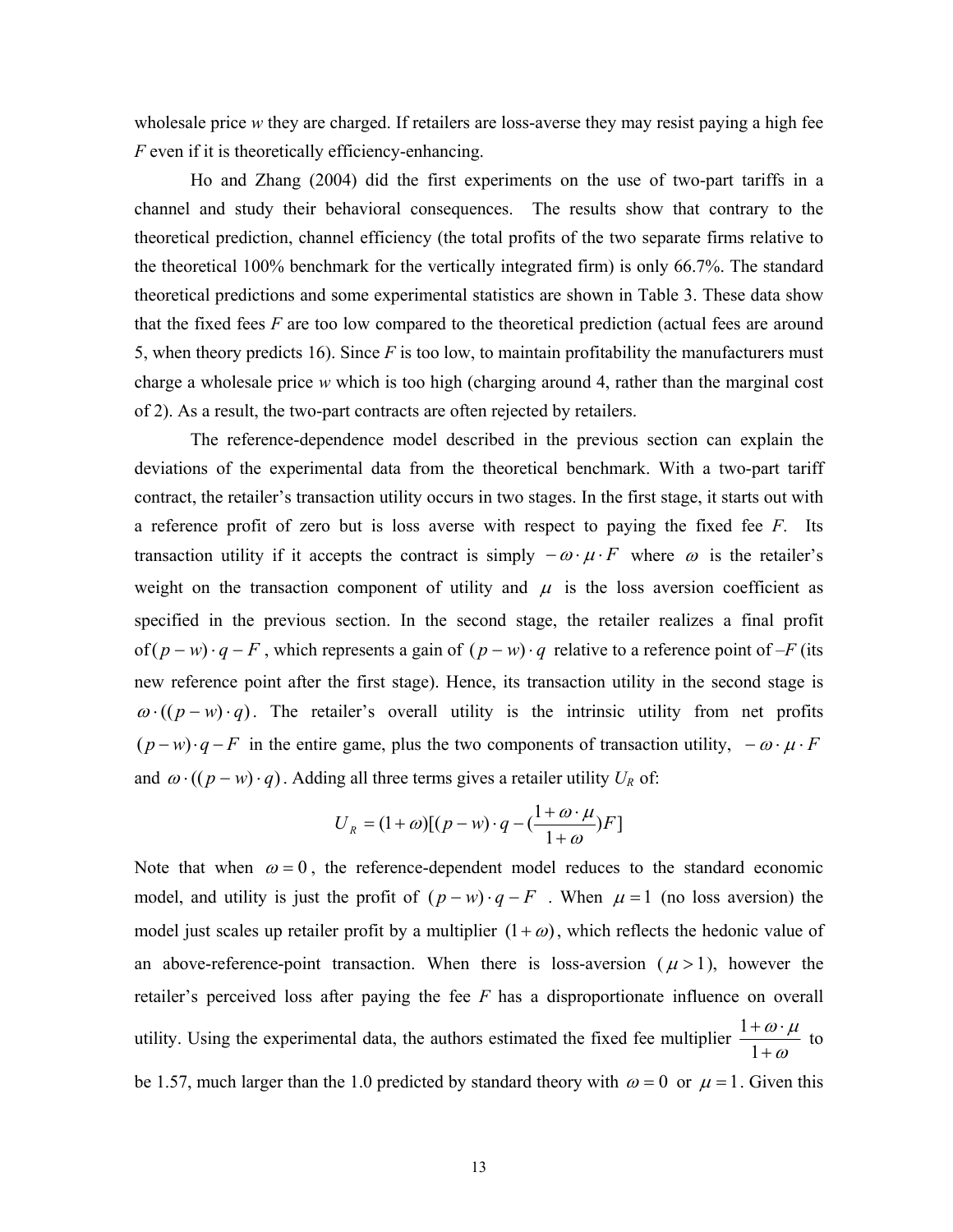wholesale price *w* they are charged. If retailers are loss-averse they may resist paying a high fee *F* even if it is theoretically efficiency-enhancing.

 Ho and Zhang (2004) did the first experiments on the use of two-part tariffs in a channel and study their behavioral consequences. The results show that contrary to the theoretical prediction, channel efficiency (the total profits of the two separate firms relative to the theoretical 100% benchmark for the vertically integrated firm) is only 66.7%. The standard theoretical predictions and some experimental statistics are shown in Table 3. These data show that the fixed fees *F* are too low compared to the theoretical prediction (actual fees are around 5, when theory predicts 16). Since *F* is too low, to maintain profitability the manufacturers must charge a wholesale price *w* which is too high (charging around 4, rather than the marginal cost of 2). As a result, the two-part contracts are often rejected by retailers.

The reference-dependence model described in the previous section can explain the deviations of the experimental data from the theoretical benchmark. With a two-part tariff contract, the retailer's transaction utility occurs in two stages. In the first stage, it starts out with a reference profit of zero but is loss averse with respect to paying the fixed fee *F*. Its transaction utility if it accepts the contract is simply  $-\omega \cdot \mu \cdot F$  where  $\omega$  is the retailer's weight on the transaction component of utility and  $\mu$  is the loss aversion coefficient as specified in the previous section. In the second stage, the retailer realizes a final profit of( $p - w$ )⋅ $q - F$ , which represents a gain of  $(p - w)$ ⋅ $q$  relative to a reference point of  $-F$  (its new reference point after the first stage). Hence, its transaction utility in the second stage is  $\omega \cdot ((p - w) \cdot q)$ . The retailer's overall utility is the intrinsic utility from net profits  $(p-w)\cdot q-F$  in the entire game, plus the two components of transaction utility,  $-\omega \cdot \mu \cdot F$ and  $\omega \cdot ((p - w) \cdot q)$ . Adding all three terms gives a retailer utility  $U_R$  of:

$$
U_R = (1 + \omega)[(p - w) \cdot q - (\frac{1 + \omega \cdot \mu}{1 + \omega})F]
$$

Note that when  $\omega = 0$ , the reference-dependent model reduces to the standard economic model, and utility is just the profit of  $(p - w) \cdot q - F$ . When  $\mu = 1$  (no loss aversion) the model just scales up retailer profit by a multiplier  $(1 + \omega)$ , which reflects the hedonic value of an above-reference-point transaction. When there is loss-aversion  $(\mu > 1)$ , however the retailer's perceived loss after paying the fee *F* has a disproportionate influence on overall utility. Using the experimental data, the authors estimated the fixed fee multiplier  $\frac{1+\omega}{1+\omega}$  $\omega\cdot\mu$ +  $+ \omega$ . 1  $\frac{1+\omega\cdot\mu}{\omega}$  to be 1.57, much larger than the 1.0 predicted by standard theory with  $\omega = 0$  or  $\mu = 1$ . Given this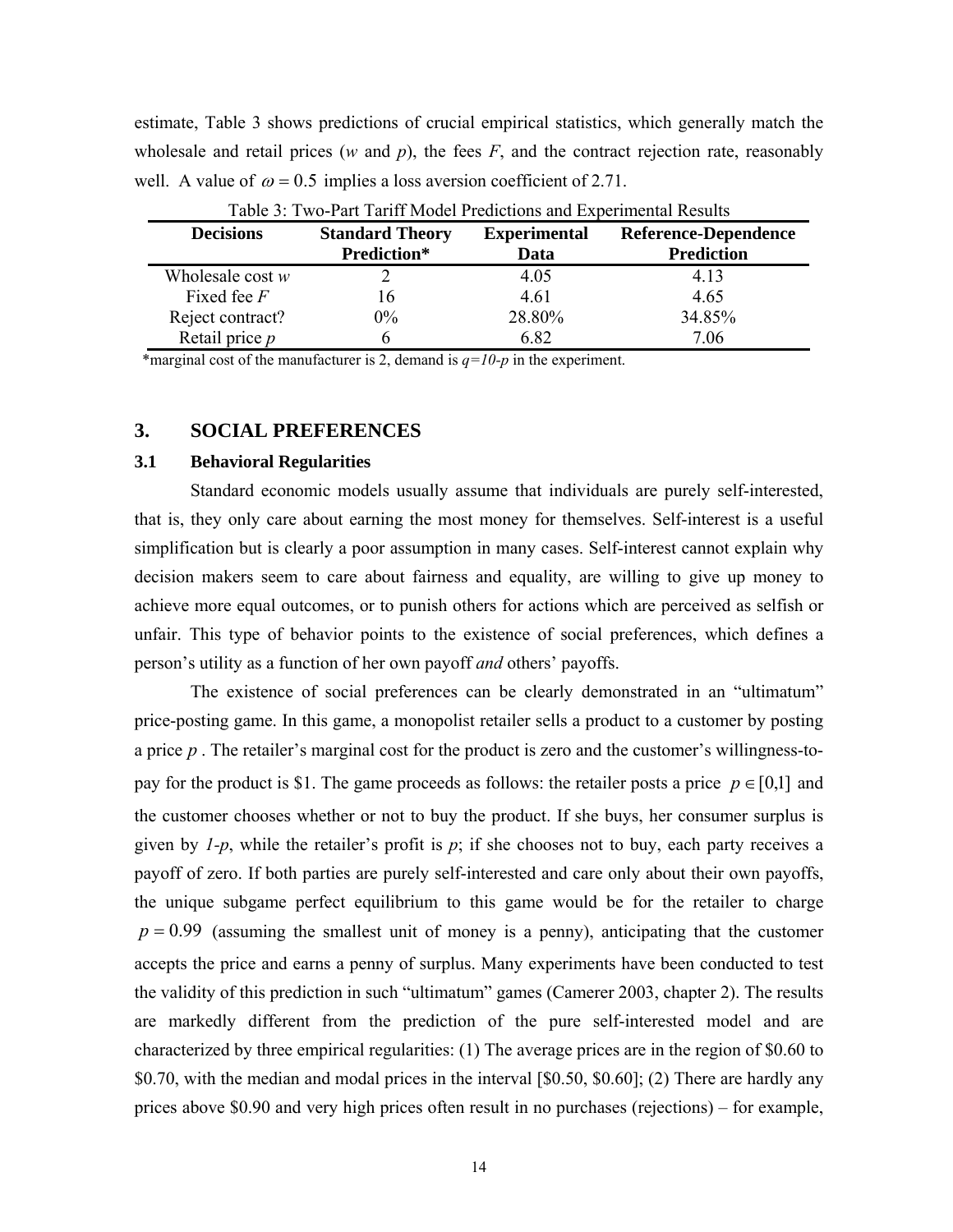estimate, Table 3 shows predictions of crucial empirical statistics, which generally match the wholesale and retail prices  $(w \text{ and } p)$ , the fees  $F$ , and the contract rejection rate, reasonably well. A value of  $\omega = 0.5$  implies a loss aversion coefficient of 2.71.

|                    | Tuoto 9. Two Tuit Turni modol Frontenomo and Embermantessano |                             |                                                  |
|--------------------|--------------------------------------------------------------|-----------------------------|--------------------------------------------------|
| <b>Decisions</b>   | <b>Standard Theory</b><br>Prediction*                        | <b>Experimental</b><br>Data | <b>Reference-Dependence</b><br><b>Prediction</b> |
| Wholesale cost $w$ |                                                              | 4.05                        | 4.13                                             |
| Fixed fee $F$      | რ                                                            | 4.61                        | 4.65                                             |
| Reject contract?   | $0\%$                                                        | 28.80%                      | 34.85%                                           |
| Retail price $p$   |                                                              | 6.82                        | 7.06                                             |

Table 3: Two-Part Tariff Model Predictions and Experimental Results

\*marginal cost of the manufacturer is 2, demand is  $q=10-p$  in the experiment.

## **3. SOCIAL PREFERENCES**

### **3.1 Behavioral Regularities**

Standard economic models usually assume that individuals are purely self-interested, that is, they only care about earning the most money for themselves. Self-interest is a useful simplification but is clearly a poor assumption in many cases. Self-interest cannot explain why decision makers seem to care about fairness and equality, are willing to give up money to achieve more equal outcomes, or to punish others for actions which are perceived as selfish or unfair. This type of behavior points to the existence of social preferences, which defines a person's utility as a function of her own payoff *and* others' payoffs.

 The existence of social preferences can be clearly demonstrated in an "ultimatum" price-posting game. In this game, a monopolist retailer sells a product to a customer by posting a price *p* . The retailer's marginal cost for the product is zero and the customer's willingness-topay for the product is \$1. The game proceeds as follows: the retailer posts a price  $p \in [0,1]$  and the customer chooses whether or not to buy the product. If she buys, her consumer surplus is given by *1-p*, while the retailer's profit is *p*; if she chooses not to buy, each party receives a payoff of zero. If both parties are purely self-interested and care only about their own payoffs, the unique subgame perfect equilibrium to this game would be for the retailer to charge  $p = 0.99$  (assuming the smallest unit of money is a penny), anticipating that the customer accepts the price and earns a penny of surplus. Many experiments have been conducted to test the validity of this prediction in such "ultimatum" games (Camerer 2003, chapter 2). The results are markedly different from the prediction of the pure self-interested model and are characterized by three empirical regularities: (1) The average prices are in the region of \$0.60 to \$0.70, with the median and modal prices in the interval [\$0.50, \$0.60]; (2) There are hardly any prices above \$0.90 and very high prices often result in no purchases (rejections) – for example,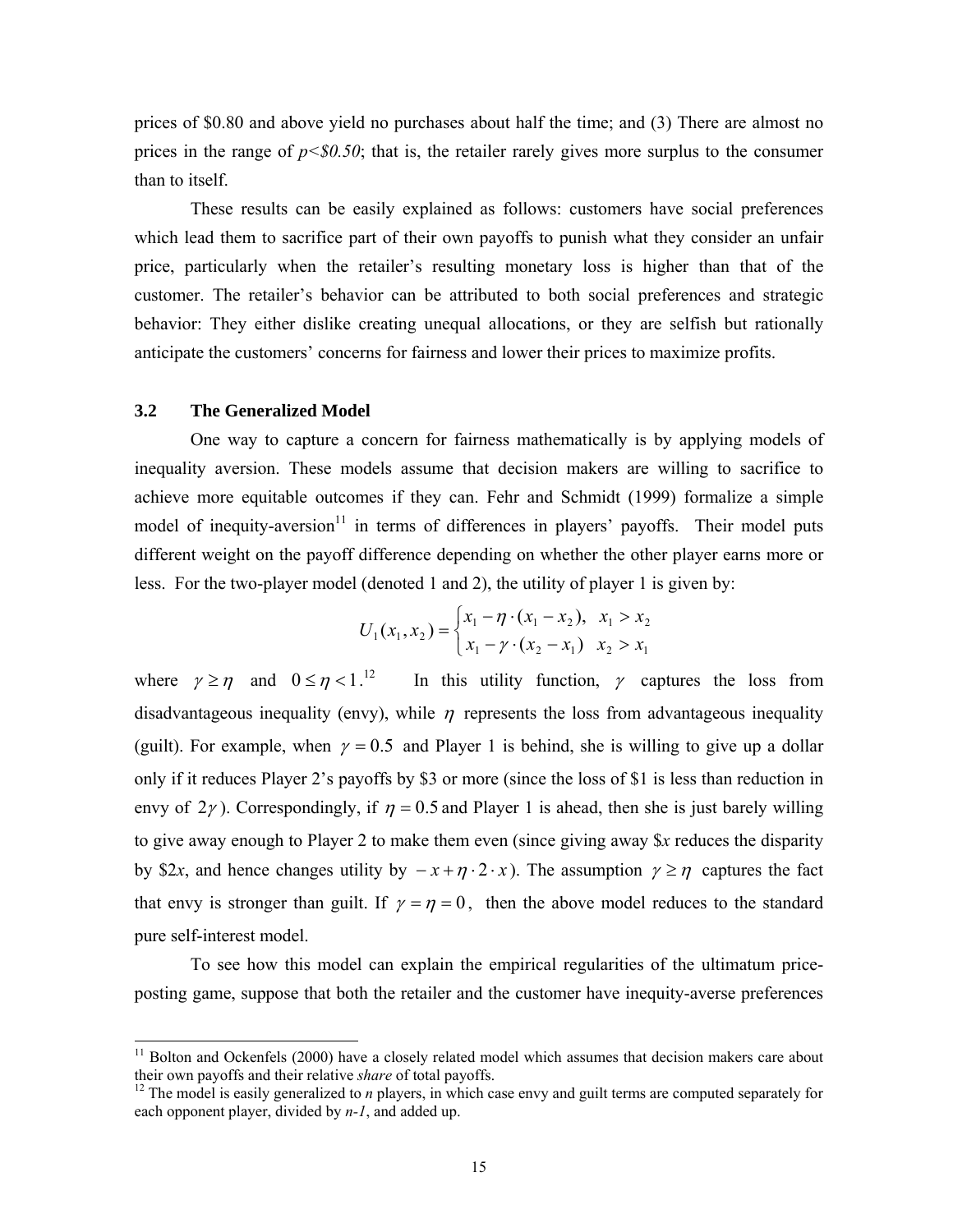prices of \$0.80 and above yield no purchases about half the time; and (3) There are almost no prices in the range of  $p<80.50$ ; that is, the retailer rarely gives more surplus to the consumer than to itself.

 These results can be easily explained as follows: customers have social preferences which lead them to sacrifice part of their own payoffs to punish what they consider an unfair price, particularly when the retailer's resulting monetary loss is higher than that of the customer. The retailer's behavior can be attributed to both social preferences and strategic behavior: They either dislike creating unequal allocations, or they are selfish but rationally anticipate the customers' concerns for fairness and lower their prices to maximize profits.

### **3.2 The Generalized Model**

l

One way to capture a concern for fairness mathematically is by applying models of inequality aversion. These models assume that decision makers are willing to sacrifice to achieve more equitable outcomes if they can. Fehr and Schmidt (1999) formalize a simple model of inequity-aversion $11$  in terms of differences in players' payoffs. Their model puts different weight on the payoff difference depending on whether the other player earns more or less. For the two-player model (denoted 1 and 2), the utility of player 1 is given by:

$$
U_1(x_1, x_2) = \begin{cases} x_1 - \eta \cdot (x_1 - x_2), & x_1 > x_2 \\ x_1 - \gamma \cdot (x_2 - x_1) & x_2 > x_1 \end{cases}
$$

where  $\gamma \ge \eta$  and  $0 \le \eta < 1$ .<sup>12</sup> In this utility function,  $\gamma$  captures the loss from disadvantageous inequality (envy), while  $\eta$  represents the loss from advantageous inequality (guilt). For example, when  $\gamma = 0.5$  and Player 1 is behind, she is willing to give up a dollar only if it reduces Player 2's payoffs by \$3 or more (since the loss of \$1 is less than reduction in envy of  $2\gamma$ ). Correspondingly, if  $\eta = 0.5$  and Player 1 is ahead, then she is just barely willing to give away enough to Player 2 to make them even (since giving away \$*x* reduces the disparity by \$2*x*, and hence changes utility by  $-x+\eta \cdot 2 \cdot x$ ). The assumption  $\gamma \ge \eta$  captures the fact that envy is stronger than guilt. If  $\gamma = \eta = 0$ , then the above model reduces to the standard pure self-interest model.

 To see how this model can explain the empirical regularities of the ultimatum priceposting game, suppose that both the retailer and the customer have inequity-averse preferences

<sup>&</sup>lt;sup>11</sup> Bolton and Ockenfels (2000) have a closely related model which assumes that decision makers care about their own payoffs and their relative *share* of total payoffs.

 $12$ <sup>12</sup> The model is easily generalized to *n* players, in which case envy and guilt terms are computed separately for each opponent player, divided by *n-1*, and added up.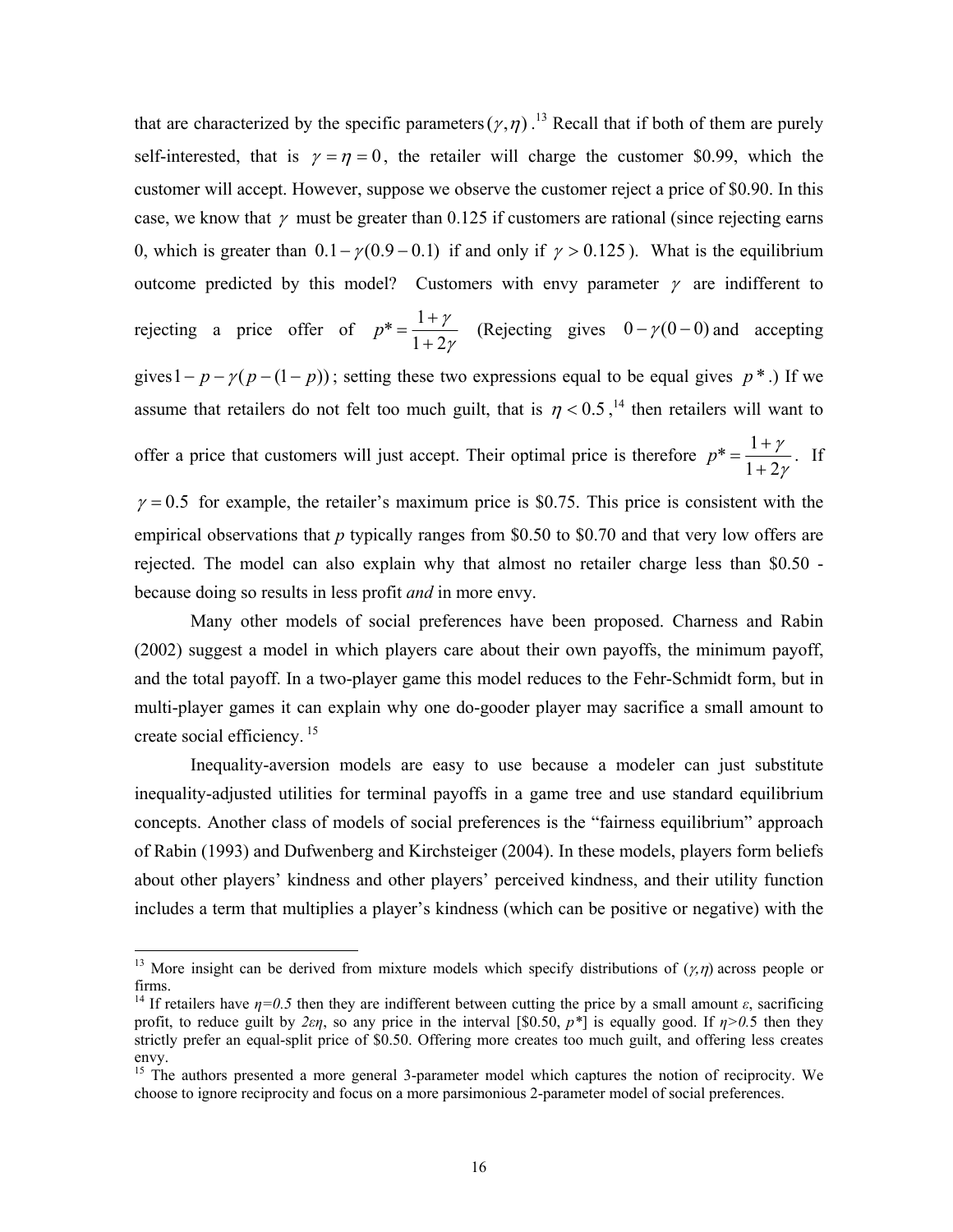that are characterized by the specific parameters  $(\gamma, \eta)$ .<sup>13</sup> Recall that if both of them are purely self-interested, that is  $\gamma = \eta = 0$ , the retailer will charge the customer \$0.99, which the customer will accept. However, suppose we observe the customer reject a price of \$0.90. In this case, we know that  $\gamma$  must be greater than 0.125 if customers are rational (since rejecting earns 0, which is greater than  $0.1 - \gamma(0.9 - 0.1)$  if and only if  $\gamma > 0.125$ ). What is the equilibrium outcome predicted by this model? Customers with envy parameter  $\gamma$  are indifferent to rejecting a price offer of γ γ  $1 + 2$  $* = \frac{1}{1}$ +  $p^* = \frac{1 + \gamma}{\sqrt{2}}$  (Rejecting gives  $0 - \gamma(0 - 0)$  and accepting gives  $1 - p - \gamma(p - (1 - p))$ ; setting these two expressions equal to be equal gives  $p^*$ .) If we assume that retailers do not felt too much guilt, that is  $\eta < 0.5$ , <sup>14</sup> then retailers will want to offer a price that customers will just accept. Their optimal price is therefore γ γ  $1 + 2$  $* = \frac{1}{1}$ +  $p^* = \frac{1+\gamma}{1-\gamma}$ . If  $\gamma = 0.5$  for example, the retailer's maximum price is \$0.75. This price is consistent with the empirical observations that *p* typically ranges from \$0.50 to \$0.70 and that very low offers are rejected. The model can also explain why that almost no retailer charge less than \$0.50 because doing so results in less profit *and* in more envy.

 Many other models of social preferences have been proposed. Charness and Rabin (2002) suggest a model in which players care about their own payoffs, the minimum payoff, and the total payoff. In a two-player game this model reduces to the Fehr-Schmidt form, but in multi-player games it can explain why one do-gooder player may sacrifice a small amount to create social efficiency. 15

 Inequality-aversion models are easy to use because a modeler can just substitute inequality-adjusted utilities for terminal payoffs in a game tree and use standard equilibrium concepts. Another class of models of social preferences is the "fairness equilibrium" approach of Rabin (1993) and Dufwenberg and Kirchsteiger (2004). In these models, players form beliefs about other players' kindness and other players' perceived kindness, and their utility function includes a term that multiplies a player's kindness (which can be positive or negative) with the

<sup>&</sup>lt;sup>13</sup> More insight can be derived from mixture models which specify distributions of  $(\gamma, \eta)$  across people or firms.

<sup>&</sup>lt;sup>14</sup> If retailers have  $\eta=0.5$  then they are indifferent between cutting the price by a small amount  $\varepsilon$ , sacrificing profit, to reduce guilt by  $2\varepsilon\eta$ , so any price in the interval [\$0.50,  $p^*$ ] is equally good. If  $\eta > 0.5$  then they strictly prefer an equal-split price of \$0.50. Offering more creates too much guilt, and offering less creates envy.

<sup>&</sup>lt;sup>15</sup> The authors presented a more general 3-parameter model which captures the notion of reciprocity. We choose to ignore reciprocity and focus on a more parsimonious 2-parameter model of social preferences.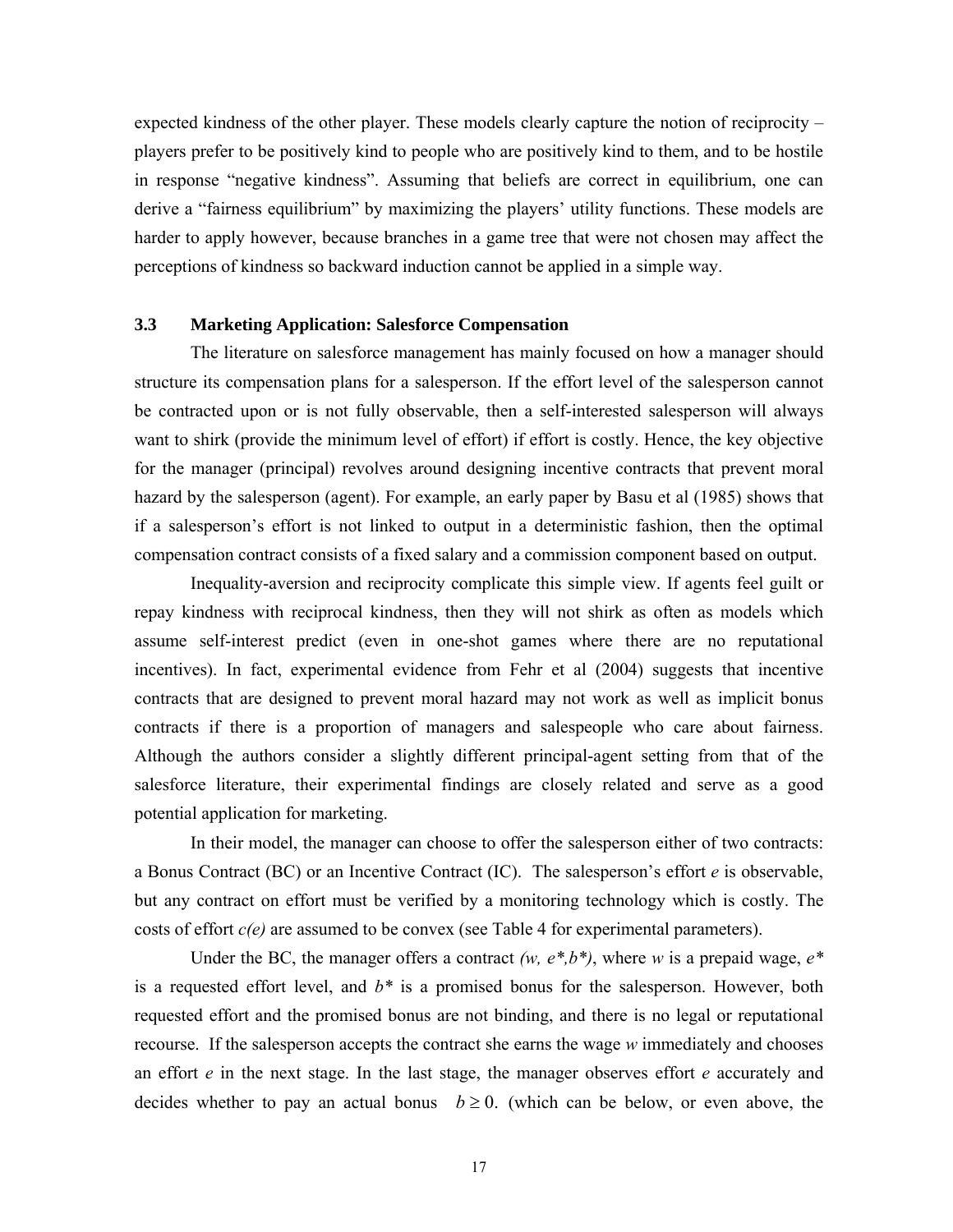expected kindness of the other player. These models clearly capture the notion of reciprocity – players prefer to be positively kind to people who are positively kind to them, and to be hostile in response "negative kindness". Assuming that beliefs are correct in equilibrium, one can derive a "fairness equilibrium" by maximizing the players' utility functions. These models are harder to apply however, because branches in a game tree that were not chosen may affect the perceptions of kindness so backward induction cannot be applied in a simple way.

### **3.3 Marketing Application: Salesforce Compensation**

The literature on salesforce management has mainly focused on how a manager should structure its compensation plans for a salesperson. If the effort level of the salesperson cannot be contracted upon or is not fully observable, then a self-interested salesperson will always want to shirk (provide the minimum level of effort) if effort is costly. Hence, the key objective for the manager (principal) revolves around designing incentive contracts that prevent moral hazard by the salesperson (agent). For example, an early paper by Basu et al (1985) shows that if a salesperson's effort is not linked to output in a deterministic fashion, then the optimal compensation contract consists of a fixed salary and a commission component based on output.

Inequality-aversion and reciprocity complicate this simple view. If agents feel guilt or repay kindness with reciprocal kindness, then they will not shirk as often as models which assume self-interest predict (even in one-shot games where there are no reputational incentives). In fact, experimental evidence from Fehr et al (2004) suggests that incentive contracts that are designed to prevent moral hazard may not work as well as implicit bonus contracts if there is a proportion of managers and salespeople who care about fairness. Although the authors consider a slightly different principal-agent setting from that of the salesforce literature, their experimental findings are closely related and serve as a good potential application for marketing.

In their model, the manager can choose to offer the salesperson either of two contracts: a Bonus Contract (BC) or an Incentive Contract (IC). The salesperson's effort *e* is observable, but any contract on effort must be verified by a monitoring technology which is costly. The costs of effort *c(e)* are assumed to be convex (see Table 4 for experimental parameters).

Under the BC, the manager offers a contract *(w, e\*,b\*)*, where *w* is a prepaid wage, *e\** is a requested effort level, and *b\** is a promised bonus for the salesperson. However, both requested effort and the promised bonus are not binding, and there is no legal or reputational recourse. If the salesperson accepts the contract she earns the wage *w* immediately and chooses an effort *e* in the next stage. In the last stage, the manager observes effort *e* accurately and decides whether to pay an actual bonus  $b \ge 0$ . (which can be below, or even above, the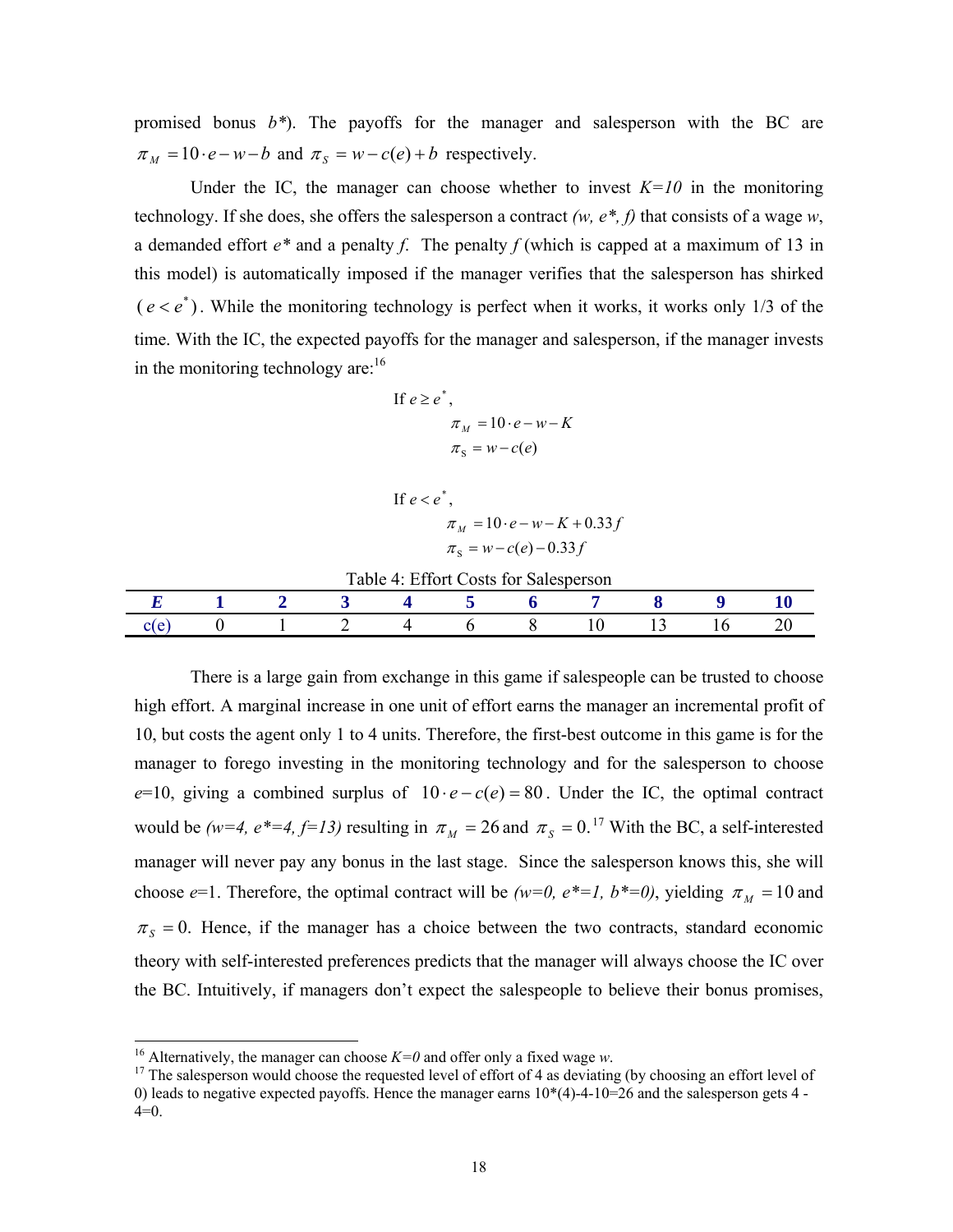promised bonus *b\**). The payoffs for the manager and salesperson with the BC are  $\pi_M = 10 \cdot e - w - b$  and  $\pi_S = w - c(e) + b$  respectively.

Under the IC, the manager can choose whether to invest  $K=10$  in the monitoring technology. If she does, she offers the salesperson a contract *(w, e\*, f)* that consists of a wage *w*, a demanded effort *e\** and a penalty *f*. The penalty *f* (which is capped at a maximum of 13 in this model) is automatically imposed if the manager verifies that the salesperson has shirked  $(e < e^*)$ . While the monitoring technology is perfect when it works, it works only 1/3 of the time. With the IC, the expected payoffs for the manager and salesperson, if the manager invests in the monitoring technology are: $16$ 

If 
$$
e \ge e^*
$$
,  
\n
$$
\pi_M = 10 \cdot e - w - K
$$
\n
$$
\pi_S = w - c(e)
$$

If  $e < e^*$ ,

$$
\pi_M = 10 \cdot e - w - K + 0.33f
$$

$$
\pi_S = w - c(e) - 0.33f
$$

|  |  | Table 4: Effort Costs for Salesperson |  |  |  |
|--|--|---------------------------------------|--|--|--|
|  |  |                                       |  |  |  |
|  |  |                                       |  |  |  |

There is a large gain from exchange in this game if salespeople can be trusted to choose high effort. A marginal increase in one unit of effort earns the manager an incremental profit of 10, but costs the agent only 1 to 4 units. Therefore, the first-best outcome in this game is for the manager to forego investing in the monitoring technology and for the salesperson to choose  $e=10$ , giving a combined surplus of  $10 \cdot e - c(e) = 80$ . Under the IC, the optimal contract would be *(w=4, e\*=4, f=13)* resulting in  $\pi_M = 26$  and  $\pi_S = 0$ .<sup>17</sup> With the BC, a self-interested manager will never pay any bonus in the last stage. Since the salesperson knows this, she will choose  $e=1$ . Therefore, the optimal contract will be *(w=0, e<sup>\*</sup>=1, b<sup>\*</sup>=0)*, yielding  $\pi<sub>M</sub> = 10$  and  $\pi_s = 0$ . Hence, if the manager has a choice between the two contracts, standard economic theory with self-interested preferences predicts that the manager will always choose the IC over the BC. Intuitively, if managers don't expect the salespeople to believe their bonus promises,

<sup>&</sup>lt;sup>16</sup> Alternatively, the manager can choose  $K=0$  and offer only a fixed wage w.

<sup>&</sup>lt;sup>17</sup> The salesperson would choose the requested level of effort of 4 as deviating (by choosing an effort level of 0) leads to negative expected payoffs. Hence the manager earns  $10*(4)-4-10=26$  and the salesperson gets 4 - $4=0.$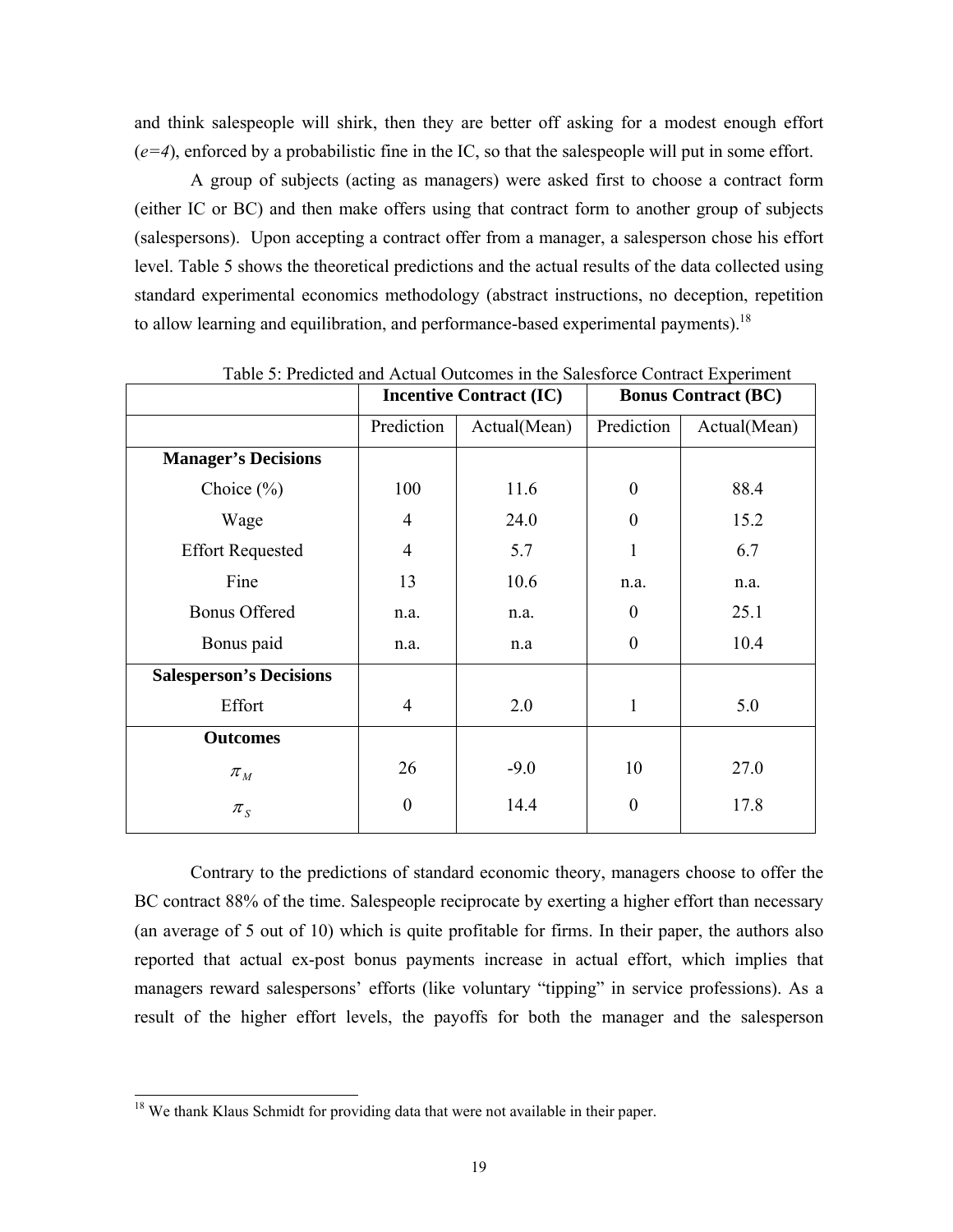and think salespeople will shirk, then they are better off asking for a modest enough effort (*e=4*), enforced by a probabilistic fine in the IC, so that the salespeople will put in some effort.

A group of subjects (acting as managers) were asked first to choose a contract form (either IC or BC) and then make offers using that contract form to another group of subjects (salespersons). Upon accepting a contract offer from a manager, a salesperson chose his effort level. Table 5 shows the theoretical predictions and the actual results of the data collected using standard experimental economics methodology (abstract instructions, no deception, repetition to allow learning and equilibration, and performance-based experimental payments).<sup>18</sup>

|                                |                  | <b>Incentive Contract (IC)</b> | <b>Bonus Contract (BC)</b> |              |
|--------------------------------|------------------|--------------------------------|----------------------------|--------------|
|                                | Prediction       | Actual(Mean)                   | Prediction                 | Actual(Mean) |
| <b>Manager's Decisions</b>     |                  |                                |                            |              |
| Choice $(\% )$                 | 100              | 11.6                           | $\Omega$                   | 88.4         |
| Wage                           | 4                | 24.0                           | $\theta$                   | 15.2         |
| <b>Effort Requested</b>        | $\overline{4}$   | 5.7                            |                            | 6.7          |
| Fine                           | 13               | 10.6                           | n.a.                       | n.a.         |
| <b>Bonus Offered</b>           | n.a.             | n.a.                           | $\overline{0}$             | 25.1         |
| Bonus paid                     | n.a.             | n.a                            | $\Omega$                   | 10.4         |
| <b>Salesperson's Decisions</b> |                  |                                |                            |              |
| Effort                         | $\overline{4}$   | 2.0                            | 1                          | 5.0          |
| <b>Outcomes</b>                |                  |                                |                            |              |
| $\pi_{\scriptscriptstyle M}$   | 26               | $-9.0$                         | 10                         | 27.0         |
| $\pi_{S}$                      | $\boldsymbol{0}$ | 14.4                           | $\theta$                   | 17.8         |

Table 5: Predicted and Actual Outcomes in the Salesforce Contract Experiment

Contrary to the predictions of standard economic theory, managers choose to offer the BC contract 88% of the time. Salespeople reciprocate by exerting a higher effort than necessary (an average of 5 out of 10) which is quite profitable for firms. In their paper, the authors also reported that actual ex-post bonus payments increase in actual effort, which implies that managers reward salespersons' efforts (like voluntary "tipping" in service professions). As a result of the higher effort levels, the payoffs for both the manager and the salesperson

<sup>&</sup>lt;sup>18</sup> We thank Klaus Schmidt for providing data that were not available in their paper.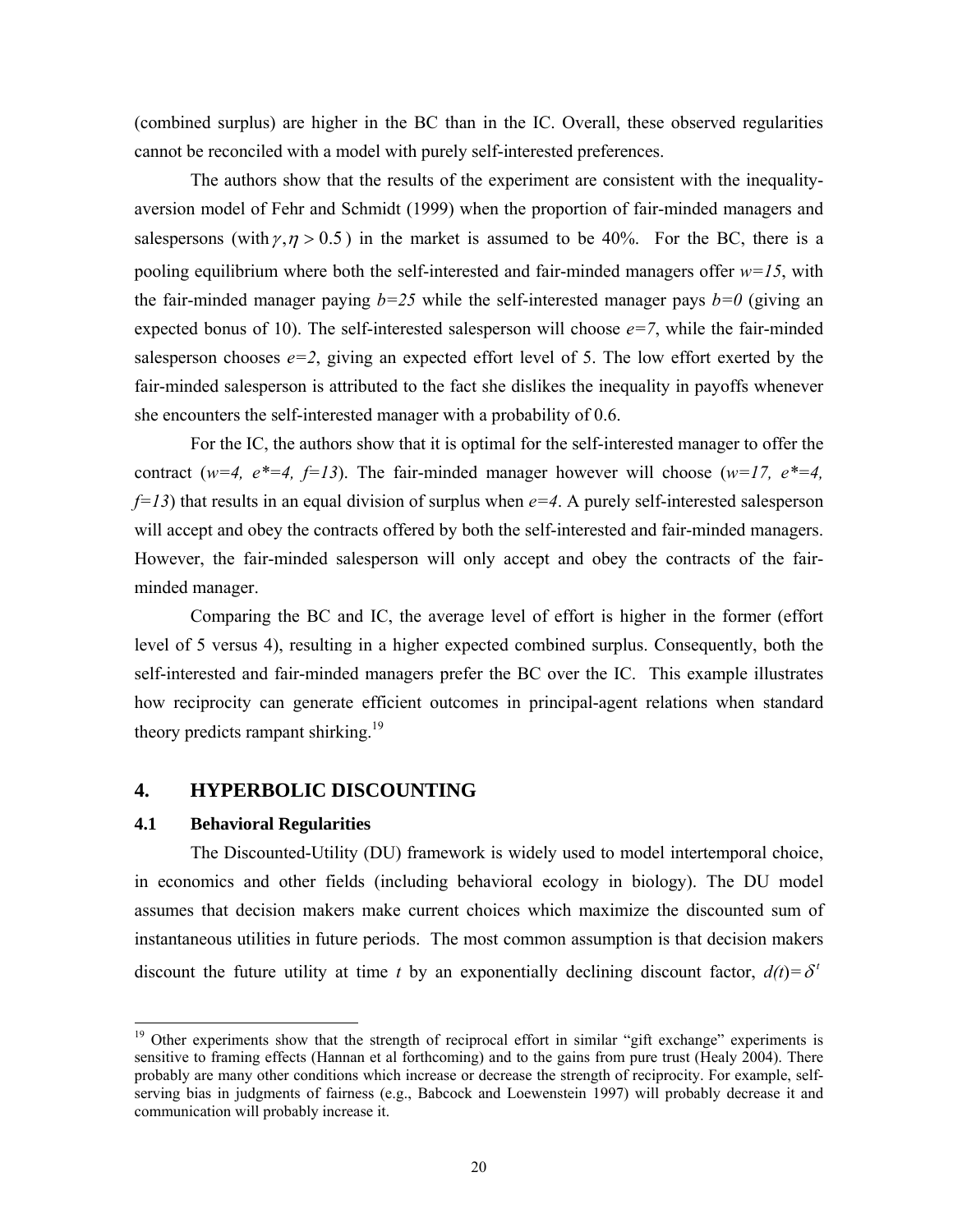(combined surplus) are higher in the BC than in the IC. Overall, these observed regularities cannot be reconciled with a model with purely self-interested preferences.

The authors show that the results of the experiment are consistent with the inequalityaversion model of Fehr and Schmidt (1999) when the proportion of fair-minded managers and salespersons (with  $\gamma$ ,  $\eta$  > 0.5) in the market is assumed to be 40%. For the BC, there is a pooling equilibrium where both the self-interested and fair-minded managers offer *w=15*, with the fair-minded manager paying  $b=25$  while the self-interested manager pays  $b=0$  (giving an expected bonus of 10). The self-interested salesperson will choose  $e=7$ , while the fair-minded salesperson chooses  $e=2$ , giving an expected effort level of 5. The low effort exerted by the fair-minded salesperson is attributed to the fact she dislikes the inequality in payoffs whenever she encounters the self-interested manager with a probability of 0.6.

For the IC, the authors show that it is optimal for the self-interested manager to offer the contract ( $w=4$ ,  $e^*=4$ ,  $f=13$ ). The fair-minded manager however will choose ( $w=17$ ,  $e^*=4$ , *f=13*) that results in an equal division of surplus when *e=4*. A purely self-interested salesperson will accept and obey the contracts offered by both the self-interested and fair-minded managers. However, the fair-minded salesperson will only accept and obey the contracts of the fairminded manager.

Comparing the BC and IC, the average level of effort is higher in the former (effort level of 5 versus 4), resulting in a higher expected combined surplus. Consequently, both the self-interested and fair-minded managers prefer the BC over the IC. This example illustrates how reciprocity can generate efficient outcomes in principal-agent relations when standard theory predicts rampant shirking.<sup>19</sup>

## **4. HYPERBOLIC DISCOUNTING**

### **4.1 Behavioral Regularities**

l

The Discounted-Utility (DU) framework is widely used to model intertemporal choice, in economics and other fields (including behavioral ecology in biology). The DU model assumes that decision makers make current choices which maximize the discounted sum of instantaneous utilities in future periods. The most common assumption is that decision makers discount the future utility at time *t* by an exponentially declining discount factor,  $d(t) = \delta^t$ 

<sup>&</sup>lt;sup>19</sup> Other experiments show that the strength of reciprocal effort in similar "gift exchange" experiments is sensitive to framing effects (Hannan et al forthcoming) and to the gains from pure trust (Healy 2004). There probably are many other conditions which increase or decrease the strength of reciprocity. For example, selfserving bias in judgments of fairness (e.g., Babcock and Loewenstein 1997) will probably decrease it and communication will probably increase it.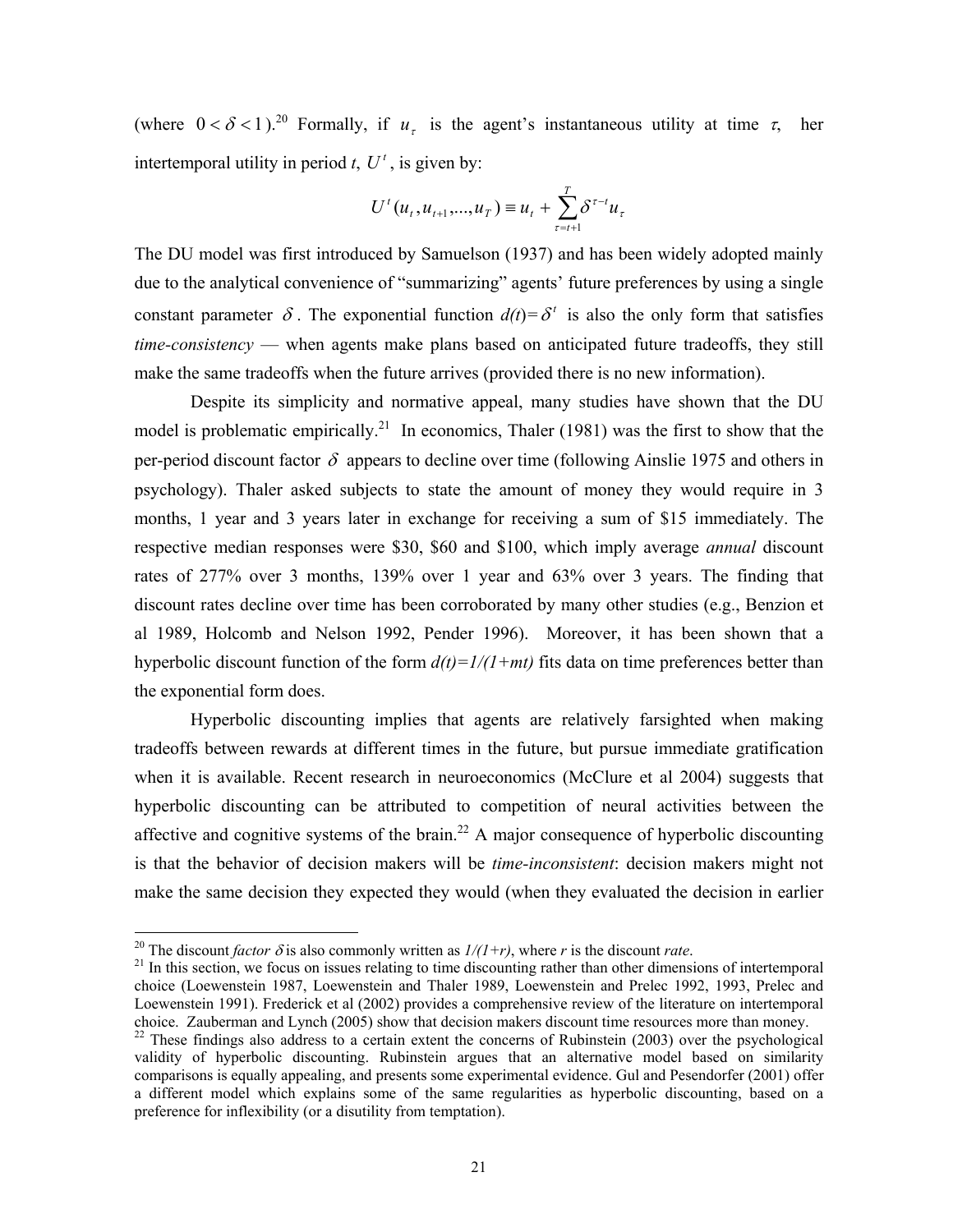(where  $0 < \delta < 1$ ).<sup>20</sup> Formally, if  $u<sub>r</sub>$  is the agent's instantaneous utility at time  $\tau$ , her intertemporal utility in period *t*,  $U^t$ , is given by:

$$
U^{t}(u_{t}, u_{t+1},...,u_{T}) \equiv u_{t} + \sum_{\tau=t+1}^{T} \delta^{\tau-t} u_{\tau}
$$

The DU model was first introduced by Samuelson (1937) and has been widely adopted mainly due to the analytical convenience of "summarizing" agents' future preferences by using a single constant parameter  $\delta$ . The exponential function  $d(t) = \delta^t$  is also the only form that satisfies *time-consistency* — when agents make plans based on anticipated future tradeoffs, they still make the same tradeoffs when the future arrives (provided there is no new information).

Despite its simplicity and normative appeal, many studies have shown that the DU model is problematic empirically.<sup>21</sup> In economics, Thaler (1981) was the first to show that the per-period discount factor  $\delta$  appears to decline over time (following Ainslie 1975 and others in psychology). Thaler asked subjects to state the amount of money they would require in 3 months, 1 year and 3 years later in exchange for receiving a sum of \$15 immediately. The respective median responses were \$30, \$60 and \$100, which imply average *annual* discount rates of 277% over 3 months, 139% over 1 year and 63% over 3 years. The finding that discount rates decline over time has been corroborated by many other studies (e.g., Benzion et al 1989, Holcomb and Nelson 1992, Pender 1996). Moreover, it has been shown that a hyperbolic discount function of the form  $d(t)=1/(1+mt)$  fits data on time preferences better than the exponential form does.

Hyperbolic discounting implies that agents are relatively farsighted when making tradeoffs between rewards at different times in the future, but pursue immediate gratification when it is available. Recent research in neuroeconomics (McClure et al 2004) suggests that hyperbolic discounting can be attributed to competition of neural activities between the affective and cognitive systems of the brain.<sup>22</sup> A major consequence of hyperbolic discounting is that the behavior of decision makers will be *time-inconsistent*: decision makers might not make the same decision they expected they would (when they evaluated the decision in earlier

<sup>&</sup>lt;sup>20</sup> The discount *factor*  $\delta$  is also commonly written as  $1/(1+r)$ , where r is the discount rate.<br><sup>21</sup> In this section, we focus on issues relating to time discounting rather than other dimensions of intertemporal choice (Loewenstein 1987, Loewenstein and Thaler 1989, Loewenstein and Prelec 1992, 1993, Prelec and Loewenstein 1991). Frederick et al (2002) provides a comprehensive review of the literature on intertemporal choice. Zauberman and Lynch (2005) show that decision makers discount time resources more than money.

<sup>&</sup>lt;sup>22</sup> These findings also address to a certain extent the concerns of Rubinstein (2003) over the psychological validity of hyperbolic discounting. Rubinstein argues that an alternative model based on similarity comparisons is equally appealing, and presents some experimental evidence. Gul and Pesendorfer (2001) offer a different model which explains some of the same regularities as hyperbolic discounting, based on a preference for inflexibility (or a disutility from temptation).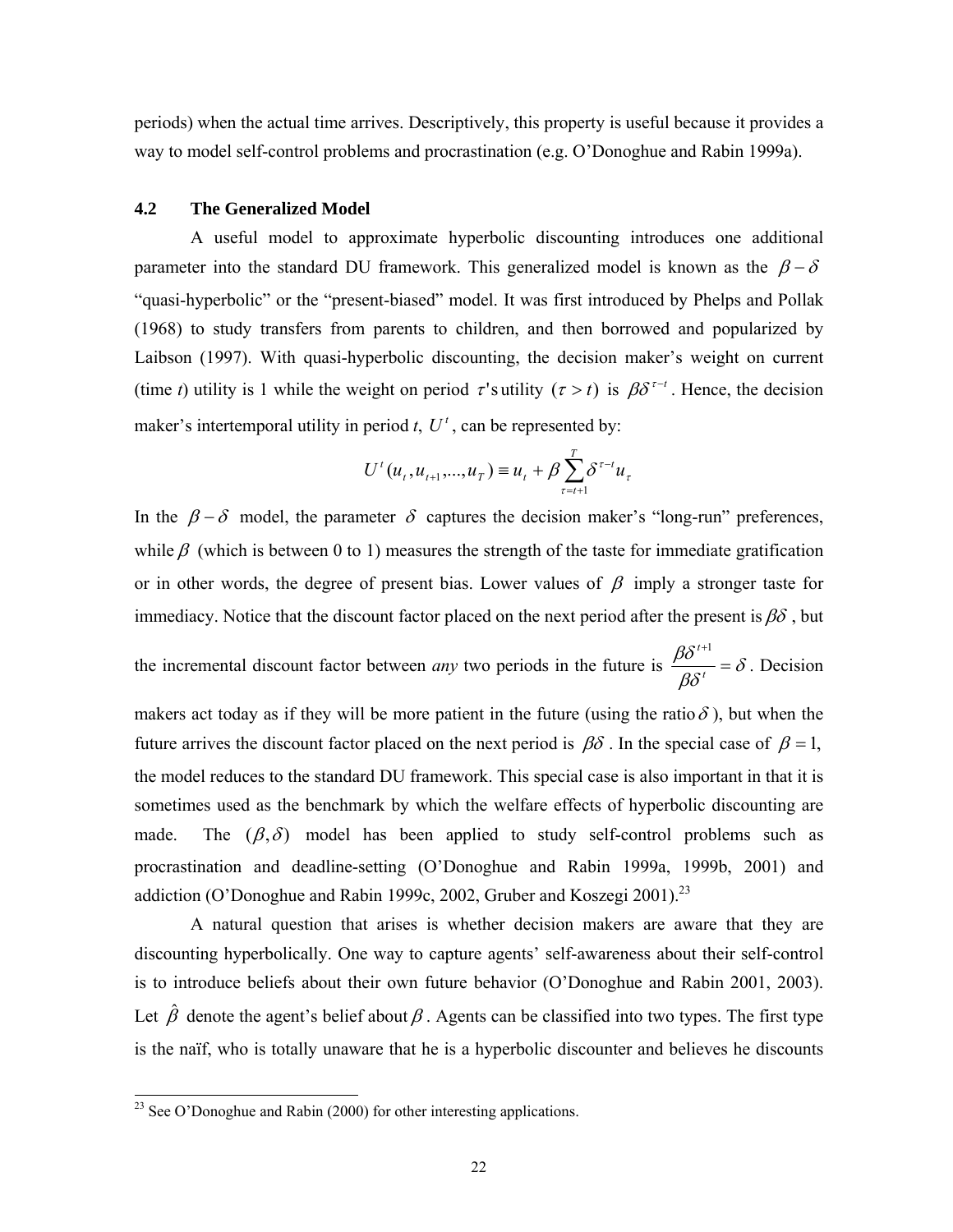periods) when the actual time arrives. Descriptively, this property is useful because it provides a way to model self-control problems and procrastination (e.g. O'Donoghue and Rabin 1999a).

## **4.2 The Generalized Model**

A useful model to approximate hyperbolic discounting introduces one additional parameter into the standard DU framework. This generalized model is known as the  $\beta - \delta$ "quasi-hyperbolic" or the "present-biased" model. It was first introduced by Phelps and Pollak (1968) to study transfers from parents to children, and then borrowed and popularized by Laibson (1997). With quasi-hyperbolic discounting, the decision maker's weight on current (time *t*) utility is 1 while the weight on period  $\tau$ 's utility ( $\tau > t$ ) is  $\beta \delta^{\tau-t}$ . Hence, the decision maker's intertemporal utility in period  $t$ ,  $U^t$ , can be represented by:

$$
U^{t}(u_{t}, u_{t+1},...,u_{T}) \equiv u_{t} + \beta \sum_{\tau=t+1}^{T} \delta^{\tau-t} u_{\tau}
$$

In the  $\beta - \delta$  model, the parameter  $\delta$  captures the decision maker's "long-run" preferences, while  $\beta$  (which is between 0 to 1) measures the strength of the taste for immediate gratification or in other words, the degree of present bias. Lower values of  $\beta$  imply a stronger taste for immediacy. Notice that the discount factor placed on the next period after the present is  $\beta\delta$ , but the incremental discount factor between *any* two periods in the future is  $\frac{\rho c}{\rho c} = \delta$ βδ  $\frac{\beta \delta^{t+1}}{t^{2\alpha t}} =$ *t*  $t+1$ . Decision

makers act today as if they will be more patient in the future (using the ratio  $\delta$ ), but when the future arrives the discount factor placed on the next period is  $\beta\delta$ . In the special case of  $\beta = 1$ , the model reduces to the standard DU framework. This special case is also important in that it is sometimes used as the benchmark by which the welfare effects of hyperbolic discounting are made. The  $(\beta, \delta)$  model has been applied to study self-control problems such as procrastination and deadline-setting (O'Donoghue and Rabin 1999a, 1999b, 2001) and addiction (O'Donoghue and Rabin 1999c, 2002, Gruber and Koszegi 2001).<sup>23</sup>

 A natural question that arises is whether decision makers are aware that they are discounting hyperbolically. One way to capture agents' self-awareness about their self-control is to introduce beliefs about their own future behavior (O'Donoghue and Rabin 2001, 2003). Let  $\hat{\beta}$  denote the agent's belief about  $\beta$ . Agents can be classified into two types. The first type is the naïf, who is totally unaware that he is a hyperbolic discounter and believes he discounts

<sup>&</sup>lt;sup>23</sup> See O'Donoghue and Rabin (2000) for other interesting applications.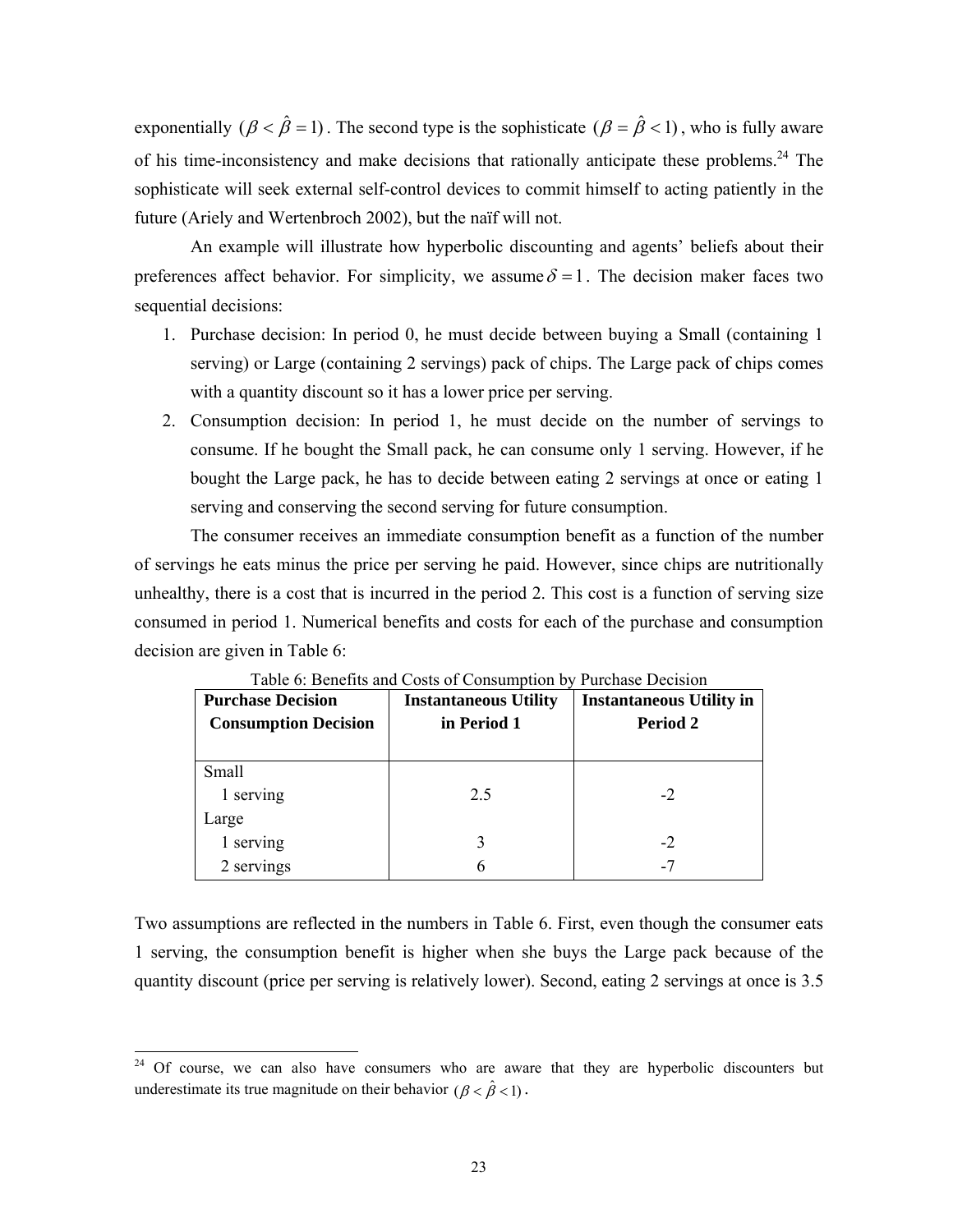exponentially  $(\beta < \hat{\beta} = 1)$ . The second type is the sophisticate  $(\beta = \hat{\beta} < 1)$ , who is fully aware of his time-inconsistency and make decisions that rationally anticipate these problems.<sup>24</sup> The sophisticate will seek external self-control devices to commit himself to acting patiently in the future (Ariely and Wertenbroch 2002), but the naïf will not.

An example will illustrate how hyperbolic discounting and agents' beliefs about their preferences affect behavior. For simplicity, we assume  $\delta = 1$ . The decision maker faces two sequential decisions:

- 1. Purchase decision: In period 0, he must decide between buying a Small (containing 1 serving) or Large (containing 2 servings) pack of chips. The Large pack of chips comes with a quantity discount so it has a lower price per serving.
- 2. Consumption decision: In period 1, he must decide on the number of servings to consume. If he bought the Small pack, he can consume only 1 serving. However, if he bought the Large pack, he has to decide between eating 2 servings at once or eating 1 serving and conserving the second serving for future consumption.

 The consumer receives an immediate consumption benefit as a function of the number of servings he eats minus the price per serving he paid. However, since chips are nutritionally unhealthy, there is a cost that is incurred in the period 2. This cost is a function of serving size consumed in period 1. Numerical benefits and costs for each of the purchase and consumption decision are given in Table 6:

| <b>Purchase Decision</b><br><b>Consumption Decision</b> | <b>Instantaneous Utility</b><br>in Period 1 | <b>Instantaneous Utility in</b><br>Period 2 |  |
|---------------------------------------------------------|---------------------------------------------|---------------------------------------------|--|
| Small                                                   |                                             |                                             |  |
| 1 serving                                               | 2.5                                         | $-2$                                        |  |
| Large                                                   |                                             |                                             |  |
| 1 serving                                               |                                             | -2                                          |  |
| 2 servings                                              | h                                           | -7                                          |  |

Table 6: Benefits and Costs of Consumption by Purchase Decision

Two assumptions are reflected in the numbers in Table 6. First, even though the consumer eats 1 serving, the consumption benefit is higher when she buys the Large pack because of the quantity discount (price per serving is relatively lower). Second, eating 2 servings at once is 3.5

<sup>&</sup>lt;sup>24</sup> Of course, we can also have consumers who are aware that they are hyperbolic discounters but underestimate its true magnitude on their behavior  $(\beta < \hat{\beta} < 1)$ .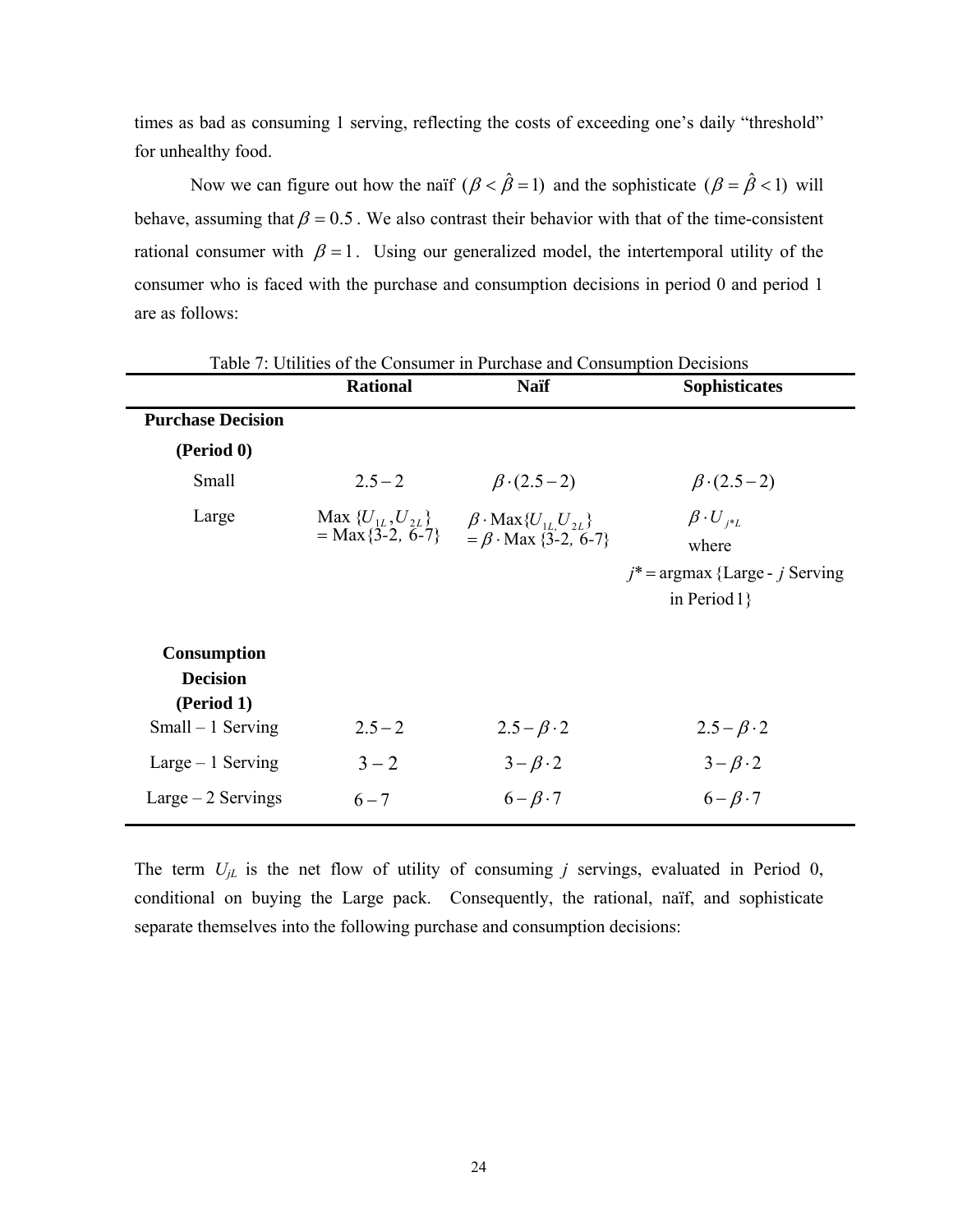times as bad as consuming 1 serving, reflecting the costs of exceeding one's daily "threshold" for unhealthy food.

Now we can figure out how the naïf  $(\beta < \hat{\beta} = 1)$  and the sophisticate  $(\beta = \hat{\beta} < 1)$  will behave, assuming that  $\beta = 0.5$ . We also contrast their behavior with that of the time-consistent rational consumer with  $\beta = 1$ . Using our generalized model, the intertemporal utility of the consumer who is faced with the purchase and consumption decisions in period 0 and period 1 are as follows:

|                                                                          | <b>Rational</b>     | Tuble 1. Otherway of the Consumer in Furentise and Consumption Decisions<br><b>Naif</b>             | <b>Sophisticates</b>                                                                    |
|--------------------------------------------------------------------------|---------------------|-----------------------------------------------------------------------------------------------------|-----------------------------------------------------------------------------------------|
| <b>Purchase Decision</b>                                                 |                     |                                                                                                     |                                                                                         |
| (Period 0)                                                               |                     |                                                                                                     |                                                                                         |
| Small                                                                    | $2.5 - 2$           | $\beta$ (2.5 – 2)                                                                                   | $\beta$ · (2.5 – 2)                                                                     |
| Large                                                                    | $= Max\{3-2, 6-7\}$ | Max ${U_{1L}, U_{2L}}$ $\beta$ · Max ${U_{1L}, U_{2L}}$<br>$= \beta \cdot \text{Max } \{3-2, 6-7\}$ | $\beta \cdot U_{i^*L}$<br>where<br>$j^*$ = argmax {Large - j Serving<br>in Period $1$ } |
| <b>Consumption</b><br><b>Decision</b><br>(Period 1)<br>$Small-1$ Serving | $2.5 - 2$           | $2.5 - \beta \cdot 2$                                                                               | $2.5 - \beta \cdot 2$                                                                   |
| $Large-1$ Serving                                                        | $3 - 2$             | $3-\beta \cdot 2$                                                                                   | $3-\beta \cdot 2$                                                                       |
| $Large-2$ Servings                                                       | $6 - 7$             | $6 - \beta \cdot 7$                                                                                 | $6 - \beta \cdot 7$                                                                     |

Table 7: Utilities of the Consumer in Purchase and Consumption Decisions

The term  $U_{jL}$  is the net flow of utility of consuming *j* servings, evaluated in Period 0, conditional on buying the Large pack. Consequently, the rational, naïf, and sophisticate separate themselves into the following purchase and consumption decisions: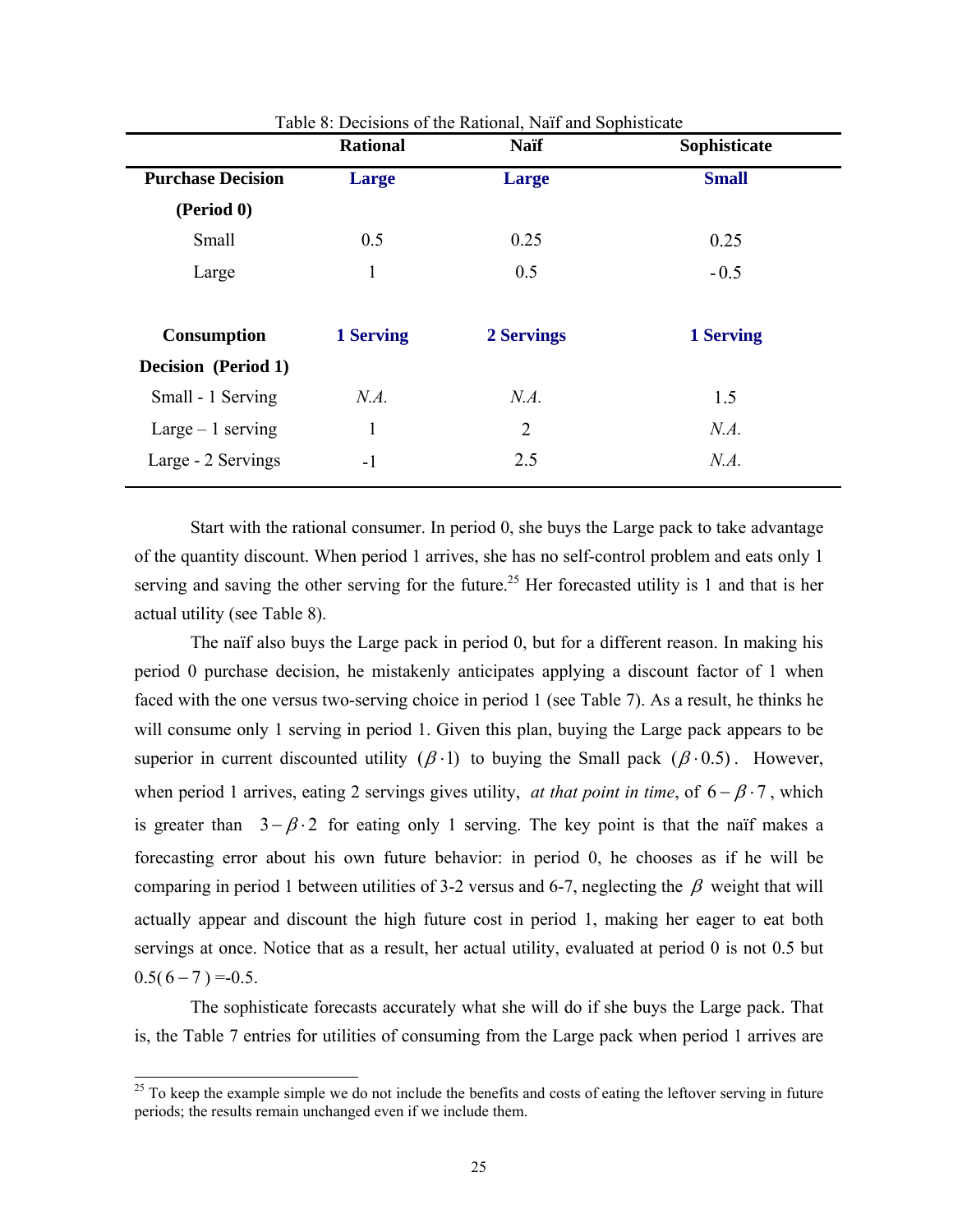|                            | <b>Rational</b> | <b>Naif</b> | Sophisticate |
|----------------------------|-----------------|-------------|--------------|
| <b>Purchase Decision</b>   | Large           | Large       | <b>Small</b> |
| (Period 0)                 |                 |             |              |
| Small                      | 0.5             | 0.25        | 0.25         |
| Large                      | 1               | 0.5         | $-0.5$       |
|                            |                 |             |              |
| <b>Consumption</b>         | 1 Serving       | 2 Servings  | 1 Serving    |
| <b>Decision</b> (Period 1) |                 |             |              |
| Small - 1 Serving          | N.A.            | N.A.        | 1.5          |
| Large $-1$ serving         |                 | 2           | N.A.         |
| Large - 2 Servings         | $-1$            | 2.5         | N.A.         |
|                            |                 |             |              |

Table 8: Decisions of the Rational, Naïf and Sophisticate

Start with the rational consumer. In period 0, she buys the Large pack to take advantage of the quantity discount. When period 1 arrives, she has no self-control problem and eats only 1 serving and saving the other serving for the future.<sup>25</sup> Her forecasted utility is 1 and that is her actual utility (see Table 8).

The naïf also buys the Large pack in period 0, but for a different reason. In making his period 0 purchase decision, he mistakenly anticipates applying a discount factor of 1 when faced with the one versus two-serving choice in period 1 (see Table 7). As a result, he thinks he will consume only 1 serving in period 1. Given this plan, buying the Large pack appears to be superior in current discounted utility ( $\beta$  · 1) to buying the Small pack ( $\beta$  · 0.5). However, when period 1 arrives, eating 2 servings gives utility, *at that point in time*, of  $6 - \beta \cdot 7$ , which is greater than  $3-\beta \cdot 2$  for eating only 1 serving. The key point is that the naïf makes a forecasting error about his own future behavior: in period 0, he chooses as if he will be comparing in period 1 between utilities of 3-2 versus and 6-7, neglecting the  $\beta$  weight that will actually appear and discount the high future cost in period 1, making her eager to eat both servings at once. Notice that as a result, her actual utility, evaluated at period 0 is not 0.5 but  $0.5(6 - 7) = 0.5$ .

The sophisticate forecasts accurately what she will do if she buys the Large pack. That is, the Table 7 entries for utilities of consuming from the Large pack when period 1 arrives are

 $25$  To keep the example simple we do not include the benefits and costs of eating the leftover serving in future periods; the results remain unchanged even if we include them.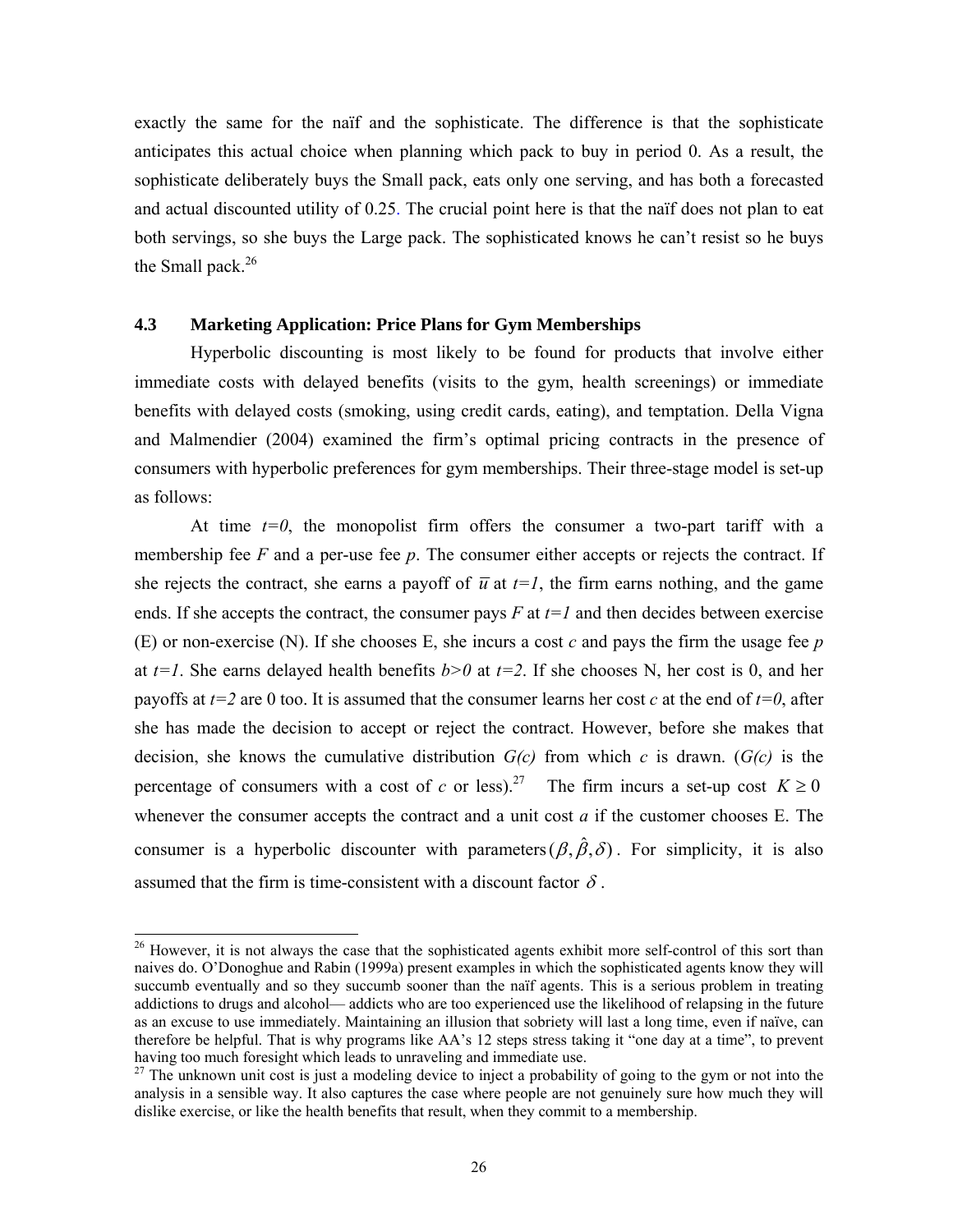exactly the same for the naïf and the sophisticate. The difference is that the sophisticate anticipates this actual choice when planning which pack to buy in period 0. As a result, the sophisticate deliberately buys the Small pack, eats only one serving, and has both a forecasted and actual discounted utility of 0.25. The crucial point here is that the naïf does not plan to eat both servings, so she buys the Large pack. The sophisticated knows he can't resist so he buys the Small pack. $26$ 

### **4.3 Marketing Application: Price Plans for Gym Memberships**

 Hyperbolic discounting is most likely to be found for products that involve either immediate costs with delayed benefits (visits to the gym, health screenings) or immediate benefits with delayed costs (smoking, using credit cards, eating), and temptation. Della Vigna and Malmendier (2004) examined the firm's optimal pricing contracts in the presence of consumers with hyperbolic preferences for gym memberships. Their three-stage model is set-up as follows:

At time  $t=0$ , the monopolist firm offers the consumer a two-part tariff with a membership fee *F* and a per-use fee *p*. The consumer either accepts or rejects the contract. If she rejects the contract, she earns a payoff of  $\overline{u}$  at  $t=1$ , the firm earns nothing, and the game ends. If she accepts the contract, the consumer pays  $F$  at  $t=1$  and then decides between exercise (E) or non-exercise (N). If she chooses E, she incurs a cost *c* and pays the firm the usage fee *p* at  $t=1$ . She earns delayed health benefits  $b>0$  at  $t=2$ . If she chooses N, her cost is 0, and her payoffs at  $t=2$  are 0 too. It is assumed that the consumer learns her cost *c* at the end of  $t=0$ , after she has made the decision to accept or reject the contract. However, before she makes that decision, she knows the cumulative distribution *G(c)* from which *c* is drawn. (*G(c)* is the percentage of consumers with a cost of *c* or less).<sup>27</sup> The firm incurs a set-up cost  $K \ge 0$ whenever the consumer accepts the contract and a unit cost *a* if the customer chooses E. The consumer is a hyperbolic discounter with parameters  $(\beta, \hat{\beta}, \delta)$ . For simplicity, it is also assumed that the firm is time-consistent with a discount factor  $\delta$ .

<sup>&</sup>lt;sup>26</sup> However, it is not always the case that the sophisticated agents exhibit more self-control of this sort than naives do. O'Donoghue and Rabin (1999a) present examples in which the sophisticated agents know they will succumb eventually and so they succumb sooner than the naïf agents. This is a serious problem in treating addictions to drugs and alcohol— addicts who are too experienced use the likelihood of relapsing in the future as an excuse to use immediately. Maintaining an illusion that sobriety will last a long time, even if naïve, can therefore be helpful. That is why programs like AA's 12 steps stress taking it "one day at a time", to prevent having too much foresight which leads to unraveling and immediate use.

<sup>&</sup>lt;sup>27</sup> The unknown unit cost is just a modeling device to inject a probability of going to the gym or not into the analysis in a sensible way. It also captures the case where people are not genuinely sure how much they will dislike exercise, or like the health benefits that result, when they commit to a membership.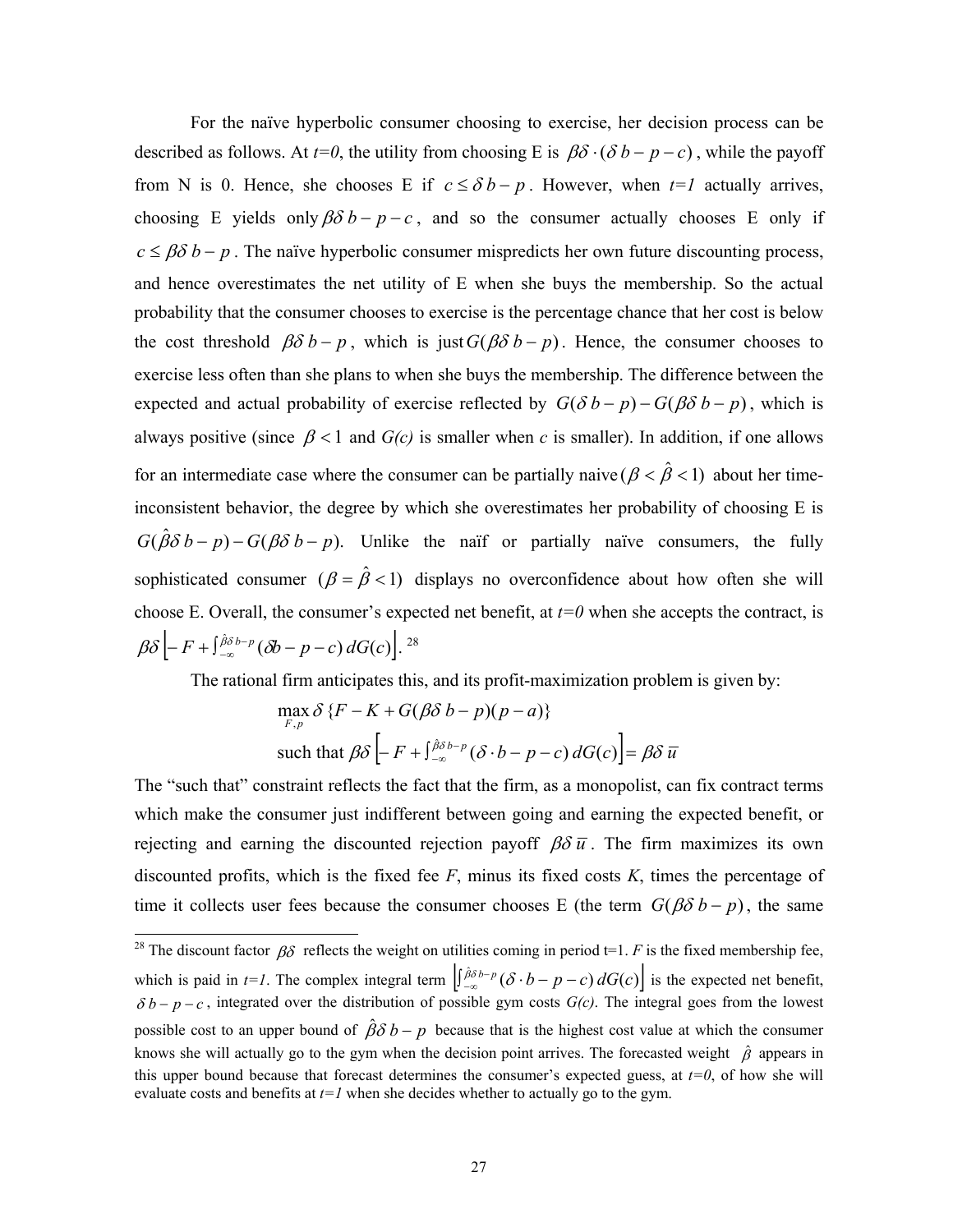For the naïve hyperbolic consumer choosing to exercise, her decision process can be described as follows. At  $t=0$ , the utility from choosing E is  $\beta\delta \cdot (\delta b - p - c)$ , while the payoff from N is 0. Hence, she chooses E if  $c \leq \delta b - p$ . However, when  $t = 1$  actually arrives, choosing E yields only  $\beta \delta b - p - c$ , and so the consumer actually chooses E only if  $c \leq \beta \delta b - p$ . The naïve hyperbolic consumer mispredicts her own future discounting process, and hence overestimates the net utility of E when she buys the membership. So the actual probability that the consumer chooses to exercise is the percentage chance that her cost is below the cost threshold  $\beta \delta b - p$ , which is just  $G(\beta \delta b - p)$ . Hence, the consumer chooses to exercise less often than she plans to when she buys the membership. The difference between the expected and actual probability of exercise reflected by  $G(\delta b - p) - G(\beta \delta b - p)$ , which is always positive (since  $\beta$  < 1 and *G(c)* is smaller when *c* is smaller). In addition, if one allows for an intermediate case where the consumer can be partially naive  $(\beta < \hat{\beta} < 1)$  about her timeinconsistent behavior, the degree by which she overestimates her probability of choosing E is  $G(\hat{\beta}\delta b - p) - G(\beta\delta b - p)$ . Unlike the naïf or partially naïve consumers, the fully sophisticated consumer  $(\beta = \hat{\beta} < 1)$  displays no overconfidence about how often she will choose E. Overall, the consumer's expected net benefit, at  $t=0$  when she accepts the contract, is  $\beta \delta \left[ -F + \int_{-\infty}^{\hat{\beta} \delta} b - p \left( \delta b - p - c \right) dG(c) \right]$ . <sup>28</sup>

The rational firm anticipates this, and its profit-maximization problem is given by:

$$
\max_{F,p} \delta \{ F - K + G(\beta \delta b - p)(p - a) \}
$$
\nsuch that

\n
$$
\beta \delta \left[ -F + \int_{-\infty}^{\beta \delta b - p} (\delta \cdot b - p - c) \, dG(c) \right] = \beta \delta \overline{u}
$$

The "such that" constraint reflects the fact that the firm, as a monopolist, can fix contract terms which make the consumer just indifferent between going and earning the expected benefit, or rejecting and earning the discounted rejection payoff  $\beta \delta \bar{u}$ . The firm maximizes its own discounted profits, which is the fixed fee *F*, minus its fixed costs *K*, times the percentage of time it collects user fees because the consumer chooses E (the term  $G(\beta\delta b - p)$ , the same

<sup>&</sup>lt;sup>28</sup> The discount factor  $\beta\delta$  reflects the weight on utilities coming in period t=1. *F* is the fixed membership fee, which is paid in  $t=1$ . The complex integral term  $\left[\int_{-\infty}^{\beta\delta} b^{-p} (\delta \cdot b - p - c) dG(c)\right]$  is the expected net benefit,  $\delta b - p - c$ , integrated over the distribution of possible gym costs  $G(c)$ . The integral goes from the lowest possible cost to an upper bound of  $\hat{\beta}\delta b - p$  because that is the highest cost value at which the consumer knows she will actually go to the gym when the decision point arrives. The forecasted weight  $\hat{\beta}$  appears in this upper bound because that forecast determines the consumer's expected guess, at  $t=0$ , of how she will evaluate costs and benefits at *t=1* when she decides whether to actually go to the gym.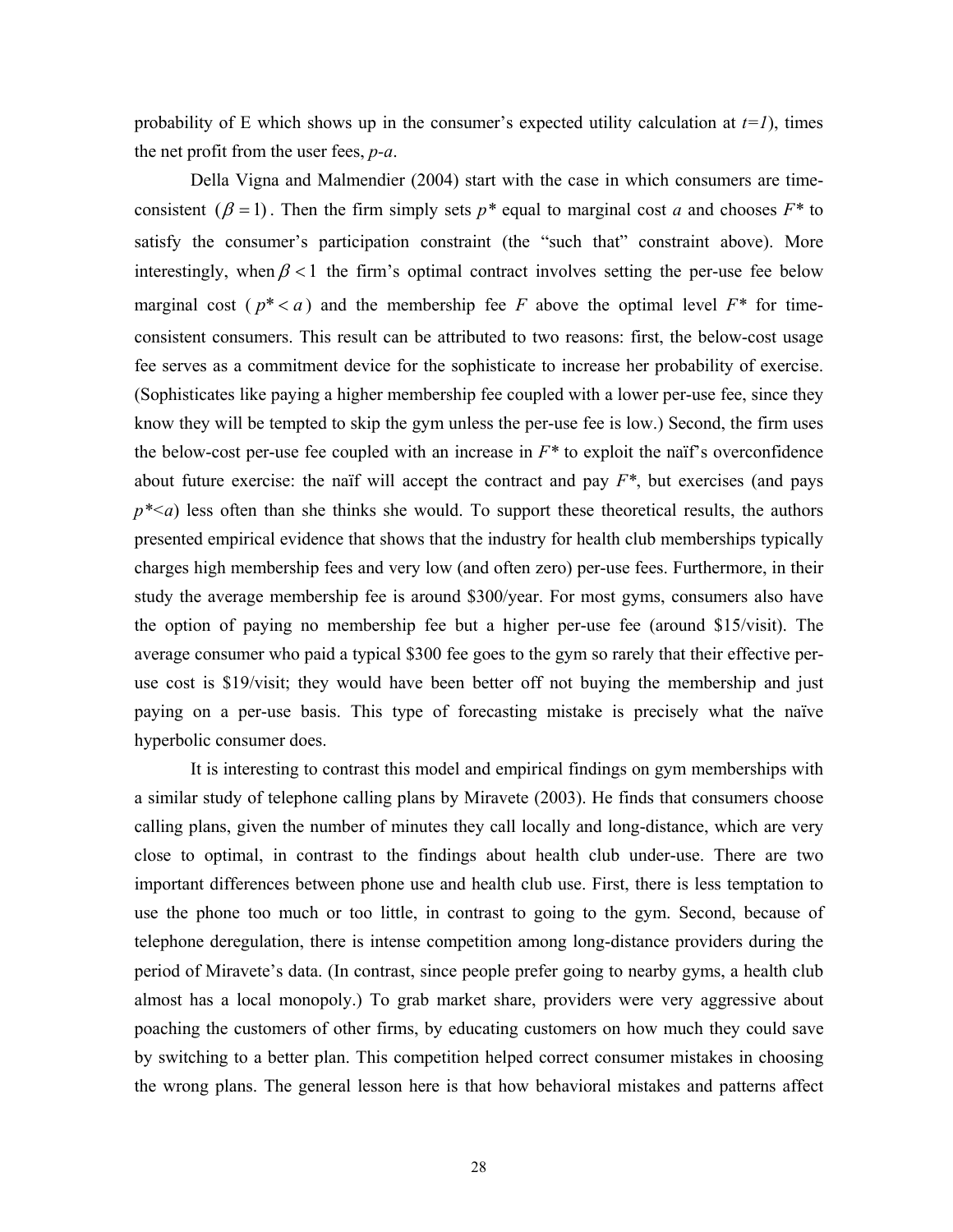probability of E which shows up in the consumer's expected utility calculation at  $t=1$ , times the net profit from the user fees, *p-a*.

Della Vigna and Malmendier (2004) start with the case in which consumers are timeconsistent  $(\beta = 1)$ . Then the firm simply sets  $p^*$  equal to marginal cost *a* and chooses  $F^*$  to satisfy the consumer's participation constraint (the "such that" constraint above). More interestingly, when  $\beta$  < 1 the firm's optimal contract involves setting the per-use fee below marginal cost ( $p^* < a$ ) and the membership fee *F* above the optimal level  $F^*$  for timeconsistent consumers. This result can be attributed to two reasons: first, the below-cost usage fee serves as a commitment device for the sophisticate to increase her probability of exercise. (Sophisticates like paying a higher membership fee coupled with a lower per-use fee, since they know they will be tempted to skip the gym unless the per-use fee is low.) Second, the firm uses the below-cost per-use fee coupled with an increase in  $F^*$  to exploit the naïf's overconfidence about future exercise: the naïf will accept the contract and pay *F\**, but exercises (and pays  $p^*$  a) less often than she thinks she would. To support these theoretical results, the authors presented empirical evidence that shows that the industry for health club memberships typically charges high membership fees and very low (and often zero) per-use fees. Furthermore, in their study the average membership fee is around \$300/year. For most gyms, consumers also have the option of paying no membership fee but a higher per-use fee (around \$15/visit). The average consumer who paid a typical \$300 fee goes to the gym so rarely that their effective peruse cost is \$19/visit; they would have been better off not buying the membership and just paying on a per-use basis. This type of forecasting mistake is precisely what the naïve hyperbolic consumer does.

 It is interesting to contrast this model and empirical findings on gym memberships with a similar study of telephone calling plans by Miravete (2003). He finds that consumers choose calling plans, given the number of minutes they call locally and long-distance, which are very close to optimal, in contrast to the findings about health club under-use. There are two important differences between phone use and health club use. First, there is less temptation to use the phone too much or too little, in contrast to going to the gym. Second, because of telephone deregulation, there is intense competition among long-distance providers during the period of Miravete's data. (In contrast, since people prefer going to nearby gyms, a health club almost has a local monopoly.) To grab market share, providers were very aggressive about poaching the customers of other firms, by educating customers on how much they could save by switching to a better plan. This competition helped correct consumer mistakes in choosing the wrong plans. The general lesson here is that how behavioral mistakes and patterns affect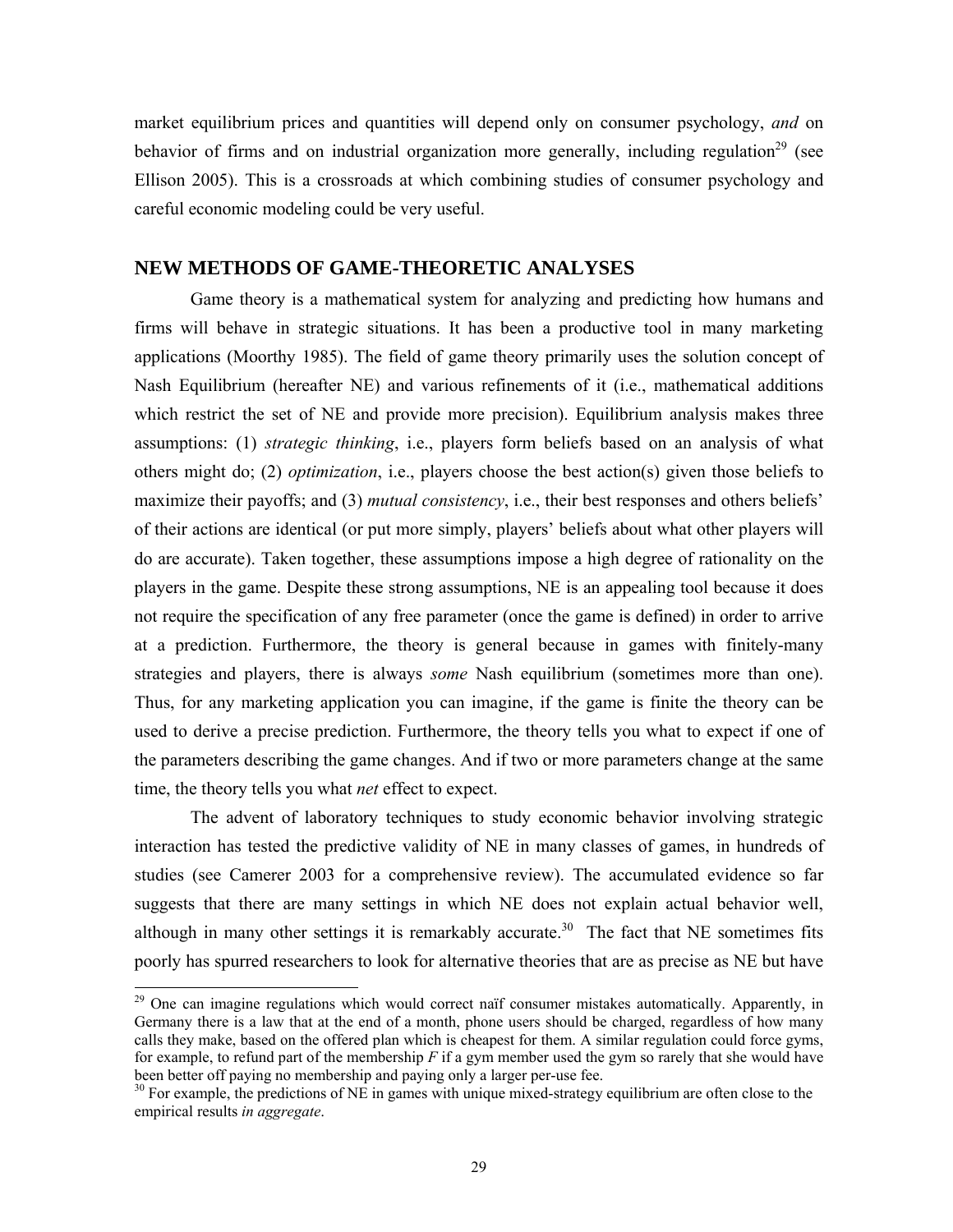market equilibrium prices and quantities will depend only on consumer psychology, *and* on behavior of firms and on industrial organization more generally, including regulation<sup>29</sup> (see Ellison 2005). This is a crossroads at which combining studies of consumer psychology and careful economic modeling could be very useful.

## **NEW METHODS OF GAME-THEORETIC ANALYSES**

Game theory is a mathematical system for analyzing and predicting how humans and firms will behave in strategic situations. It has been a productive tool in many marketing applications (Moorthy 1985). The field of game theory primarily uses the solution concept of Nash Equilibrium (hereafter NE) and various refinements of it (i.e., mathematical additions which restrict the set of NE and provide more precision). Equilibrium analysis makes three assumptions: (1) *strategic thinking*, i.e., players form beliefs based on an analysis of what others might do; (2) *optimization*, i.e., players choose the best action(s) given those beliefs to maximize their payoffs; and (3) *mutual consistency*, i.e., their best responses and others beliefs' of their actions are identical (or put more simply, players' beliefs about what other players will do are accurate). Taken together, these assumptions impose a high degree of rationality on the players in the game. Despite these strong assumptions, NE is an appealing tool because it does not require the specification of any free parameter (once the game is defined) in order to arrive at a prediction. Furthermore, the theory is general because in games with finitely-many strategies and players, there is always *some* Nash equilibrium (sometimes more than one). Thus, for any marketing application you can imagine, if the game is finite the theory can be used to derive a precise prediction. Furthermore, the theory tells you what to expect if one of the parameters describing the game changes. And if two or more parameters change at the same time, the theory tells you what *net* effect to expect.

The advent of laboratory techniques to study economic behavior involving strategic interaction has tested the predictive validity of NE in many classes of games, in hundreds of studies (see Camerer 2003 for a comprehensive review). The accumulated evidence so far suggests that there are many settings in which NE does not explain actual behavior well, although in many other settings it is remarkably accurate.<sup>30</sup> The fact that NE sometimes fits poorly has spurred researchers to look for alternative theories that are as precise as NE but have

 $29$  One can imagine regulations which would correct naïf consumer mistakes automatically. Apparently, in Germany there is a law that at the end of a month, phone users should be charged, regardless of how many calls they make, based on the offered plan which is cheapest for them. A similar regulation could force gyms, for example, to refund part of the membership *F* if a gym member used the gym so rarely that she would have been better off paying no membership and paying only a larger per-use fee.

<sup>&</sup>lt;sup>30</sup> For example, the predictions of NE in games with unique mixed-strategy equilibrium are often close to the empirical results *in aggregate*.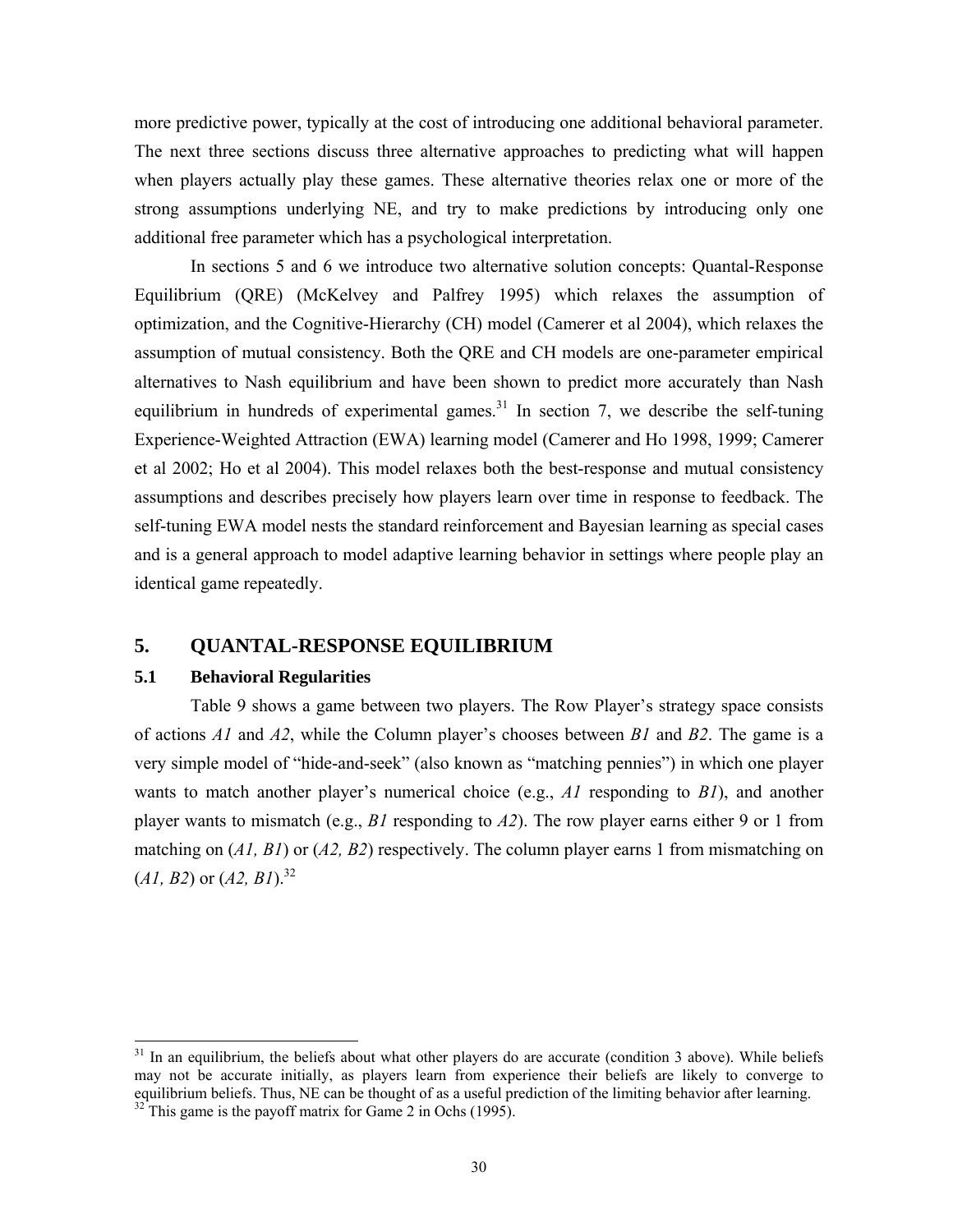more predictive power, typically at the cost of introducing one additional behavioral parameter. The next three sections discuss three alternative approaches to predicting what will happen when players actually play these games. These alternative theories relax one or more of the strong assumptions underlying NE, and try to make predictions by introducing only one additional free parameter which has a psychological interpretation.

In sections 5 and 6 we introduce two alternative solution concepts: Quantal-Response Equilibrium (QRE) (McKelvey and Palfrey 1995) which relaxes the assumption of optimization, and the Cognitive-Hierarchy (CH) model (Camerer et al 2004), which relaxes the assumption of mutual consistency. Both the QRE and CH models are one-parameter empirical alternatives to Nash equilibrium and have been shown to predict more accurately than Nash equilibrium in hundreds of experimental games.<sup>31</sup> In section 7, we describe the self-tuning Experience-Weighted Attraction (EWA) learning model (Camerer and Ho 1998, 1999; Camerer et al 2002; Ho et al 2004). This model relaxes both the best-response and mutual consistency assumptions and describes precisely how players learn over time in response to feedback. The self-tuning EWA model nests the standard reinforcement and Bayesian learning as special cases and is a general approach to model adaptive learning behavior in settings where people play an identical game repeatedly.

## **5. QUANTAL-RESPONSE EQUILIBRIUM**

## **5.1 Behavioral Regularities**

l

Table 9 shows a game between two players. The Row Player's strategy space consists of actions *A1* and *A2*, while the Column player's chooses between *B1* and *B2*. The game is a very simple model of "hide-and-seek" (also known as "matching pennies") in which one player wants to match another player's numerical choice (e.g., *A1* responding to *B1*), and another player wants to mismatch (e.g., *B1* responding to *A2*). The row player earns either 9 or 1 from matching on (*A1, B1*) or (*A2, B2*) respectively. The column player earns 1 from mismatching on  $(A1, B2)$  or  $(A2, B1)$ .<sup>32</sup>

 $31$  In an equilibrium, the beliefs about what other players do are accurate (condition 3 above). While beliefs may not be accurate initially, as players learn from experience their beliefs are likely to converge to equilibrium beliefs. Thus, NE can be thought of as a useful prediction of the limiting behavior after learning.<br><sup>32</sup> This game is the payoff matrix for Game 2 in Ochs (1995).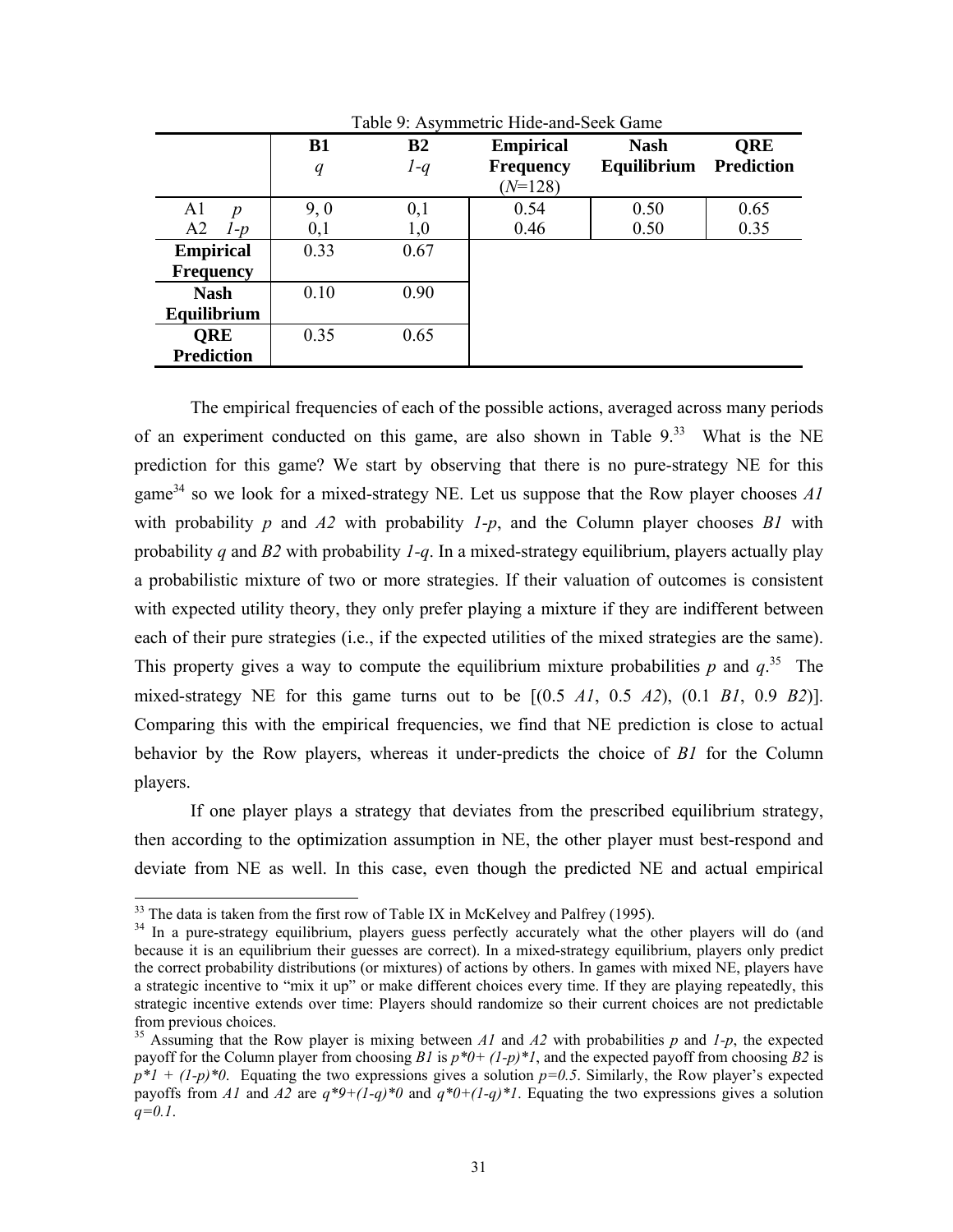|                           | B1<br>q | B <sub>2</sub><br>$1-q$ | <b>Empirical</b><br><b>Frequency</b> | <b>Nash</b><br>Equilibrium | <b>QRE</b><br><b>Prediction</b> |
|---------------------------|---------|-------------------------|--------------------------------------|----------------------------|---------------------------------|
|                           |         |                         | $(N=128)$                            |                            |                                 |
| A <sub>1</sub><br>n       | 9,0     | 0,1                     | 0.54                                 | 0.50                       | 0.65                            |
| A <sub>2</sub><br>$1 - p$ | 0,1     | 1,0                     | 0.46                                 | 0.50                       | 0.35                            |
| <b>Empirical</b>          | 0.33    | 0.67                    |                                      |                            |                                 |
| <b>Frequency</b>          |         |                         |                                      |                            |                                 |
| <b>Nash</b>               | 0.10    | 0.90                    |                                      |                            |                                 |
| Equilibrium               |         |                         |                                      |                            |                                 |
| <b>ORE</b>                | 0.35    | 0.65                    |                                      |                            |                                 |
| <b>Prediction</b>         |         |                         |                                      |                            |                                 |

Table 9: Asymmetric Hide-and-Seek Game

The empirical frequencies of each of the possible actions, averaged across many periods of an experiment conducted on this game, are also shown in Table  $9<sup>33</sup>$  What is the NE prediction for this game? We start by observing that there is no pure-strategy NE for this game<sup>34</sup> so we look for a mixed-strategy NE. Let us suppose that the Row player chooses  $AI$ with probability *p* and  $A2$  with probability  $I-p$ , and the Column player chooses  $BI$  with probability *q* and *B2* with probability *1-q*. In a mixed-strategy equilibrium, players actually play a probabilistic mixture of two or more strategies. If their valuation of outcomes is consistent with expected utility theory, they only prefer playing a mixture if they are indifferent between each of their pure strategies (i.e., if the expected utilities of the mixed strategies are the same). This property gives a way to compute the equilibrium mixture probabilities  $p$  and  $q^{35}$ . The mixed-strategy NE for this game turns out to be [(0.5 *A1*, 0.5 *A2*), (0.1 *B1*, 0.9 *B2*)]. Comparing this with the empirical frequencies, we find that NE prediction is close to actual behavior by the Row players, whereas it under-predicts the choice of *B1* for the Column players.

If one player plays a strategy that deviates from the prescribed equilibrium strategy, then according to the optimization assumption in NE, the other player must best-respond and deviate from NE as well. In this case, even though the predicted NE and actual empirical

<sup>&</sup>lt;sup>33</sup> The data is taken from the first row of Table IX in McKelvey and Palfrey (1995).

<sup>&</sup>lt;sup>34</sup> In a pure-strategy equilibrium, players guess perfectly accurately what the other players will do (and because it is an equilibrium their guesses are correct). In a mixed-strategy equilibrium, players only predict the correct probability distributions (or mixtures) of actions by others. In games with mixed NE, players have a strategic incentive to "mix it up" or make different choices every time. If they are playing repeatedly, this strategic incentive extends over time: Players should randomize so their current choices are not predictable from previous choices.

<sup>35</sup> Assuming that the Row player is mixing between *A1* and *A2* with probabilities *p* and *1-p*, the expected payoff for the Column player from choosing *B1* is *p\*0+ (1-p)\*1*, and the expected payoff from choosing *B2* is  $p^*1 + (1-p)^*0$ . Equating the two expressions gives a solution  $p=0.5$ . Similarly, the Row player's expected payoffs from *A1* and *A2* are  $q^*9+(1-q)^*0$  and  $q^*0+(1-q)^*1$ . Equating the two expressions gives a solution *q=0.1*.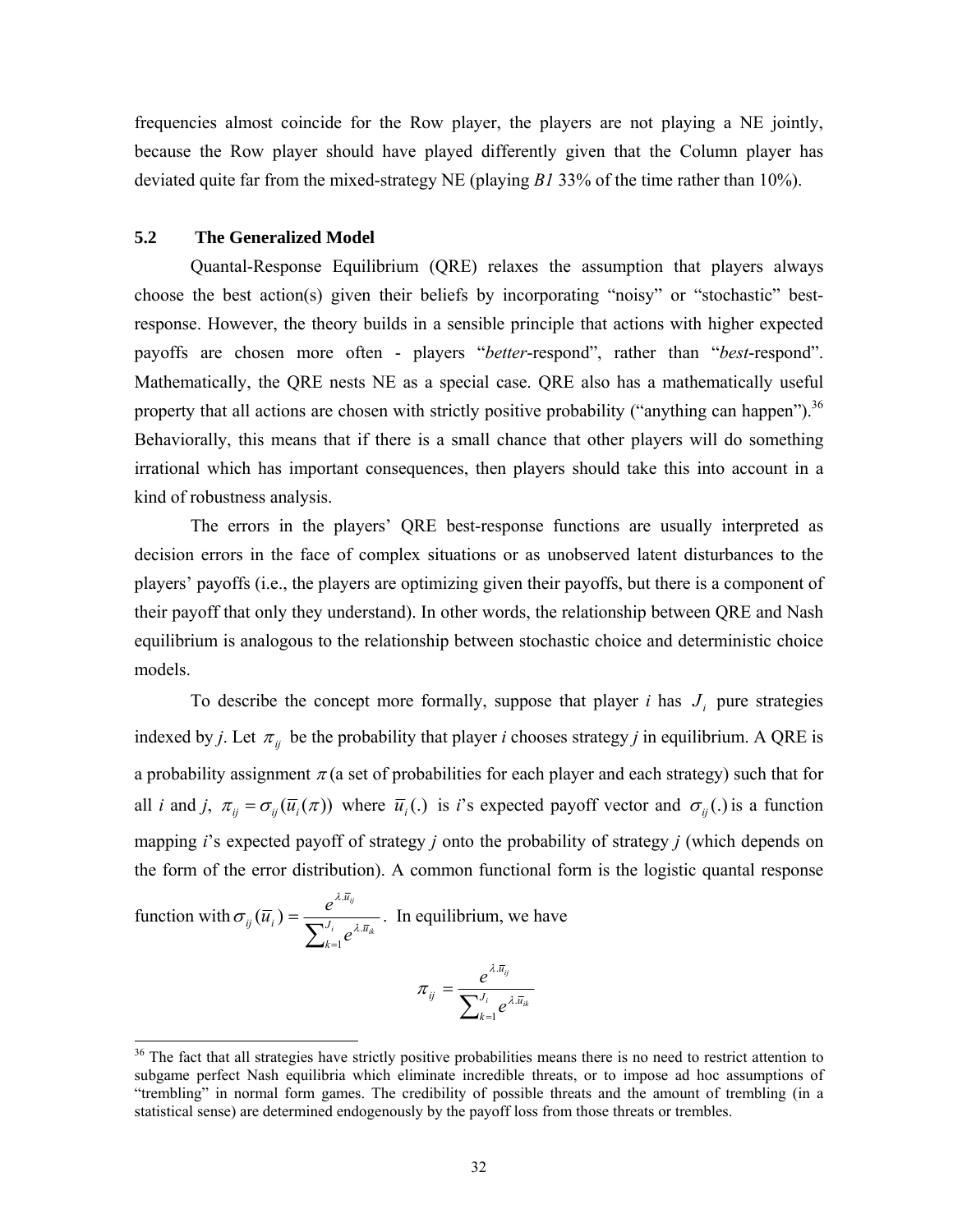frequencies almost coincide for the Row player, the players are not playing a NE jointly, because the Row player should have played differently given that the Column player has deviated quite far from the mixed-strategy NE (playing *B1* 33% of the time rather than 10%).

### **5.2 The Generalized Model**

 Quantal-Response Equilibrium (QRE) relaxes the assumption that players always choose the best action(s) given their beliefs by incorporating "noisy" or "stochastic" bestresponse. However, the theory builds in a sensible principle that actions with higher expected payoffs are chosen more often - players "*better*-respond", rather than "*best*-respond". Mathematically, the QRE nests NE as a special case. QRE also has a mathematically useful property that all actions are chosen with strictly positive probability ("anything can happen").<sup>36</sup> Behaviorally, this means that if there is a small chance that other players will do something irrational which has important consequences, then players should take this into account in a kind of robustness analysis.

 The errors in the players' QRE best-response functions are usually interpreted as decision errors in the face of complex situations or as unobserved latent disturbances to the players' payoffs (i.e., the players are optimizing given their payoffs, but there is a component of their payoff that only they understand). In other words, the relationship between QRE and Nash equilibrium is analogous to the relationship between stochastic choice and deterministic choice models.

To describe the concept more formally, suppose that player *i* has  $J_i$  pure strategies indexed by *j*. Let  $\pi_{ij}$  be the probability that player *i* chooses strategy *j* in equilibrium. A QRE is a probability assignment  $\pi$  (a set of probabilities for each player and each strategy) such that for all *i* and *j*,  $\pi_{ii} = \sigma_{ii}(\overline{u}_i(\pi))$  where  $\overline{u}_i(.)$  is *i*'s expected payoff vector and  $\sigma_{ii}(.)$  is a function mapping *i*'s expected payoff of strategy *j* onto the probability of strategy *j* (which depends on the form of the error distribution). A common functional form is the logistic quantal response

function with 
$$
\sigma_{ij}(\overline{u}_i) = \frac{e^{\lambda \cdot \overline{u}_{ij}}}{\sum_{k=1}^{J_i} e^{\lambda \cdot \overline{u}_{ik}}}
$$
. In equilibrium, we have

$$
\pi_{_{ij}}=\frac{e^{\lambda.\bar{u}_{_{ij}}}}{\sum_{_{k=1}}^{_{J_i}}e^{\lambda.\bar{u}_{_{ik}}}}
$$

<sup>&</sup>lt;sup>36</sup> The fact that all strategies have strictly positive probabilities means there is no need to restrict attention to subgame perfect Nash equilibria which eliminate incredible threats, or to impose ad hoc assumptions of "trembling" in normal form games. The credibility of possible threats and the amount of trembling (in a statistical sense) are determined endogenously by the payoff loss from those threats or trembles.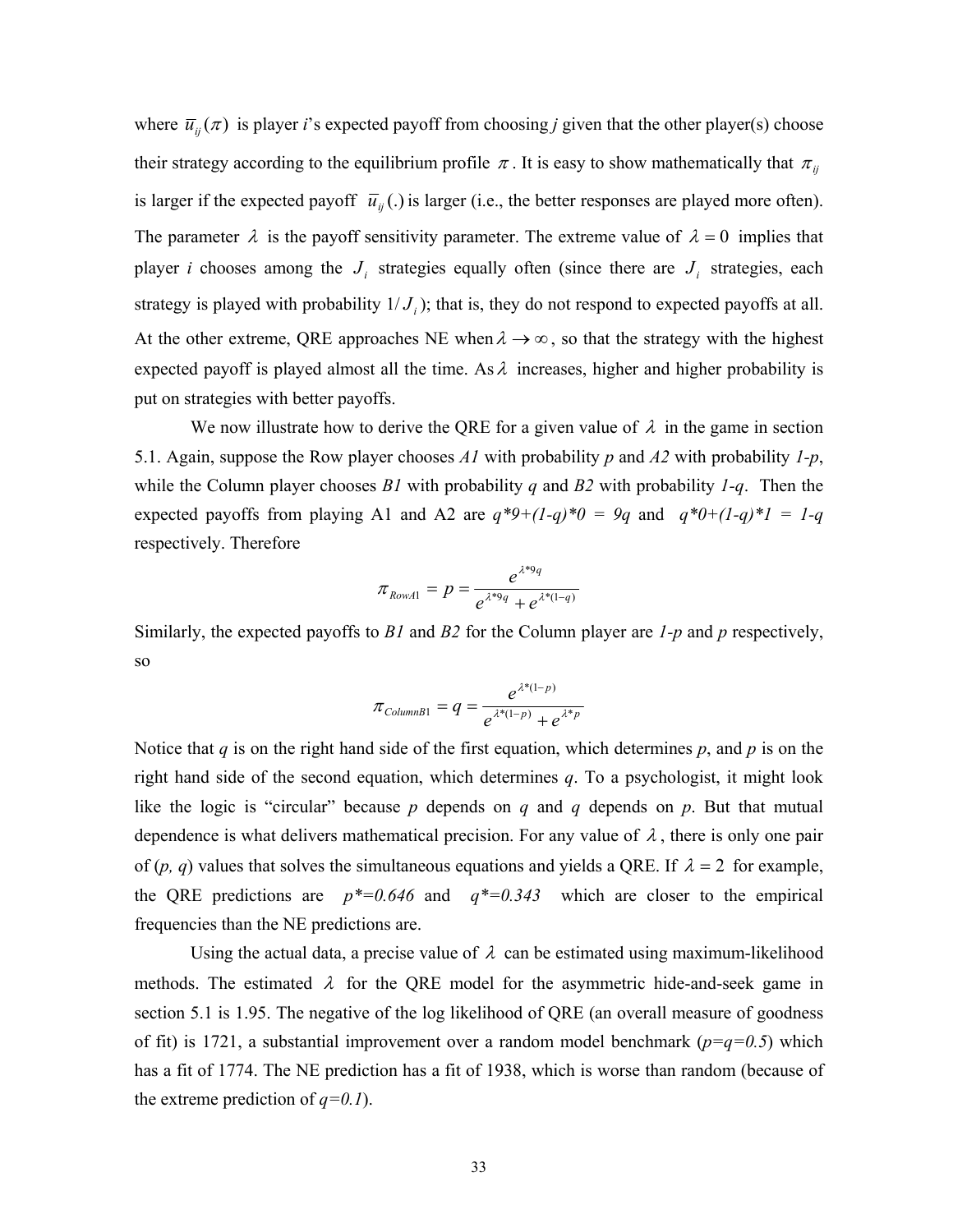where  $\bar{u}_{ii}(\pi)$  is player *i*'s expected payoff from choosing *j* given that the other player(s) choose their strategy according to the equilibrium profile  $\pi$ . It is easy to show mathematically that  $\pi$ <sub>*ij*</sub> is larger if the expected payoff  $\bar{u}_{ii}$  (.) is larger (i.e., the better responses are played more often). The parameter  $\lambda$  is the payoff sensitivity parameter. The extreme value of  $\lambda = 0$  implies that player *i* chooses among the  $J_i$  strategies equally often (since there are  $J_i$  strategies, each strategy is played with probability  $1/J_i$ ; that is, they do not respond to expected payoffs at all. At the other extreme, QRE approaches NE when  $\lambda \rightarrow \infty$ , so that the strategy with the highest expected payoff is played almost all the time. As  $\lambda$  increases, higher and higher probability is put on strategies with better payoffs.

We now illustrate how to derive the QRE for a given value of  $\lambda$  in the game in section 5.1. Again, suppose the Row player chooses *A1* with probability *p* and *A2* with probability *1-p*, while the Column player chooses *B1* with probability *q* and *B2* with probability *1-q*. Then the expected payoffs from playing A1 and A2 are  $q^*9+(1-q)^*0 = 9q$  and  $q^*0+(1-q)^*1 = 1-q$ respectively. Therefore

$$
\pi_{RowA1} = p = \frac{e^{\lambda^{*9}q}}{e^{\lambda^{*9}q} + e^{\lambda^{*}(1-q)}}
$$

Similarly, the expected payoffs to *B1* and *B2* for the Column player are *1-p* and *p* respectively, so

$$
\pi_{ColumnB1} = q = \frac{e^{\lambda^*(1-p)}}{e^{\lambda^*(1-p)} + e^{\lambda^*p}}
$$

Notice that *q* is on the right hand side of the first equation, which determines *p*, and *p* is on the right hand side of the second equation, which determines *q*. To a psychologist, it might look like the logic is "circular" because *p* depends on *q* and *q* depends on *p*. But that mutual dependence is what delivers mathematical precision. For any value of  $\lambda$ , there is only one pair of (*p*, *q*) values that solves the simultaneous equations and yields a QRE. If  $\lambda = 2$  for example, the QRE predictions are  $p^*=0.646$  and  $q^*=0.343$  which are closer to the empirical frequencies than the NE predictions are.

Using the actual data, a precise value of  $\lambda$  can be estimated using maximum-likelihood methods. The estimated  $\lambda$  for the QRE model for the asymmetric hide-and-seek game in section 5.1 is 1.95. The negative of the log likelihood of QRE (an overall measure of goodness of fit) is 1721, a substantial improvement over a random model benchmark ( $p=q=0.5$ ) which has a fit of 1774. The NE prediction has a fit of 1938, which is worse than random (because of the extreme prediction of  $q=0.1$ ).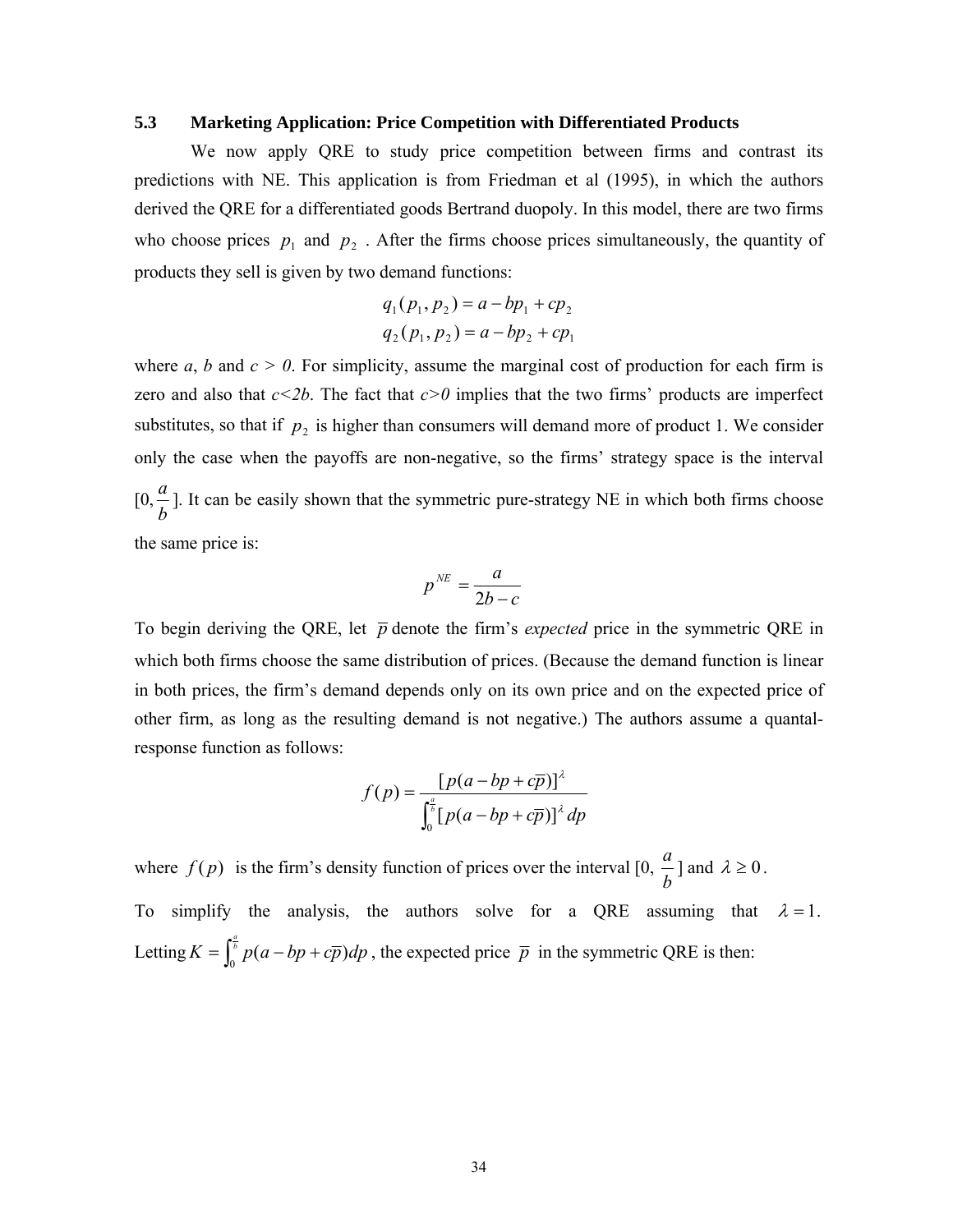#### **5.3 Marketing Application: Price Competition with Differentiated Products**

We now apply QRE to study price competition between firms and contrast its predictions with NE. This application is from Friedman et al (1995), in which the authors derived the QRE for a differentiated goods Bertrand duopoly. In this model, there are two firms who choose prices  $p_1$  and  $p_2$ . After the firms choose prices simultaneously, the quantity of products they sell is given by two demand functions:

$$
q_1(p_1, p_2) = a - bp_1 + cp_2
$$
  

$$
q_2(p_1, p_2) = a - bp_2 + cp_1
$$

where  $a, b$  and  $c > 0$ . For simplicity, assume the marginal cost of production for each firm is zero and also that  $c \leq 2b$ . The fact that  $c \geq 0$  implies that the two firms' products are imperfect substitutes, so that if  $p_2$  is higher than consumers will demand more of product 1. We consider only the case when the payoffs are non-negative, so the firms' strategy space is the interval  $[0, \frac{a}{b}]$ . It can be easily shown that the symmetric pure-strategy NE in which both firms choose the same price is:

$$
p^{NE} = \frac{a}{2b - c}
$$

To begin deriving the QRE, let  $\bar{p}$  denote the firm's *expected* price in the symmetric QRE in which both firms choose the same distribution of prices. (Because the demand function is linear in both prices, the firm's demand depends only on its own price and on the expected price of other firm, as long as the resulting demand is not negative.) The authors assume a quantalresponse function as follows:

$$
f(p) = \frac{\left[p(a - bp + c\overline{p})\right]^{\lambda}}{\int_0^{\frac{a}{b}} \left[p(a - bp + c\overline{p})\right]^{\lambda} dp}
$$

where  $f(p)$  is the firm's density function of prices over the interval  $[0, \frac{a}{b}]$  and  $\lambda \ge 0$ . To simplify the analysis, the authors solve for a QRE assuming that  $\lambda = 1$ . Letting  $K = \int_0^{\frac{a}{b}} p(a - bp + c\overline{p}) dp$ , the expected price  $\overline{p}$  in the symmetric QRE is then: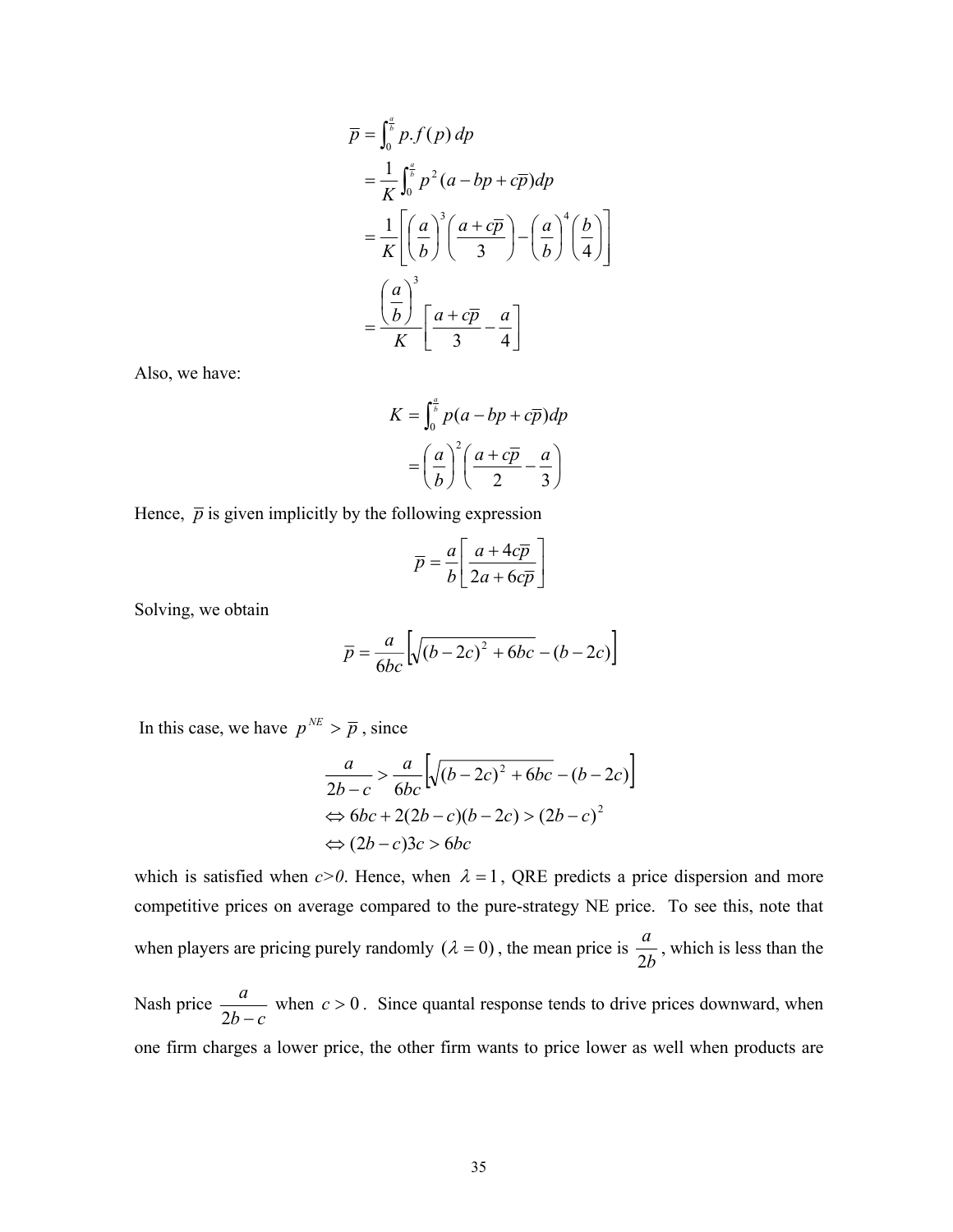$$
\overline{p} = \int_0^{\frac{a}{b}} p \cdot f(p) \, dp
$$
\n
$$
= \frac{1}{K} \int_0^{\frac{a}{b}} p^2 (a - bp + c\overline{p}) \, dp
$$
\n
$$
= \frac{1}{K} \left[ \left( \frac{a}{b} \right)^3 \left( \frac{a + c\overline{p}}{3} \right) - \left( \frac{a}{b} \right)^4 \left( \frac{b}{4} \right) \right]
$$
\n
$$
= \frac{\left( \frac{a}{b} \right)^3}{K} \left[ \frac{a + c\overline{p}}{3} - \frac{a}{4} \right]
$$

Also, we have:

$$
K = \int_0^{\frac{a}{b}} p(a - bp + c\overline{p}) dp
$$

$$
= \left(\frac{a}{b}\right)^2 \left(\frac{a + c\overline{p}}{2} - \frac{a}{3}\right)
$$

Hence,  $\bar{p}$  is given implicitly by the following expression

$$
\overline{p} = \frac{a}{b} \left[ \frac{a + 4c\overline{p}}{2a + 6c\overline{p}} \right]
$$

Solving, we obtain

$$
\overline{p} = \frac{a}{6bc} \left[ \sqrt{(b-2c)^2 + 6bc} - (b-2c) \right]
$$

In this case, we have  $p^{NE} > \overline{p}$ , since

$$
\frac{a}{2b-c} > \frac{a}{6bc} \left[ \sqrt{(b-2c)^2 + 6bc} - (b-2c) \right]
$$
  
\n
$$
\Leftrightarrow 6bc + 2(2b-c)(b-2c) > (2b-c)^2
$$
  
\n
$$
\Leftrightarrow (2b-c)3c > 6bc
$$

which is satisfied when  $c>0$ . Hence, when  $\lambda = 1$ , QRE predicts a price dispersion and more competitive prices on average compared to the pure-strategy NE price. To see this, note that when players are pricing purely randomly  $(\lambda = 0)$ , the mean price is  $\frac{a}{2b}$ , which is less than the

Nash price  $\frac{a}{2b-c}$  when  $c > 0$ . Since quantal response tends to drive prices downward, when one firm charges a lower price, the other firm wants to price lower as well when products are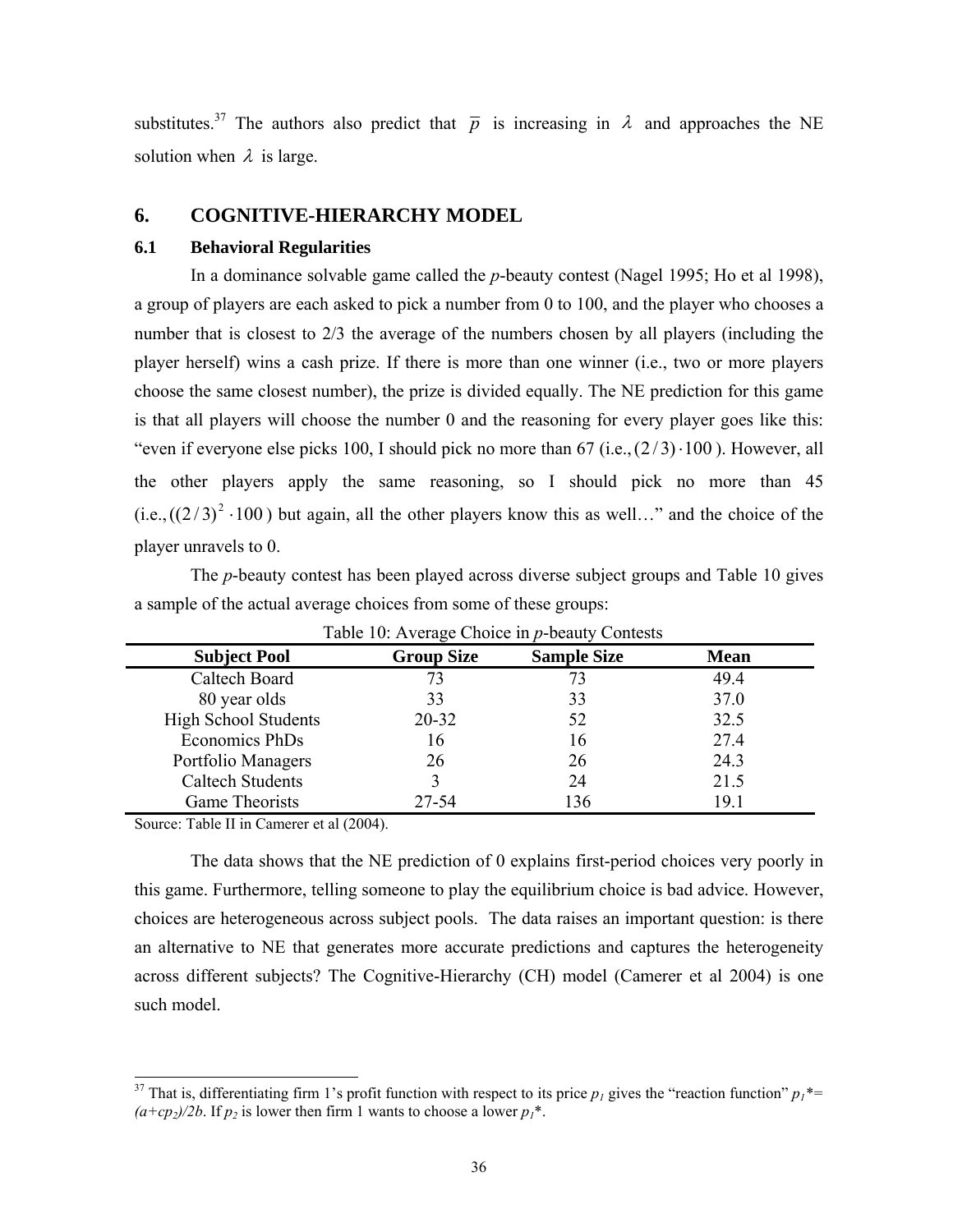substitutes.<sup>37</sup> The authors also predict that  $\bar{p}$  is increasing in  $\lambda$  and approaches the NE solution when  $\lambda$  is large.

### **6. COGNITIVE-HIERARCHY MODEL**

#### **6.1 Behavioral Regularities**

In a dominance solvable game called the *p*-beauty contest (Nagel 1995; Ho et al 1998), a group of players are each asked to pick a number from 0 to 100, and the player who chooses a number that is closest to 2/3 the average of the numbers chosen by all players (including the player herself) wins a cash prize. If there is more than one winner (i.e., two or more players choose the same closest number), the prize is divided equally. The NE prediction for this game is that all players will choose the number 0 and the reasoning for every player goes like this: "even if everyone else picks 100, I should pick no more than  $67$  (i.e., $(2/3) \cdot 100$ ). However, all the other players apply the same reasoning, so I should pick no more than 45  $(i.e., ((2/3)^2 \cdot 100)$  but again, all the other players know this as well…" and the choice of the player unravels to 0.

The *p*-beauty contest has been played across diverse subject groups and Table 10 gives a sample of the actual average choices from some of these groups:

| <b>Subject Pool</b>         | <b>Group Size</b> | <b>Sample Size</b> | <b>Mean</b> |
|-----------------------------|-------------------|--------------------|-------------|
| Caltech Board               | 73                | 73                 | 49.4        |
| 80 year olds                | 33                | 33                 | 37.0        |
| <b>High School Students</b> | 20-32             | 52                 | 32.5        |
| Economics PhDs              | 16                | 16                 | 27.4        |
| Portfolio Managers          | 26                | 26                 | 24.3        |
| <b>Caltech Students</b>     |                   | 24                 | 21.5        |
| Game Theorists              | 27-54             | 136                | 19.1        |

Table 10: Average Choice in *p*-beauty Contests

Source: Table II in Camerer et al (2004).

l

The data shows that the NE prediction of 0 explains first-period choices very poorly in this game. Furthermore, telling someone to play the equilibrium choice is bad advice. However, choices are heterogeneous across subject pools. The data raises an important question: is there an alternative to NE that generates more accurate predictions and captures the heterogeneity across different subjects? The Cognitive-Hierarchy (CH) model (Camerer et al 2004) is one such model.

<sup>&</sup>lt;sup>37</sup> That is, differentiating firm 1's profit function with respect to its price  $p_1$  gives the "reaction function"  $p_1^*$  $(a+cp_2)/2b$ . If  $p_2$  is lower then firm 1 wants to choose a lower  $p_1^*$ .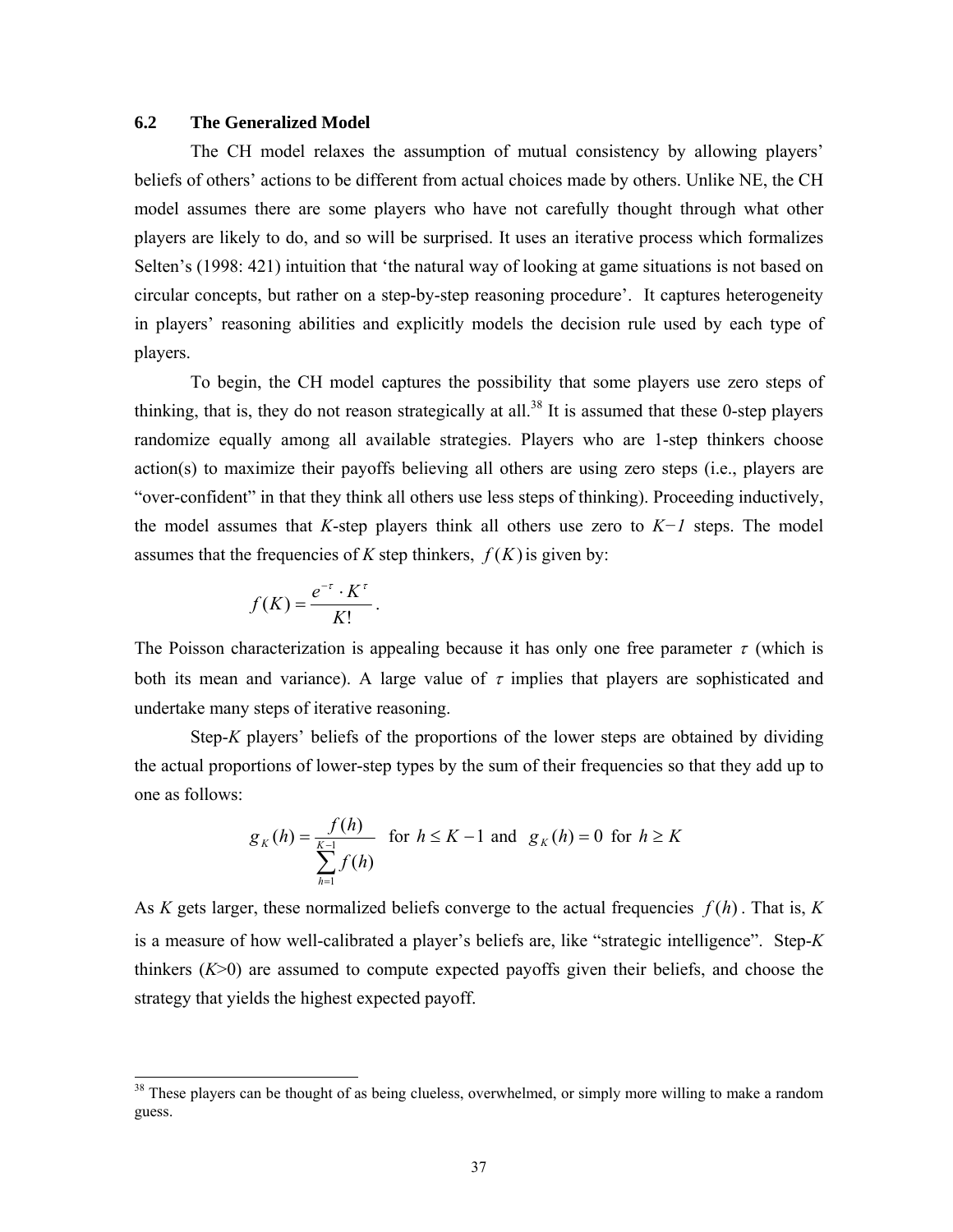### **6.2 The Generalized Model**

The CH model relaxes the assumption of mutual consistency by allowing players' beliefs of others' actions to be different from actual choices made by others. Unlike NE, the CH model assumes there are some players who have not carefully thought through what other players are likely to do, and so will be surprised. It uses an iterative process which formalizes Selten's (1998: 421) intuition that 'the natural way of looking at game situations is not based on circular concepts, but rather on a step-by-step reasoning procedure'. It captures heterogeneity in players' reasoning abilities and explicitly models the decision rule used by each type of players.

To begin, the CH model captures the possibility that some players use zero steps of thinking, that is, they do not reason strategically at all.<sup>38</sup> It is assumed that these 0-step players randomize equally among all available strategies. Players who are 1-step thinkers choose action(s) to maximize their payoffs believing all others are using zero steps (i.e., players are "over-confident" in that they think all others use less steps of thinking). Proceeding inductively, the model assumes that *K*-step players think all others use zero to *K−1* steps. The model assumes that the frequencies of *K* step thinkers,  $f(K)$  is given by:

$$
f(K) = \frac{e^{-\tau} \cdot K^{\tau}}{K!}.
$$

l

The Poisson characterization is appealing because it has only one free parameter  $\tau$  (which is both its mean and variance). A large value of  $\tau$  implies that players are sophisticated and undertake many steps of iterative reasoning.

Step-*K* players' beliefs of the proportions of the lower steps are obtained by dividing the actual proportions of lower-step types by the sum of their frequencies so that they add up to one as follows:

$$
g_K(h) = \frac{f(h)}{\sum_{h=1}^{K-1} f(h)} \text{ for } h \le K - 1 \text{ and } g_K(h) = 0 \text{ for } h \ge K
$$

As *K* gets larger, these normalized beliefs converge to the actual frequencies *f* (*h*) . That is, *K* is a measure of how well-calibrated a player's beliefs are, like "strategic intelligence". Step-*K* thinkers  $(K>0)$  are assumed to compute expected payoffs given their beliefs, and choose the strategy that yields the highest expected payoff.

 $38$  These players can be thought of as being clueless, overwhelmed, or simply more willing to make a random guess.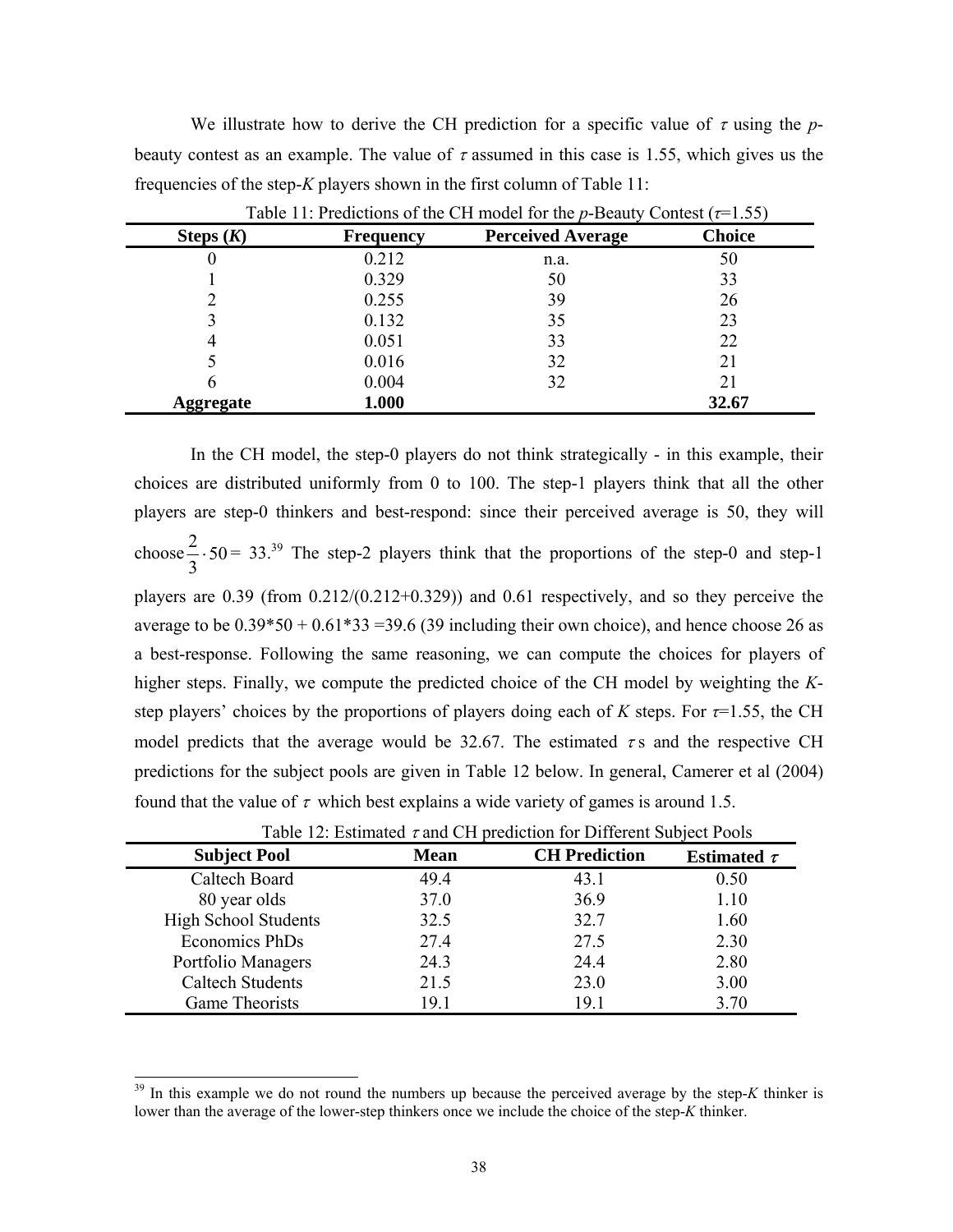We illustrate how to derive the CH prediction for a specific value of  $\tau$  using the *p*beauty contest as an example. The value of  $\tau$  assumed in this case is 1.55, which gives us the frequencies of the step-*K* players shown in the first column of Table 11:

| Steps $(K)$      | <b>Frequency</b> | <b>Perceived Average</b> | <b>Choice</b> |
|------------------|------------------|--------------------------|---------------|
| U                | 0.212            | n.a.                     | 50            |
|                  | 0.329            | 50                       | 33            |
|                  | 0.255            | 39                       | 26            |
|                  | 0.132            | 35                       | 23            |
| 4                | 0.051            | 33                       | 22            |
|                  | 0.016            | 32                       | 21            |
|                  | 0.004            | 32                       | 21            |
| <b>Aggregate</b> | 1.000            |                          | 32.67         |

Table 11: Predictions of the CH model for the *p*-Beauty Contest (*τ*=1.55)

In the CH model, the step-0 players do not think strategically - in this example, their choices are distributed uniformly from 0 to 100. The step-1 players think that all the other players are step-0 thinkers and best-respond: since their perceived average is 50, they will choose  $\frac{2}{3}$  · 50 3  $\frac{2}{5} \cdot 50 = 33^{39}$  The step-2 players think that the proportions of the step-0 and step-1 players are 0.39 (from 0.212/(0.212+0.329)) and 0.61 respectively, and so they perceive the average to be  $0.39*50 + 0.61*33 = 39.6$  (39 including their own choice), and hence choose 26 as a best-response. Following the same reasoning, we can compute the choices for players of higher steps. Finally, we compute the predicted choice of the CH model by weighting the *K*step players' choices by the proportions of players doing each of *K* steps. For  $\tau$ =1.55, the CH model predicts that the average would be 32.67. The estimated  $\tau$  s and the respective CH predictions for the subject pools are given in Table 12 below. In general, Camerer et al (2004) found that the value of  $\tau$  which best explains a wide variety of games is around 1.5.

| <b>Subject Pool</b>         | <b>Mean</b> | <b>CH Prediction</b> | Estimated $\tau$ |
|-----------------------------|-------------|----------------------|------------------|
| Caltech Board               | 49.4        | 43.1                 | 0.50             |
| 80 year olds                | 37.0        | 36.9                 | 1.10             |
| <b>High School Students</b> | 32.5        | 32.7                 | 1.60             |
| Economics PhDs              | 27.4        | 27.5                 | 2.30             |
| Portfolio Managers          | 24.3        | 24.4                 | 2.80             |
| <b>Caltech Students</b>     | 21.5        | 23.0                 | 3.00             |
| <b>Game Theorists</b>       | 19.1        | 19.1                 | 3.70             |

Table 12: Estimated  $\tau$  and CH prediction for Different Subject Pools

<sup>&</sup>lt;sup>39</sup> In this example we do not round the numbers up because the perceived average by the step-*K* thinker is lower than the average of the lower-step thinkers once we include the choice of the step-*K* thinker.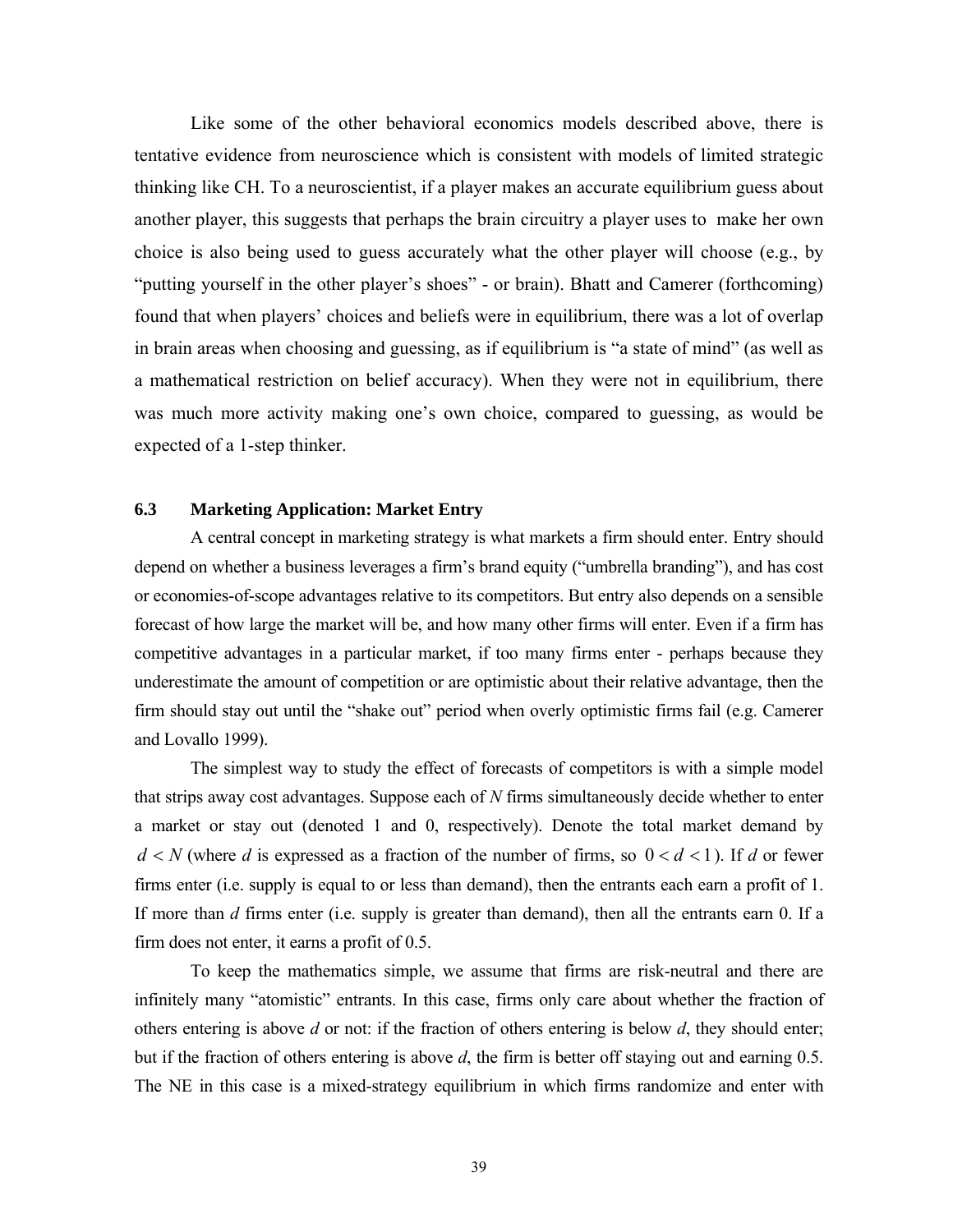Like some of the other behavioral economics models described above, there is tentative evidence from neuroscience which is consistent with models of limited strategic thinking like CH. To a neuroscientist, if a player makes an accurate equilibrium guess about another player, this suggests that perhaps the brain circuitry a player uses to make her own choice is also being used to guess accurately what the other player will choose (e.g., by "putting yourself in the other player's shoes" - or brain). Bhatt and Camerer (forthcoming) found that when players' choices and beliefs were in equilibrium, there was a lot of overlap in brain areas when choosing and guessing, as if equilibrium is "a state of mind" (as well as a mathematical restriction on belief accuracy). When they were not in equilibrium, there was much more activity making one's own choice, compared to guessing, as would be expected of a 1-step thinker.

### **6.3 Marketing Application: Market Entry**

A central concept in marketing strategy is what markets a firm should enter. Entry should depend on whether a business leverages a firm's brand equity ("umbrella branding"), and has cost or economies-of-scope advantages relative to its competitors. But entry also depends on a sensible forecast of how large the market will be, and how many other firms will enter. Even if a firm has competitive advantages in a particular market, if too many firms enter - perhaps because they underestimate the amount of competition or are optimistic about their relative advantage, then the firm should stay out until the "shake out" period when overly optimistic firms fail (e.g. Camerer and Lovallo 1999).

The simplest way to study the effect of forecasts of competitors is with a simple model that strips away cost advantages. Suppose each of *N* firms simultaneously decide whether to enter a market or stay out (denoted 1 and 0, respectively). Denote the total market demand by  $d < N$  (where *d* is expressed as a fraction of the number of firms, so  $0 < d < 1$ ). If *d* or fewer firms enter (i.e. supply is equal to or less than demand), then the entrants each earn a profit of 1. If more than *d* firms enter (i.e. supply is greater than demand), then all the entrants earn 0. If a firm does not enter, it earns a profit of 0.5.

To keep the mathematics simple, we assume that firms are risk-neutral and there are infinitely many "atomistic" entrants. In this case, firms only care about whether the fraction of others entering is above *d* or not: if the fraction of others entering is below *d*, they should enter; but if the fraction of others entering is above *d*, the firm is better off staying out and earning 0.5. The NE in this case is a mixed-strategy equilibrium in which firms randomize and enter with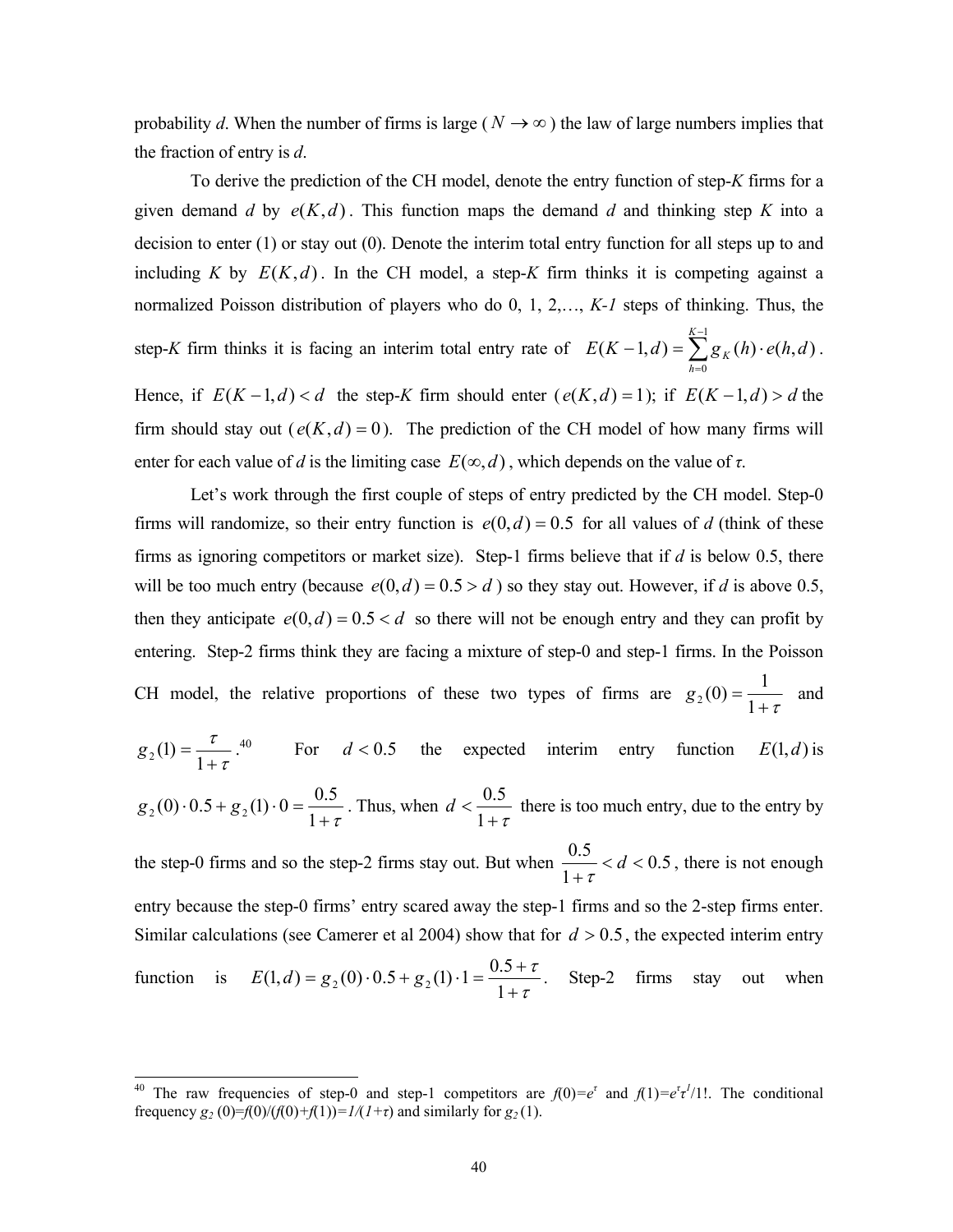probability *d*. When the number of firms is large ( $N \rightarrow \infty$ ) the law of large numbers implies that the fraction of entry is *d*.

To derive the prediction of the CH model, denote the entry function of step-*K* firms for a given demand *d* by  $e(K,d)$ . This function maps the demand *d* and thinking step *K* into a decision to enter (1) or stay out (0). Denote the interim total entry function for all steps up to and including *K* by  $E(K,d)$ . In the CH model, a step-*K* firm thinks it is competing against a normalized Poisson distribution of players who do 0, 1, 2,…, *K-1* steps of thinking. Thus, the step-*K* firm thinks it is facing an interim total entry rate of  $E(K-1,d) = \sum_{k=1}^{K-1}$ =  $-1, d$ ) =  $\sum g_k(h)$ . 1  $\boldsymbol{0}$  $(K - 1, d) = \sum g_K(h) \cdot e(h, d)$ *K h*  $E(K-1,d) = \sum g_K(h) \cdot e(h,d)$ . Hence, if  $E(K-1,d) < d$  the step-*K* firm should enter  $(e(K,d) = 1)$ ; if  $E(K-1,d) > d$  the firm should stay out  $(e(K,d) = 0)$ . The prediction of the CH model of how many firms will enter for each value of *d* is the limiting case  $E(\infty, d)$ , which depends on the value of  $\tau$ .

 Let's work through the first couple of steps of entry predicted by the CH model. Step-0 firms will randomize, so their entry function is  $e(0, d) = 0.5$  for all values of *d* (think of these firms as ignoring competitors or market size). Step-1 firms believe that if *d* is below 0.5, there will be too much entry (because  $e(0, d) = 0.5 > d$ ) so they stay out. However, if *d* is above 0.5, then they anticipate  $e(0, d) = 0.5 < d$  so there will not be enough entry and they can profit by entering. Step-2 firms think they are facing a mixture of step-0 and step-1 firms. In the Poisson CH model, the relative proportions of these two types of firms are  $g_2(0) = \frac{1}{1+\tau}$  and τ  $g_2(1) = \frac{\tau}{1+\tau}$ <sup>40</sup> For  $d < 0.5$  the expected interim entry function  $E(1, d)$  is

$$
g_2(0) \cdot 0.5 + g_2(1) \cdot 0 = \frac{0.5}{1 + \tau}
$$
. Thus, when  $d < \frac{0.5}{1 + \tau}$  there is too much entry, due to the entry by

the step-0 firms and so the step-2 firms stay out. But when  $\frac{0.5}{1.5} < d < 0.5$ 1  $\frac{0.5}{0.5} < d <$ +  $\frac{d}{\tau}$  < *d* < 0.5, there is not enough entry because the step-0 firms' entry scared away the step-1 firms and so the 2-step firms enter. Similar calculations (see Camerer et al 2004) show that for  $d > 0.5$ , the expected interim entry function is  $E(1, d) = g_2(0) \cdot 0.5 + g_2(1) \cdot 1 = \frac{0.5 + 1}{1 + \tau}$ τ  $E(1, d) = g_2(0) \cdot 0.5 + g_2(1) \cdot 1 = \frac{0.5 + \tau}{1 + \tau}$ . Step-2 firms stay out when

<sup>&</sup>lt;sup>40</sup> The raw frequencies of step-0 and step-1 competitors are  $f(0) = e^{\tau}$  and  $f(1) = e^{\tau}t^{1/1!}$ . The conditional frequency  $g_2(0) = f(0)/(f(0) + f(1)) = 1/(1+\tau)$  and similarly for  $g_2(1)$ .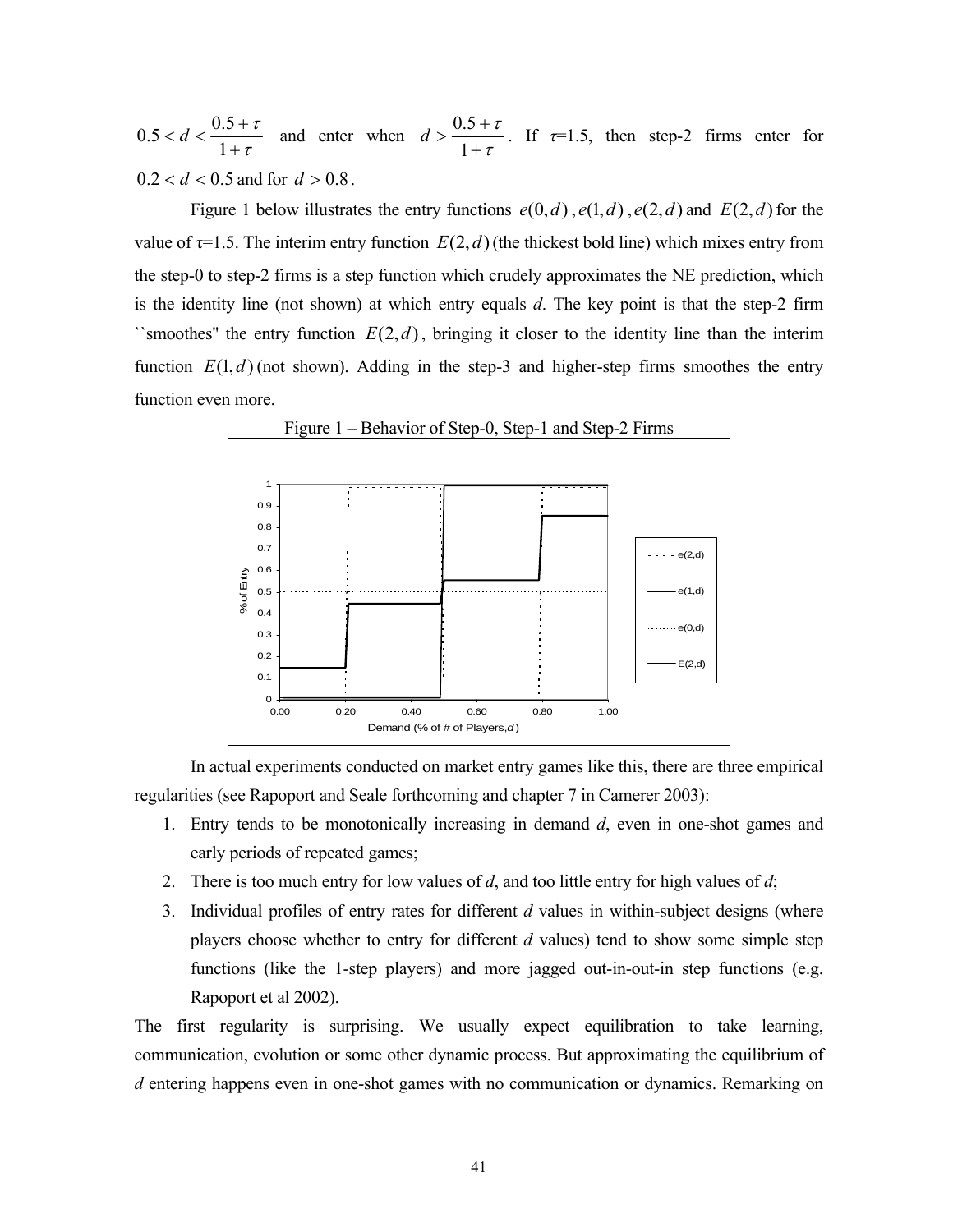τ τ +  $d < \frac{0.5 + 1}{1}$ 1  $0.5 < d < \frac{0.5 + \tau}{1 + \tau}$  and enter when  $d > \frac{0.5 + \tau}{1 + \tau}$ τ +  $> \frac{0.5 + }{1}$ 1  $d > \frac{0.5 + \tau}{\tau}$ . If  $\tau = 1.5$ , then step-2 firms enter for  $0.2 < d < 0.5$  and for  $d > 0.8$ .

Figure 1 below illustrates the entry functions  $e(0, d)$ ,  $e(1, d)$ ,  $e(2, d)$  and  $E(2, d)$  for the value of  $\tau$ =1.5. The interim entry function  $E(2,d)$  (the thickest bold line) which mixes entry from the step-0 to step-2 firms is a step function which crudely approximates the NE prediction, which is the identity line (not shown) at which entry equals *d*. The key point is that the step-2 firm ``smoothes'' the entry function *E*(2,*d*), bringing it closer to the identity line than the interim function  $E(1, d)$  (not shown). Adding in the step-3 and higher-step firms smoothes the entry function even more.



In actual experiments conducted on market entry games like this, there are three empirical regularities (see Rapoport and Seale forthcoming and chapter 7 in Camerer 2003):

- 1. Entry tends to be monotonically increasing in demand *d*, even in one-shot games and early periods of repeated games;
- 2. There is too much entry for low values of *d*, and too little entry for high values of *d*;
- 3. Individual profiles of entry rates for different *d* values in within-subject designs (where players choose whether to entry for different *d* values) tend to show some simple step functions (like the 1-step players) and more jagged out-in-out-in step functions (e.g. Rapoport et al 2002).

The first regularity is surprising. We usually expect equilibration to take learning, communication, evolution or some other dynamic process. But approximating the equilibrium of *d* entering happens even in one-shot games with no communication or dynamics. Remarking on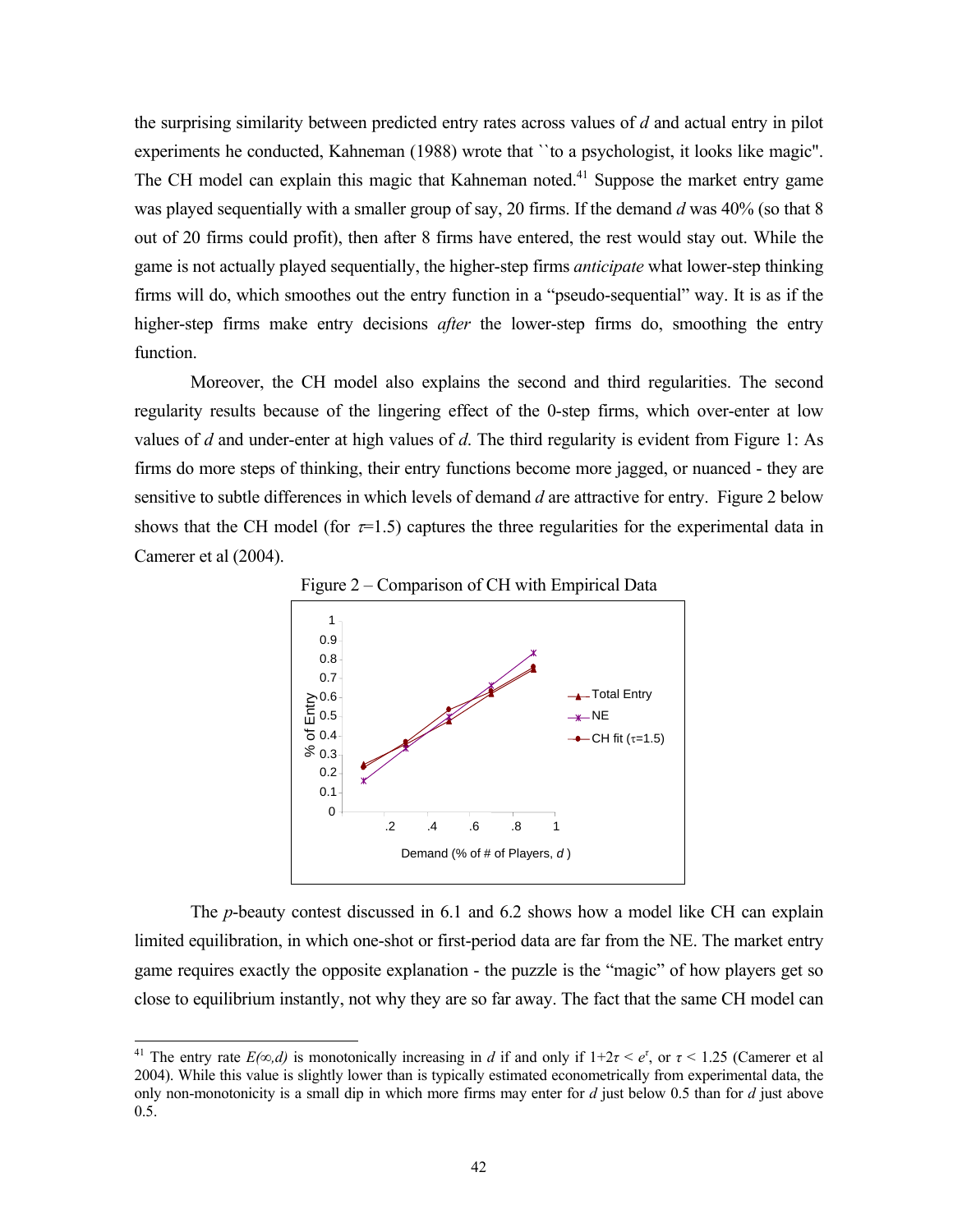the surprising similarity between predicted entry rates across values of *d* and actual entry in pilot experiments he conducted, Kahneman (1988) wrote that ``to a psychologist, it looks like magic". The CH model can explain this magic that Kahneman noted.<sup>41</sup> Suppose the market entry game was played sequentially with a smaller group of say, 20 firms. If the demand *d* was 40% (so that 8 out of 20 firms could profit), then after 8 firms have entered, the rest would stay out. While the game is not actually played sequentially, the higher-step firms *anticipate* what lower-step thinking firms will do, which smoothes out the entry function in a "pseudo-sequential" way. It is as if the higher-step firms make entry decisions *after* the lower-step firms do, smoothing the entry function.

 Moreover, the CH model also explains the second and third regularities. The second regularity results because of the lingering effect of the 0-step firms, which over-enter at low values of *d* and under-enter at high values of *d*. The third regularity is evident from Figure 1: As firms do more steps of thinking, their entry functions become more jagged, or nuanced - they are sensitive to subtle differences in which levels of demand *d* are attractive for entry. Figure 2 below shows that the CH model (for  $\tau$ =1.5) captures the three regularities for the experimental data in Camerer et al (2004).



Figure 2 – Comparison of CH with Empirical Data

The *p*-beauty contest discussed in 6.1 and 6.2 shows how a model like CH can explain limited equilibration, in which one-shot or first-period data are far from the NE. The market entry game requires exactly the opposite explanation - the puzzle is the "magic" of how players get so close to equilibrium instantly, not why they are so far away. The fact that the same CH model can

<sup>&</sup>lt;sup>41</sup> The entry rate  $E(\infty, d)$  is monotonically increasing in *d* if and only if  $1+2\tau < e^{\tau}$ , or  $\tau < 1.25$  (Camerer et al 2004). While this value is slightly lower than is typically estimated econometrically from experimental data, the only non-monotonicity is a small dip in which more firms may enter for *d* just below 0.5 than for *d* just above 0.5.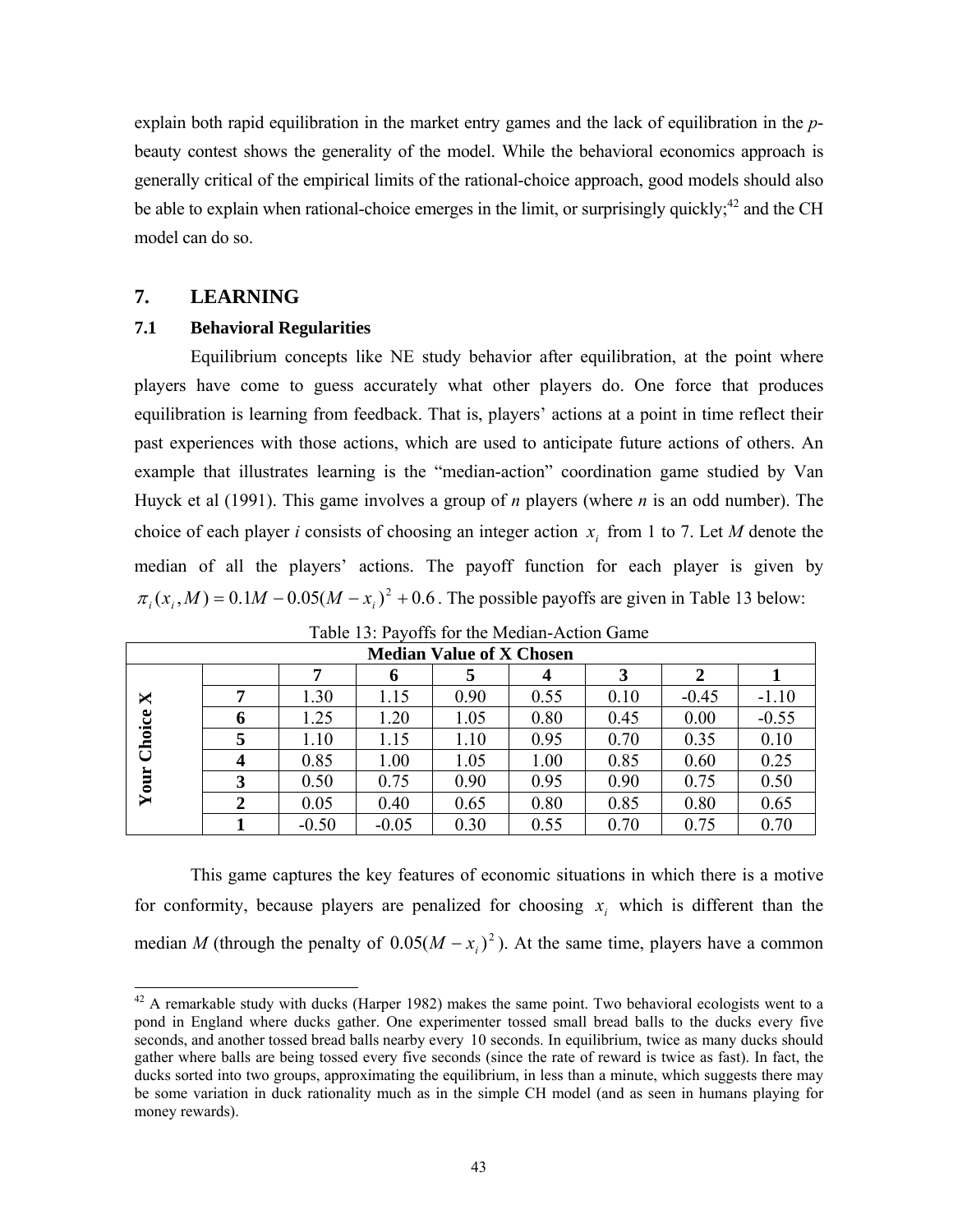explain both rapid equilibration in the market entry games and the lack of equilibration in the *p*beauty contest shows the generality of the model. While the behavioral economics approach is generally critical of the empirical limits of the rational-choice approach, good models should also be able to explain when rational-choice emerges in the limit, or surprisingly quickly;<sup>42</sup> and the CH model can do so.

## **7. LEARNING**

l

## **7.1 Behavioral Regularities**

Equilibrium concepts like NE study behavior after equilibration, at the point where players have come to guess accurately what other players do. One force that produces equilibration is learning from feedback. That is, players' actions at a point in time reflect their past experiences with those actions, which are used to anticipate future actions of others. An example that illustrates learning is the "median-action" coordination game studied by Van Huyck et al (1991). This game involves a group of *n* players (where *n* is an odd number). The choice of each player *i* consists of choosing an integer action  $x_i$  from 1 to 7. Let *M* denote the median of all the players' actions. The payoff function for each player is given by  $\pi_i$ ,  $(x_i, M) = 0.1 M - 0.05(M - x_i)^2 + 0.6$ . The possible payoffs are given in Table 13 below:

| <b>Median Value of X Chosen</b>          |   |         |         |      |      |      |         |         |  |  |  |  |
|------------------------------------------|---|---------|---------|------|------|------|---------|---------|--|--|--|--|
|                                          |   |         | o       |      | 4    |      |         |         |  |  |  |  |
| X<br>Choice<br>旨<br>$\bar{\mathbf{Y}}$ o | 7 | 1.30    | 1.15    | 0.90 | 0.55 | 0.10 | $-0.45$ | $-1.10$ |  |  |  |  |
|                                          | 6 | 1.25    | 1.20    | 1.05 | 0.80 | 0.45 | 0.00    | $-0.55$ |  |  |  |  |
|                                          | 5 | 1.10    | 1.15    | 1.10 | 0.95 | 0.70 | 0.35    | 0.10    |  |  |  |  |
|                                          |   | 0.85    | 1.00    | 1.05 | 1.00 | 0.85 | 0.60    | 0.25    |  |  |  |  |
|                                          | 3 | 0.50    | 0.75    | 0.90 | 0.95 | 0.90 | 0.75    | 0.50    |  |  |  |  |
|                                          | 2 | 0.05    | 0.40    | 0.65 | 0.80 | 0.85 | 0.80    | 0.65    |  |  |  |  |
|                                          |   | $-0.50$ | $-0.05$ | 0.30 | 0.55 | 0.70 | 0.75    | 0.70    |  |  |  |  |

Table 13: Payoffs for the Median-Action Game

 This game captures the key features of economic situations in which there is a motive for conformity, because players are penalized for choosing  $x_i$  which is different than the median *M* (through the penalty of  $0.05(M - x_i)^2$ ). At the same time, players have a common

 $42$  A remarkable study with ducks (Harper 1982) makes the same point. Two behavioral ecologists went to a pond in England where ducks gather. One experimenter tossed small bread balls to the ducks every five seconds, and another tossed bread balls nearby every 10 seconds. In equilibrium, twice as many ducks should gather where balls are being tossed every five seconds (since the rate of reward is twice as fast). In fact, the ducks sorted into two groups, approximating the equilibrium, in less than a minute, which suggests there may be some variation in duck rationality much as in the simple CH model (and as seen in humans playing for money rewards).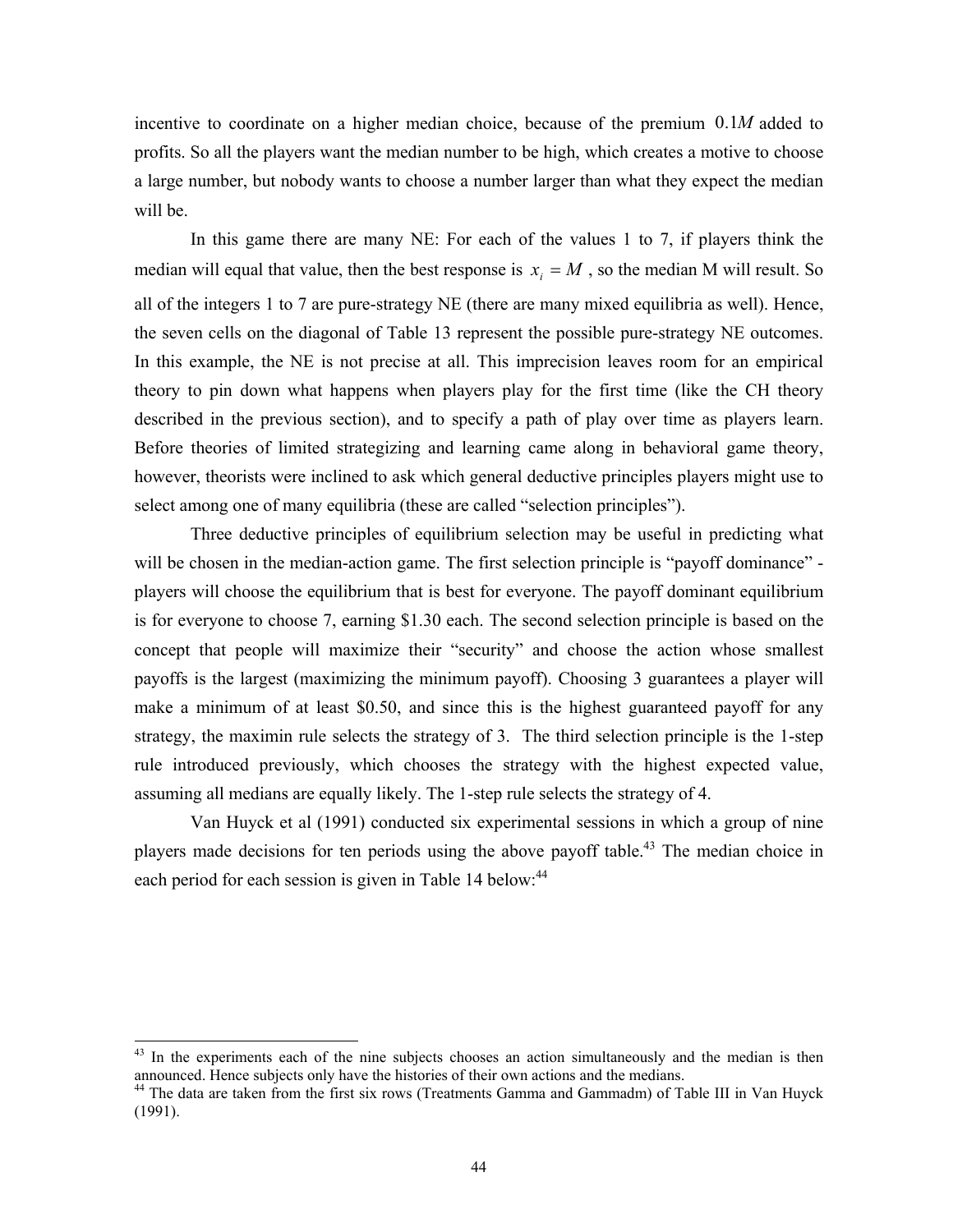incentive to coordinate on a higher median choice, because of the premium 0.1*M* added to profits. So all the players want the median number to be high, which creates a motive to choose a large number, but nobody wants to choose a number larger than what they expect the median will be.

In this game there are many NE: For each of the values 1 to 7, if players think the median will equal that value, then the best response is  $x_i = M$ , so the median M will result. So all of the integers 1 to 7 are pure-strategy NE (there are many mixed equilibria as well). Hence, the seven cells on the diagonal of Table 13 represent the possible pure-strategy NE outcomes. In this example, the NE is not precise at all. This imprecision leaves room for an empirical theory to pin down what happens when players play for the first time (like the CH theory described in the previous section), and to specify a path of play over time as players learn. Before theories of limited strategizing and learning came along in behavioral game theory, however, theorists were inclined to ask which general deductive principles players might use to select among one of many equilibria (these are called "selection principles").

Three deductive principles of equilibrium selection may be useful in predicting what will be chosen in the median-action game. The first selection principle is "payoff dominance" players will choose the equilibrium that is best for everyone. The payoff dominant equilibrium is for everyone to choose 7, earning \$1.30 each. The second selection principle is based on the concept that people will maximize their "security" and choose the action whose smallest payoffs is the largest (maximizing the minimum payoff). Choosing 3 guarantees a player will make a minimum of at least \$0.50, and since this is the highest guaranteed payoff for any strategy, the maximin rule selects the strategy of 3. The third selection principle is the 1-step rule introduced previously, which chooses the strategy with the highest expected value, assuming all medians are equally likely. The 1-step rule selects the strategy of 4.

Van Huyck et al (1991) conducted six experimental sessions in which a group of nine players made decisions for ten periods using the above payoff table.<sup>43</sup> The median choice in each period for each session is given in Table 14 below:<sup>44</sup>

<sup>&</sup>lt;sup>43</sup> In the experiments each of the nine subjects chooses an action simultaneously and the median is then announced. Hence subjects only have the histories of their own actions and the medians. 44 The data are taken from the first six rows (Treatments Gamma and Gammadm) of Table III in Van Huyck

<sup>(1991).</sup>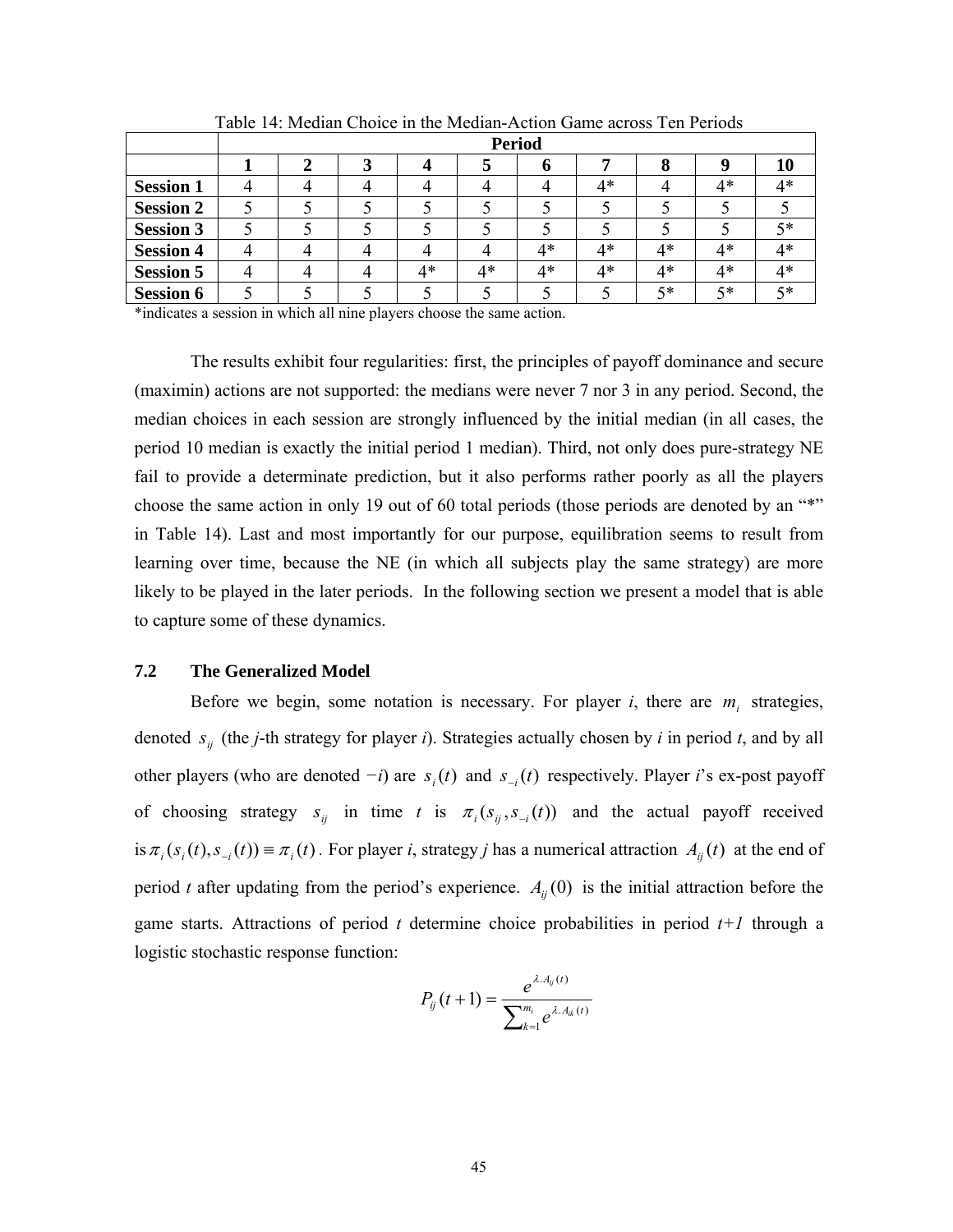|                  | <b>Period</b> |  |  |    |    |    |      |      |    |    |  |  |
|------------------|---------------|--|--|----|----|----|------|------|----|----|--|--|
|                  |               |  |  |    |    |    |      |      |    | ΙU |  |  |
| <b>Session 1</b> |               |  |  |    |    |    | $4*$ |      | 4* | 4* |  |  |
| <b>Session 2</b> |               |  |  |    |    |    |      |      |    |    |  |  |
| <b>Session 3</b> |               |  |  |    |    |    |      |      |    | 5* |  |  |
| <b>Session 4</b> |               |  |  |    |    | 4* | $4*$ | $4*$ | 4* | 4* |  |  |
| <b>Session 5</b> |               |  |  | 4* | 4* | 4* | $4*$ | 4*   | 4* | 4* |  |  |
| <b>Session 6</b> |               |  |  |    |    |    |      | 5*   | 5* | 5* |  |  |

Table 14: Median Choice in the Median-Action Game across Ten Periods

\*indicates a session in which all nine players choose the same action.

The results exhibit four regularities: first, the principles of payoff dominance and secure (maximin) actions are not supported: the medians were never 7 nor 3 in any period. Second, the median choices in each session are strongly influenced by the initial median (in all cases, the period 10 median is exactly the initial period 1 median). Third, not only does pure-strategy NE fail to provide a determinate prediction, but it also performs rather poorly as all the players choose the same action in only 19 out of 60 total periods (those periods are denoted by an "\*" in Table 14). Last and most importantly for our purpose, equilibration seems to result from learning over time, because the NE (in which all subjects play the same strategy) are more likely to be played in the later periods. In the following section we present a model that is able to capture some of these dynamics.

## **7.2 The Generalized Model**

Before we begin, some notation is necessary. For player  $i$ , there are  $m_i$  strategies, denoted  $s_{ij}$  (the *j*-th strategy for player *i*). Strategies actually chosen by *i* in period *t*, and by all other players (who are denoted *−i*) are *s* (*t*) *<sup>i</sup>* and *s* (*t*) <sup>−</sup>*i* respectively. Player *i*'s ex-post payoff of choosing strategy  $s_{ij}$  in time *t* is  $\pi_i(s_{ij}, s_{-i}(t))$  and the actual payoff received is  $\pi_i(s_i(t), s_{-i}(t)) \equiv \pi_i(t)$ . For player *i*, strategy *j* has a numerical attraction  $A_{ii}(t)$  at the end of period *t* after updating from the period's experience.  $A_{ii}(0)$  is the initial attraction before the game starts. Attractions of period *t* determine choice probabilities in period *t+1* through a logistic stochastic response function:

$$
P_{ij}(t+1) = \frac{e^{\lambda.A_{ij}(t)}}{\sum_{k=1}^{m_i} e^{\lambda.A_{ik}(t)}}
$$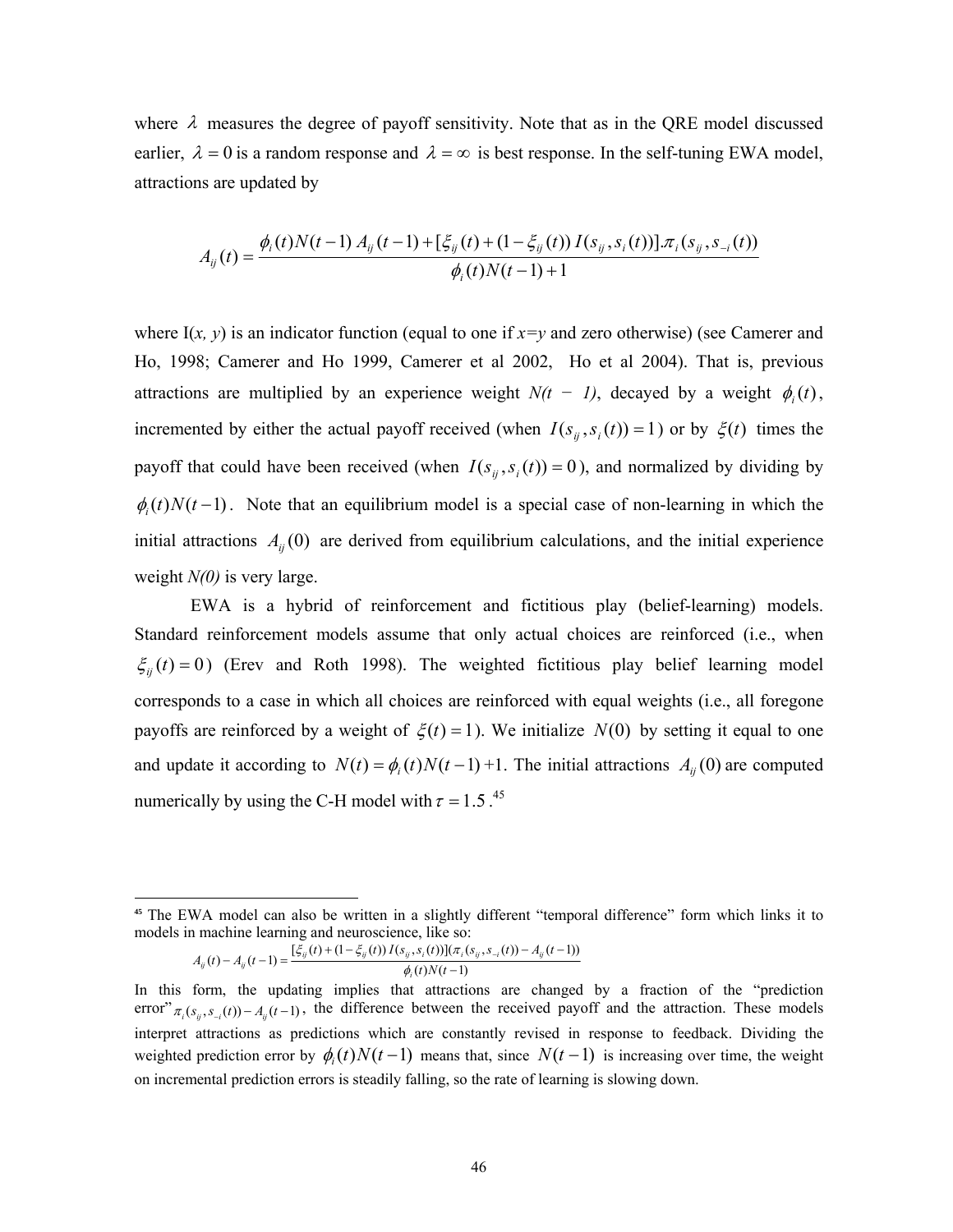where  $\lambda$  measures the degree of payoff sensitivity. Note that as in the QRE model discussed earlier,  $\lambda = 0$  is a random response and  $\lambda = \infty$  is best response. In the self-tuning EWA model, attractions are updated by

$$
A_{ij}(t) = \frac{\phi_i(t)N(t-1) A_{ij}(t-1) + [\xi_{ij}(t) + (1 - \xi_{ij}(t)) I(s_{ij}, s_i(t))] \cdot \pi_i(s_{ij}, s_{-i}(t))}{\phi_i(t)N(t-1) + 1}
$$

where  $I(x, y)$  is an indicator function (equal to one if  $x=y$  and zero otherwise) (see Camerer and Ho, 1998; Camerer and Ho 1999, Camerer et al 2002, Ho et al 2004). That is, previous attractions are multiplied by an experience weight  $N(t - 1)$ , decayed by a weight  $\phi_i(t)$ , incremented by either the actual payoff received (when  $I(s_{ij}, s_i(t)) = 1$ ) or by  $\xi(t)$  times the payoff that could have been received (when  $I(s_{ij}, s_i(t)) = 0$ ), and normalized by dividing by  $\phi_i(t)N(t-1)$ . Note that an equilibrium model is a special case of non-learning in which the initial attractions  $A_{ij}(0)$  are derived from equilibrium calculations, and the initial experience weight *N(0)* is very large.

EWA is a hybrid of reinforcement and fictitious play (belief-learning) models. Standard reinforcement models assume that only actual choices are reinforced (i.e., when  $\xi_{ij}(t) = 0$ ) (Erev and Roth 1998). The weighted fictitious play belief learning model corresponds to a case in which all choices are reinforced with equal weights (i.e., all foregone payoffs are reinforced by a weight of  $\xi(t) = 1$ ). We initialize  $N(0)$  by setting it equal to one and update it according to  $N(t) = \phi_i(t)N(t-1) + 1$ . The initial attractions  $A_{ij}(0)$  are computed numerically by using the C-H model with  $\tau = 1.5$ .<sup>45</sup>

$$
A_{ij}(t) - A_{ij}(t-1) = \frac{[\xi_{ij}(t) + (1 - \xi_{ij}(t)) I(s_{ij}, s_i(t))](\pi_i(s_{ij}, s_{-i}(t)) - A_{ij}(t-1))}{\phi_i(t) N(t-1)}
$$

<sup>&</sup>lt;sup>45</sup> The EWA model can also be written in a slightly different "temporal difference" form which links it to models in machine learning and neuroscience, like so:

In this form, the updating implies that attractions are changed by a fraction of the "prediction error"  $\pi_i(s_i, s_{-i}(t)) - A_i(t-1)$ , the difference between the received payoff and the attraction. These models interpret attractions as predictions which are constantly revised in response to feedback. Dividing the weighted prediction error by  $\phi(t)N(t-1)$  means that, since  $N(t-1)$  is increasing over time, the weight on incremental prediction errors is steadily falling, so the rate of learning is slowing down.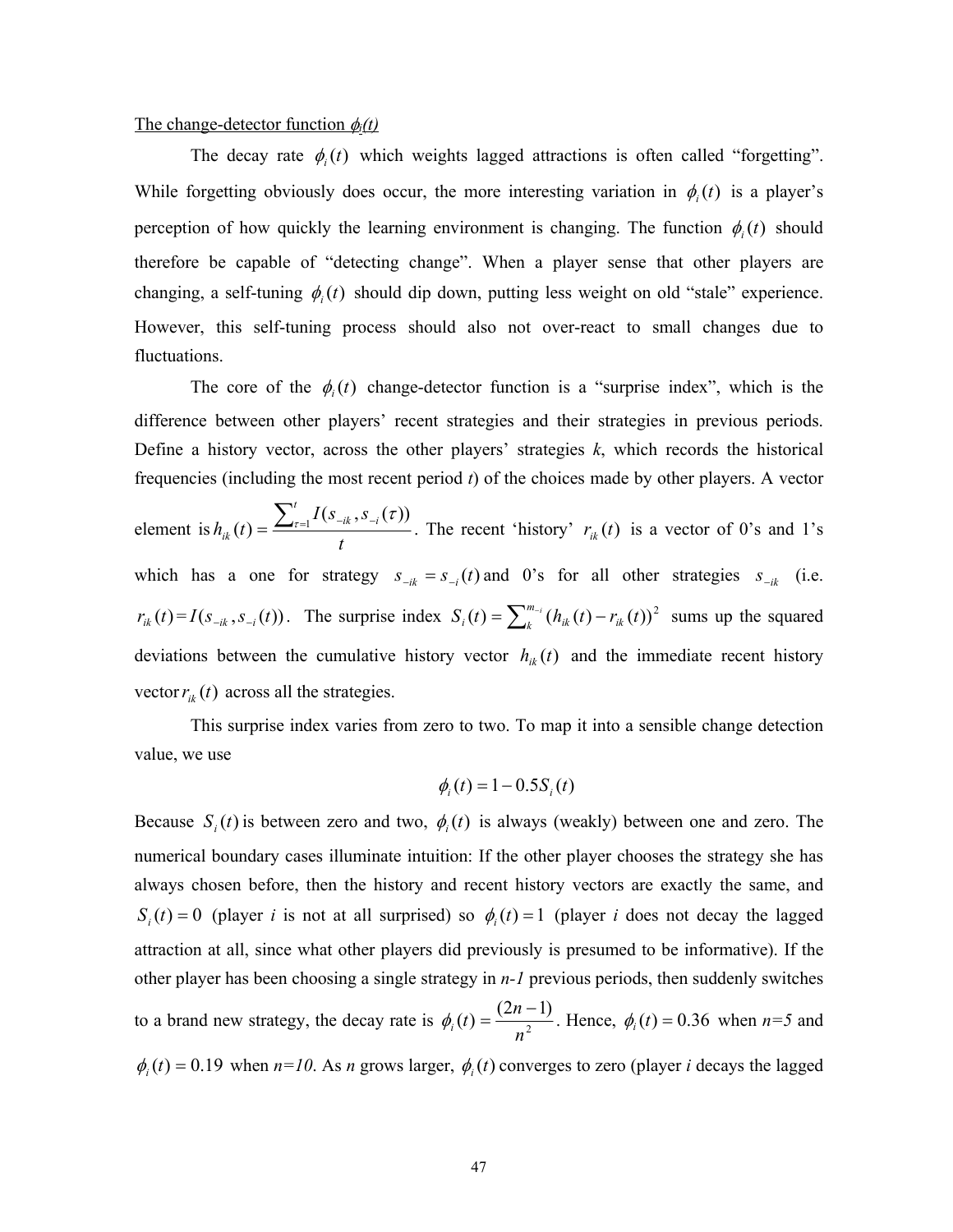#### The change-detector function  $\phi_i(t)$

The decay rate  $\phi_i(t)$  which weights lagged attractions is often called "forgetting". While forgetting obviously does occur, the more interesting variation in  $\phi_i(t)$  is a player's perception of how quickly the learning environment is changing. The function  $\phi_i(t)$  should therefore be capable of "detecting change". When a player sense that other players are changing, a self-tuning  $\phi_i(t)$  should dip down, putting less weight on old "stale" experience. However, this self-tuning process should also not over-react to small changes due to fluctuations.

The core of the  $\phi_i(t)$  change-detector function is a "surprise index", which is the difference between other players' recent strategies and their strategies in previous periods. Define a history vector, across the other players' strategies *k*, which records the historical frequencies (including the most recent period *t*) of the choices made by other players. A vector

element is *t*  $I(s_{-ik}, s)$  $h_{ik}$   $(t$ *t*  $ik$ <sup>*,* $\sigma$ </sup> $-i$ *ik*  $\mathcal{L}(t) = \frac{\sum_{\tau=1}^{t} I(s_{-ik}, s_{-i}(\tau))}{\tau}$ . The recent 'history'  $r_{ik}(t)$  is a vector of 0's and 1's which has a one for strategy  $s_{-ik} = s_{-i}(t)$  and 0's for all other strategies  $s_{-ik}$  (i.e.  $r_{ik}(t) = I(s_{-ik}, s_{-i}(t))$ . The surprise index  $S_i(t) = \sum_{k}^{m_{-i}} (h_{ik}(t) - r_{ik}(t))^2$  sums up the squared deviations between the cumulative history vector  $h_{ik}(t)$  and the immediate recent history vector  $r_{ik}(t)$  across all the strategies.

This surprise index varies from zero to two. To map it into a sensible change detection value, we use

$$
\phi_i(t) = 1 - 0.5S_i(t)
$$

Because  $S_i(t)$  is between zero and two,  $\phi_i(t)$  is always (weakly) between one and zero. The numerical boundary cases illuminate intuition: If the other player chooses the strategy she has always chosen before, then the history and recent history vectors are exactly the same, and *S<sub>i</sub>*(*t*) = 0 (player *i* is not at all surprised) so  $\phi_i(t) = 1$  (player *i* does not decay the lagged attraction at all, since what other players did previously is presumed to be informative). If the other player has been choosing a single strategy in *n-1* previous periods, then suddenly switches to a brand new strategy, the decay rate is  $\phi_i(t) = \frac{(2n-1)}{n^2}$ *n*  $\phi_i(t) = \frac{(2n-1)}{2}$ . Hence,  $\phi_i(t) = 0.36$  when *n*=5 and  $\phi_i(t) = 0.19$  when  $n=10$ . As *n* grows larger,  $\phi_i(t)$  converges to zero (player *i* decays the lagged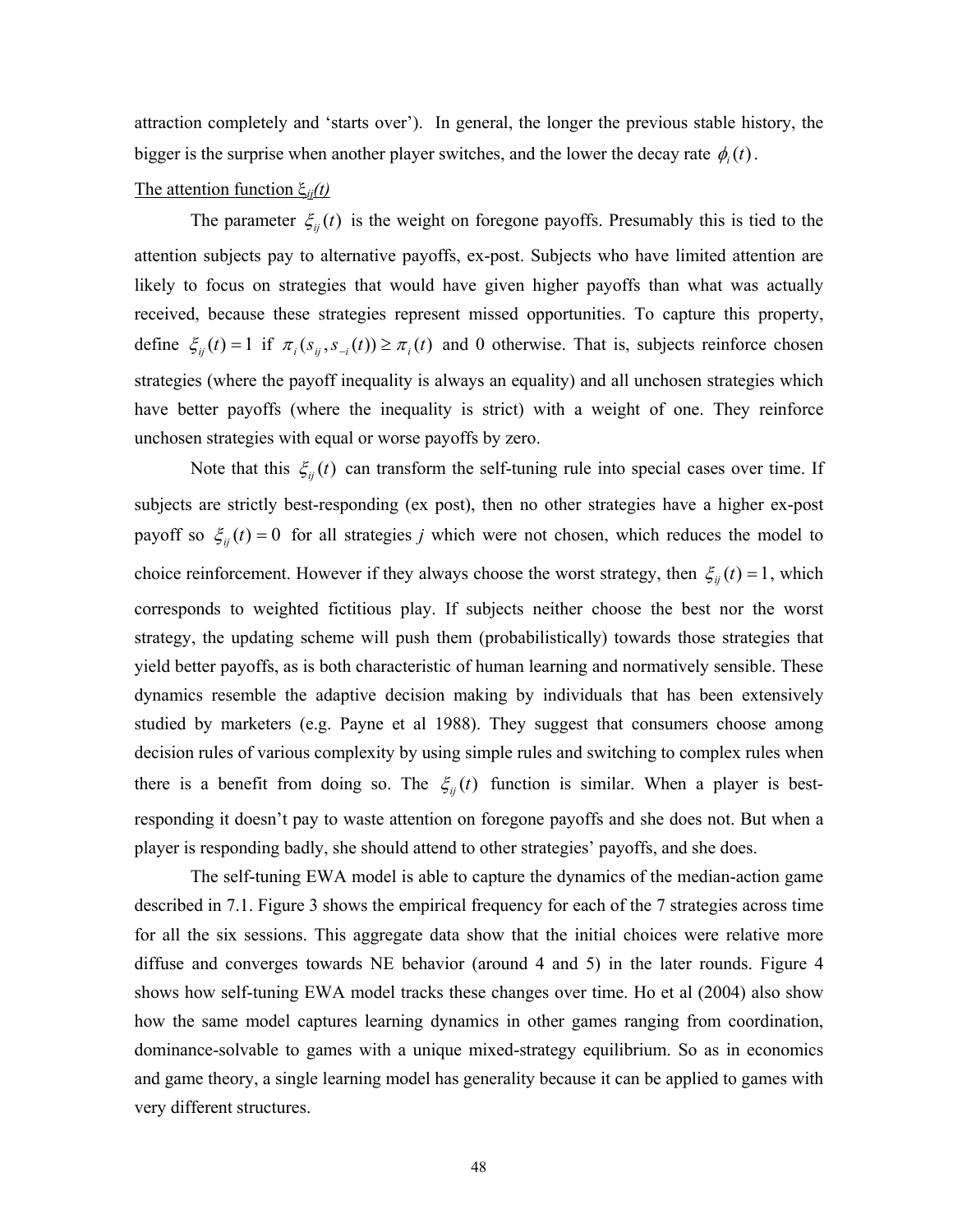attraction completely and 'starts over'). In general, the longer the previous stable history, the bigger is the surprise when another player switches, and the lower the decay rate  $\phi_i(t)$ .

## The attention function ξ*ij(t)*

The parameter  $\xi_{ij}(t)$  is the weight on foregone payoffs. Presumably this is tied to the attention subjects pay to alternative payoffs, ex-post. Subjects who have limited attention are likely to focus on strategies that would have given higher payoffs than what was actually received, because these strategies represent missed opportunities. To capture this property, define  $\xi_{ii}(t) = 1$  if  $\pi_i(s_{ii}, s_{-i}(t)) \ge \pi_i(t)$  and 0 otherwise. That is, subjects reinforce chosen strategies (where the payoff inequality is always an equality) and all unchosen strategies which have better payoffs (where the inequality is strict) with a weight of one. They reinforce unchosen strategies with equal or worse payoffs by zero.

Note that this  $\xi_{ii}(t)$  can transform the self-tuning rule into special cases over time. If subjects are strictly best-responding (ex post), then no other strategies have a higher ex-post payoff so  $\xi_{ij}(t) = 0$  for all strategies *j* which were not chosen, which reduces the model to choice reinforcement. However if they always choose the worst strategy, then  $\xi_{ii}(t) = 1$ , which corresponds to weighted fictitious play. If subjects neither choose the best nor the worst strategy, the updating scheme will push them (probabilistically) towards those strategies that yield better payoffs, as is both characteristic of human learning and normatively sensible. These dynamics resemble the adaptive decision making by individuals that has been extensively studied by marketers (e.g. Payne et al 1988). They suggest that consumers choose among decision rules of various complexity by using simple rules and switching to complex rules when there is a benefit from doing so. The  $\xi_{ij}(t)$  function is similar. When a player is bestresponding it doesn't pay to waste attention on foregone payoffs and she does not. But when a player is responding badly, she should attend to other strategies' payoffs, and she does.

 The self-tuning EWA model is able to capture the dynamics of the median-action game described in 7.1. Figure 3 shows the empirical frequency for each of the 7 strategies across time for all the six sessions. This aggregate data show that the initial choices were relative more diffuse and converges towards NE behavior (around 4 and 5) in the later rounds. Figure 4 shows how self-tuning EWA model tracks these changes over time. Ho et al (2004) also show how the same model captures learning dynamics in other games ranging from coordination, dominance-solvable to games with a unique mixed-strategy equilibrium. So as in economics and game theory, a single learning model has generality because it can be applied to games with very different structures.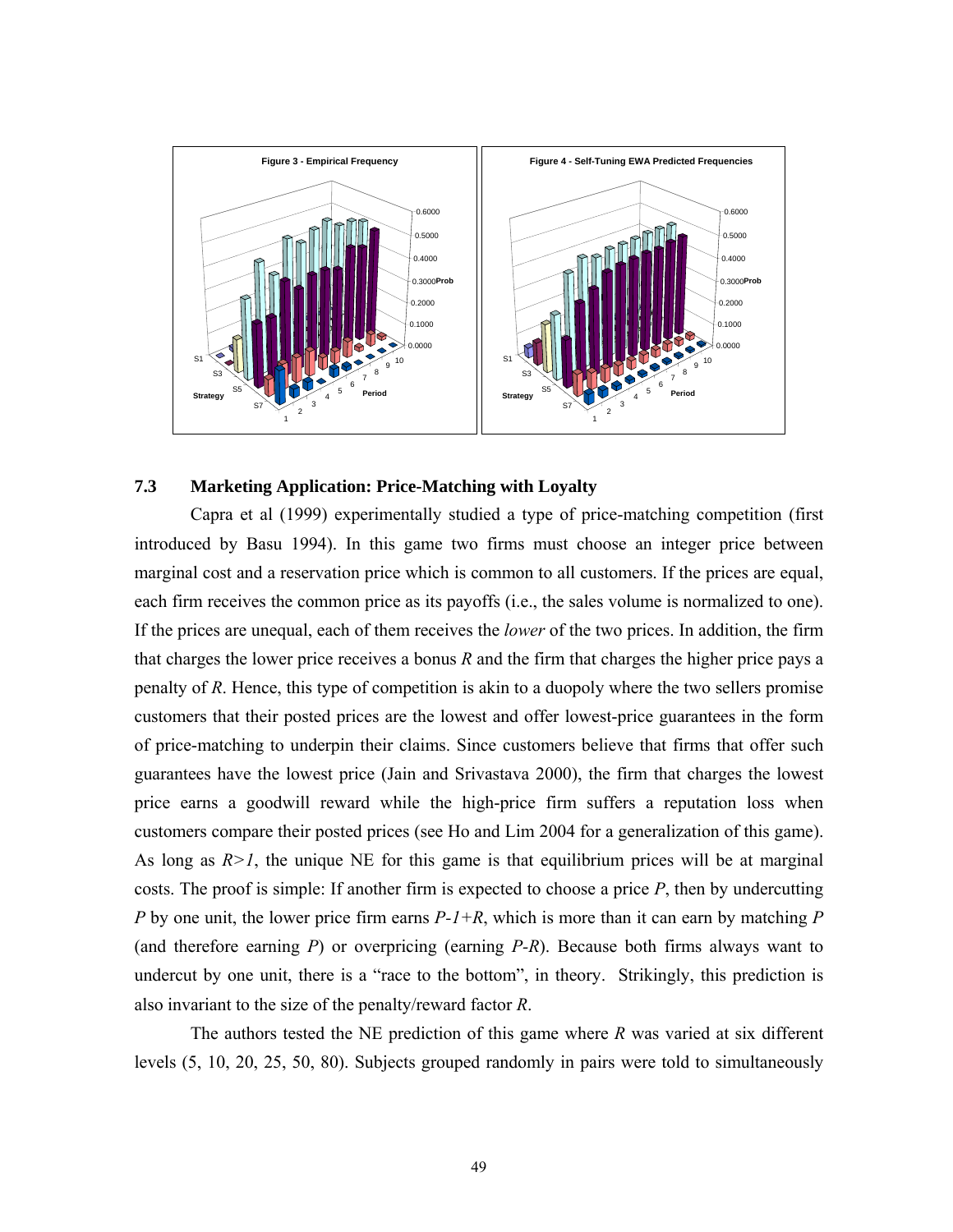

#### **7.3 Marketing Application: Price-Matching with Loyalty**

 Capra et al (1999) experimentally studied a type of price-matching competition (first introduced by Basu 1994). In this game two firms must choose an integer price between marginal cost and a reservation price which is common to all customers. If the prices are equal, each firm receives the common price as its payoffs (i.e., the sales volume is normalized to one). If the prices are unequal, each of them receives the *lower* of the two prices. In addition, the firm that charges the lower price receives a bonus *R* and the firm that charges the higher price pays a penalty of *R*. Hence, this type of competition is akin to a duopoly where the two sellers promise customers that their posted prices are the lowest and offer lowest-price guarantees in the form of price-matching to underpin their claims. Since customers believe that firms that offer such guarantees have the lowest price (Jain and Srivastava 2000), the firm that charges the lowest price earns a goodwill reward while the high-price firm suffers a reputation loss when customers compare their posted prices (see Ho and Lim 2004 for a generalization of this game). As long as  $R>1$ , the unique NE for this game is that equilibrium prices will be at marginal costs. The proof is simple: If another firm is expected to choose a price *P*, then by undercutting *P* by one unit, the lower price firm earns *P-1+R*, which is more than it can earn by matching *P* (and therefore earning *P*) or overpricing (earning *P-R*). Because both firms always want to undercut by one unit, there is a "race to the bottom", in theory. Strikingly, this prediction is also invariant to the size of the penalty/reward factor *R*.

The authors tested the NE prediction of this game where *R* was varied at six different levels (5, 10, 20, 25, 50, 80). Subjects grouped randomly in pairs were told to simultaneously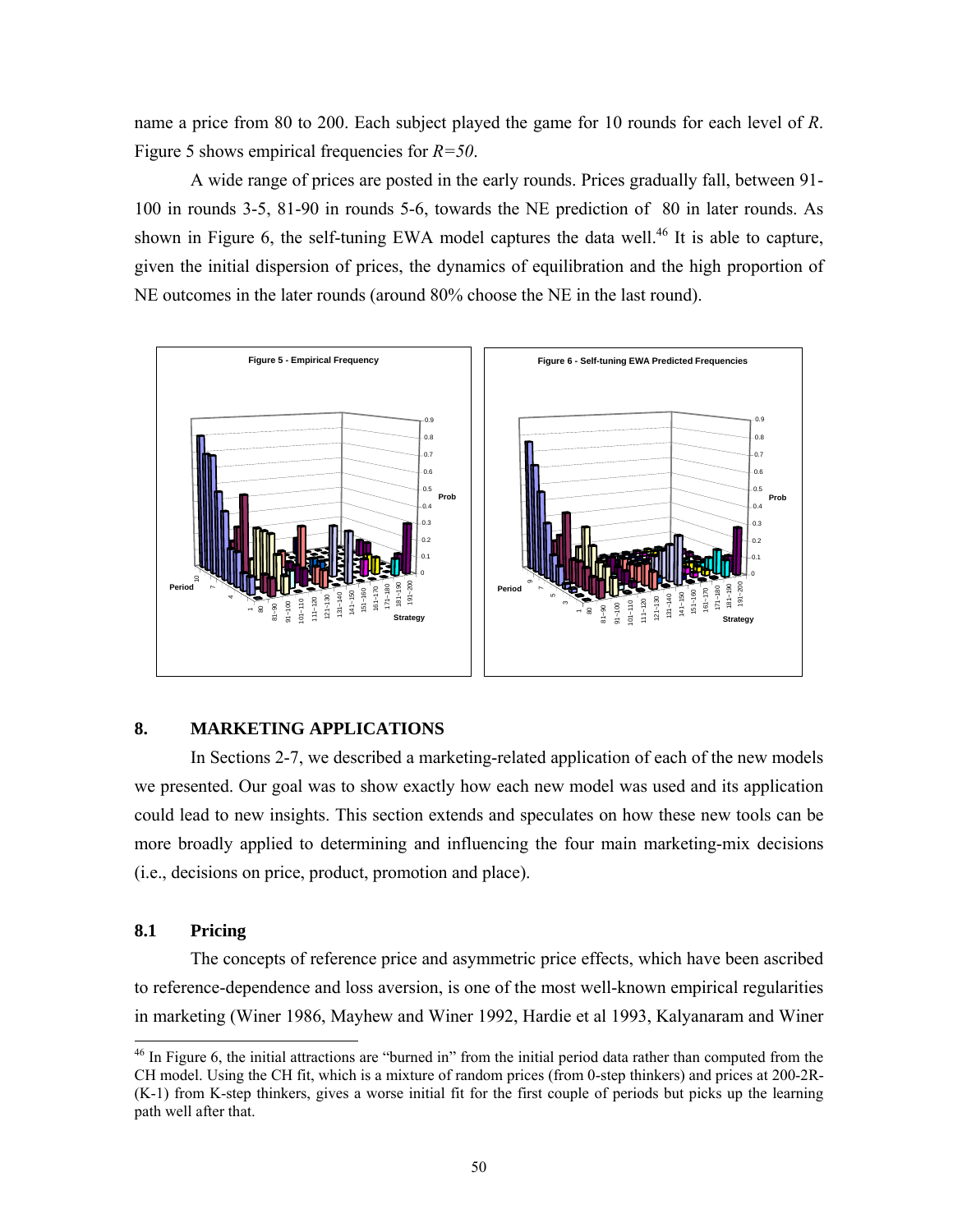name a price from 80 to 200. Each subject played the game for 10 rounds for each level of *R*. Figure 5 shows empirical frequencies for *R=50*.

A wide range of prices are posted in the early rounds. Prices gradually fall, between 91- 100 in rounds 3-5, 81-90 in rounds 5-6, towards the NE prediction of 80 in later rounds. As shown in Figure 6, the self-tuning EWA model captures the data well.<sup>46</sup> It is able to capture, given the initial dispersion of prices, the dynamics of equilibration and the high proportion of NE outcomes in the later rounds (around 80% choose the NE in the last round).



#### **8. MARKETING APPLICATIONS**

In Sections 2-7, we described a marketing-related application of each of the new models we presented. Our goal was to show exactly how each new model was used and its application could lead to new insights. This section extends and speculates on how these new tools can be more broadly applied to determining and influencing the four main marketing-mix decisions (i.e., decisions on price, product, promotion and place).

## **8.1 Pricing**

l

The concepts of reference price and asymmetric price effects, which have been ascribed to reference-dependence and loss aversion, is one of the most well-known empirical regularities in marketing (Winer 1986, Mayhew and Winer 1992, Hardie et al 1993, Kalyanaram and Winer

<sup>&</sup>lt;sup>46</sup> In Figure 6, the initial attractions are "burned in" from the initial period data rather than computed from the CH model. Using the CH fit, which is a mixture of random prices (from 0-step thinkers) and prices at 200-2R- (K-1) from K-step thinkers, gives a worse initial fit for the first couple of periods but picks up the learning path well after that.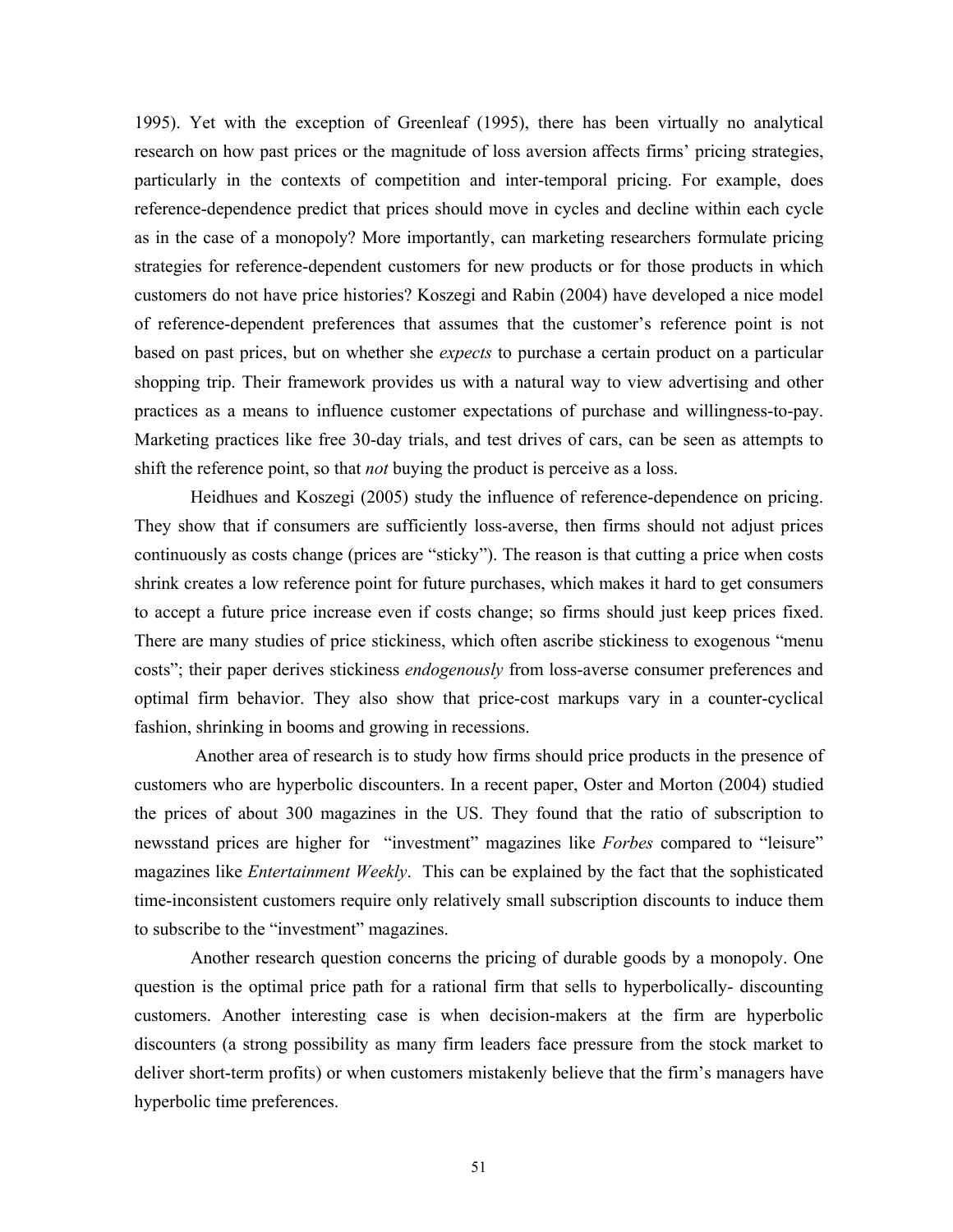1995). Yet with the exception of Greenleaf (1995), there has been virtually no analytical research on how past prices or the magnitude of loss aversion affects firms' pricing strategies, particularly in the contexts of competition and inter-temporal pricing. For example, does reference-dependence predict that prices should move in cycles and decline within each cycle as in the case of a monopoly? More importantly, can marketing researchers formulate pricing strategies for reference-dependent customers for new products or for those products in which customers do not have price histories? Koszegi and Rabin (2004) have developed a nice model of reference-dependent preferences that assumes that the customer's reference point is not based on past prices, but on whether she *expects* to purchase a certain product on a particular shopping trip. Their framework provides us with a natural way to view advertising and other practices as a means to influence customer expectations of purchase and willingness-to-pay. Marketing practices like free 30-day trials, and test drives of cars, can be seen as attempts to shift the reference point, so that *not* buying the product is perceive as a loss.

 Heidhues and Koszegi (2005) study the influence of reference-dependence on pricing. They show that if consumers are sufficiently loss-averse, then firms should not adjust prices continuously as costs change (prices are "sticky"). The reason is that cutting a price when costs shrink creates a low reference point for future purchases, which makes it hard to get consumers to accept a future price increase even if costs change; so firms should just keep prices fixed. There are many studies of price stickiness, which often ascribe stickiness to exogenous "menu costs"; their paper derives stickiness *endogenously* from loss-averse consumer preferences and optimal firm behavior. They also show that price-cost markups vary in a counter-cyclical fashion, shrinking in booms and growing in recessions.

 Another area of research is to study how firms should price products in the presence of customers who are hyperbolic discounters. In a recent paper, Oster and Morton (2004) studied the prices of about 300 magazines in the US. They found that the ratio of subscription to newsstand prices are higher for "investment" magazines like *Forbes* compared to "leisure" magazines like *Entertainment Weekly*. This can be explained by the fact that the sophisticated time-inconsistent customers require only relatively small subscription discounts to induce them to subscribe to the "investment" magazines.

Another research question concerns the pricing of durable goods by a monopoly. One question is the optimal price path for a rational firm that sells to hyperbolically- discounting customers. Another interesting case is when decision-makers at the firm are hyperbolic discounters (a strong possibility as many firm leaders face pressure from the stock market to deliver short-term profits) or when customers mistakenly believe that the firm's managers have hyperbolic time preferences.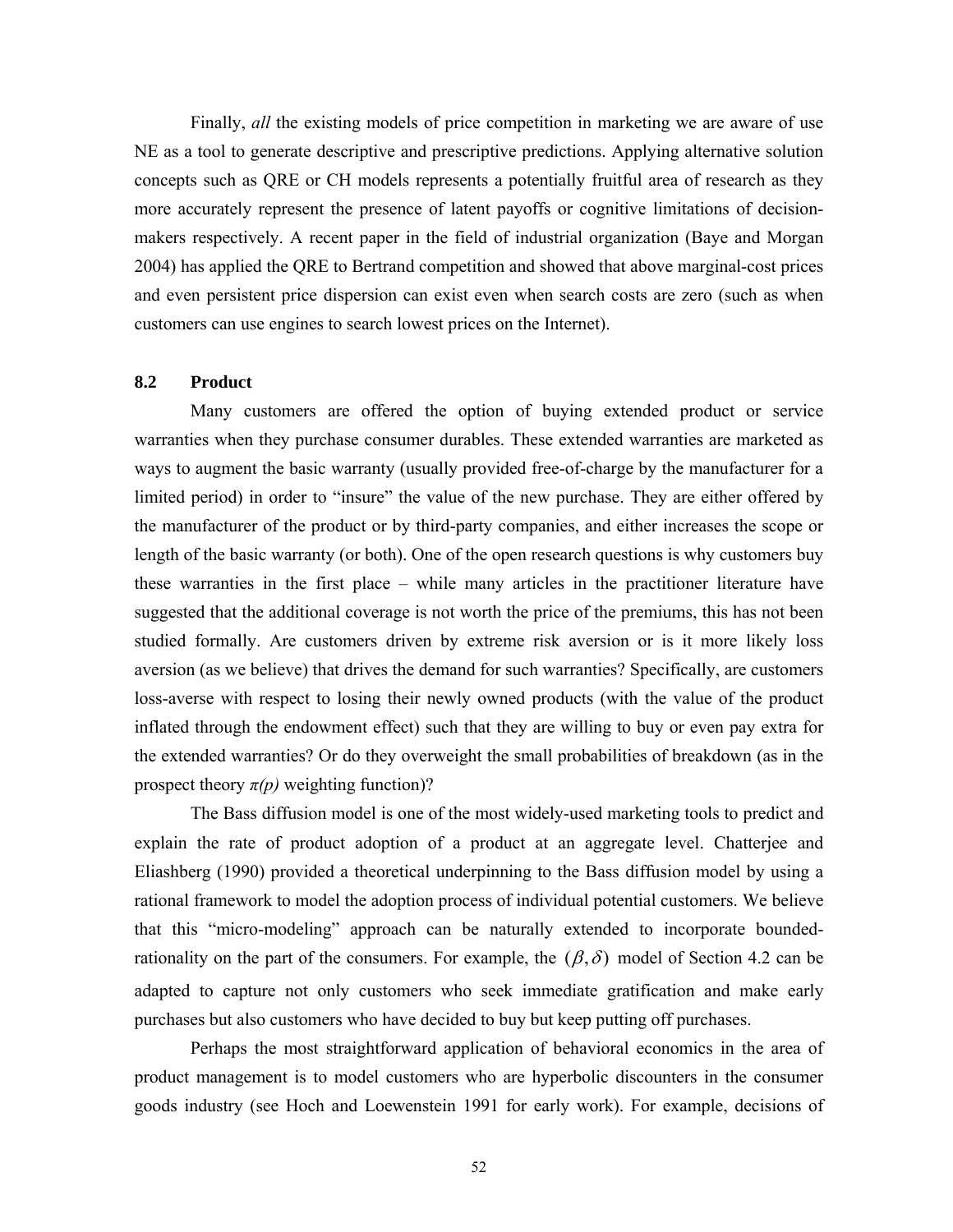Finally, *all* the existing models of price competition in marketing we are aware of use NE as a tool to generate descriptive and prescriptive predictions. Applying alternative solution concepts such as QRE or CH models represents a potentially fruitful area of research as they more accurately represent the presence of latent payoffs or cognitive limitations of decisionmakers respectively. A recent paper in the field of industrial organization (Baye and Morgan 2004) has applied the QRE to Bertrand competition and showed that above marginal-cost prices and even persistent price dispersion can exist even when search costs are zero (such as when customers can use engines to search lowest prices on the Internet).

#### **8.2 Product**

 Many customers are offered the option of buying extended product or service warranties when they purchase consumer durables. These extended warranties are marketed as ways to augment the basic warranty (usually provided free-of-charge by the manufacturer for a limited period) in order to "insure" the value of the new purchase. They are either offered by the manufacturer of the product or by third-party companies, and either increases the scope or length of the basic warranty (or both). One of the open research questions is why customers buy these warranties in the first place – while many articles in the practitioner literature have suggested that the additional coverage is not worth the price of the premiums, this has not been studied formally. Are customers driven by extreme risk aversion or is it more likely loss aversion (as we believe) that drives the demand for such warranties? Specifically, are customers loss-averse with respect to losing their newly owned products (with the value of the product inflated through the endowment effect) such that they are willing to buy or even pay extra for the extended warranties? Or do they overweight the small probabilities of breakdown (as in the prospect theory  $\pi(p)$  weighting function)?

 The Bass diffusion model is one of the most widely-used marketing tools to predict and explain the rate of product adoption of a product at an aggregate level. Chatterjee and Eliashberg (1990) provided a theoretical underpinning to the Bass diffusion model by using a rational framework to model the adoption process of individual potential customers. We believe that this "micro-modeling" approach can be naturally extended to incorporate boundedrationality on the part of the consumers. For example, the  $(\beta, \delta)$  model of Section 4.2 can be adapted to capture not only customers who seek immediate gratification and make early purchases but also customers who have decided to buy but keep putting off purchases.

Perhaps the most straightforward application of behavioral economics in the area of product management is to model customers who are hyperbolic discounters in the consumer goods industry (see Hoch and Loewenstein 1991 for early work). For example, decisions of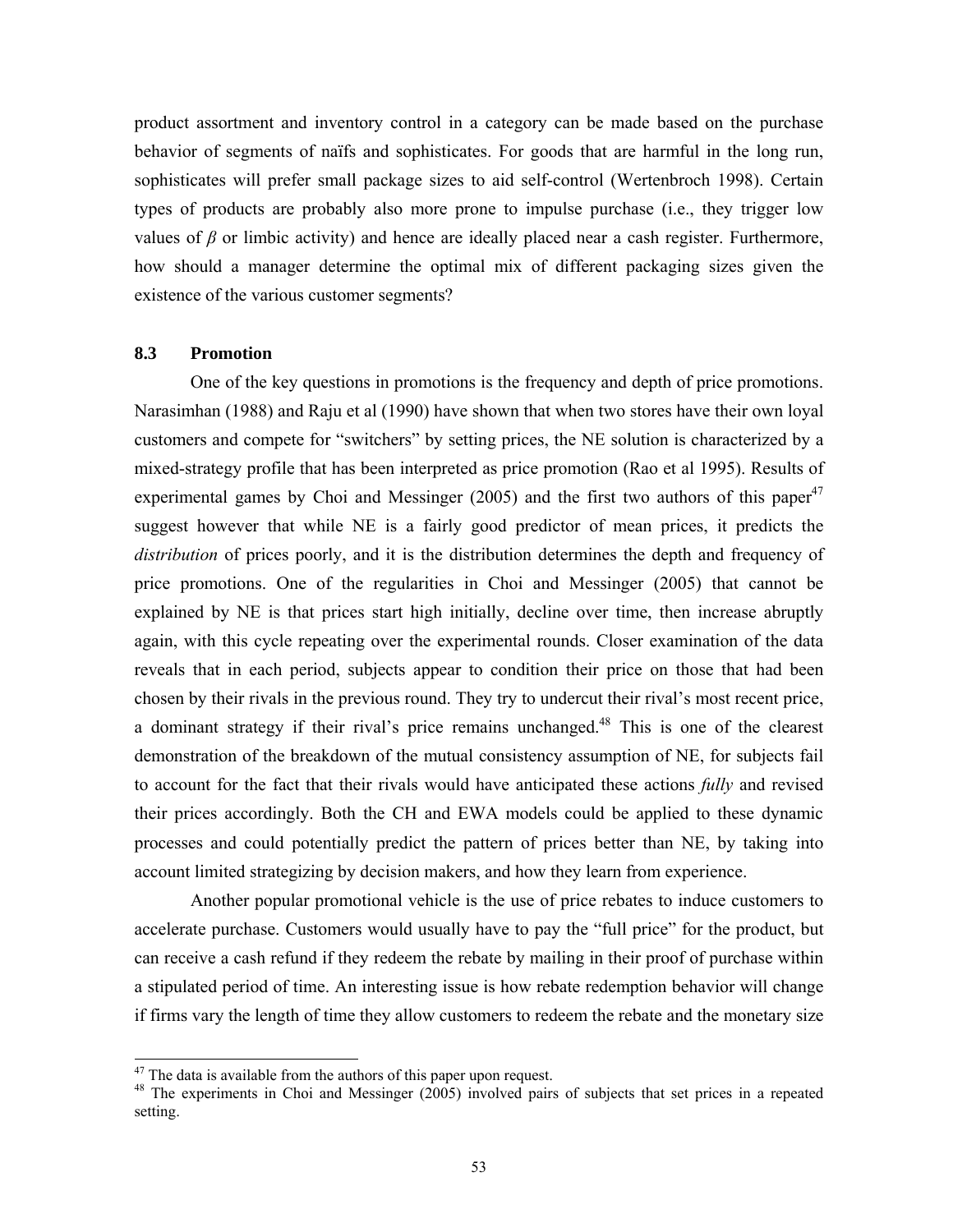product assortment and inventory control in a category can be made based on the purchase behavior of segments of naïfs and sophisticates. For goods that are harmful in the long run, sophisticates will prefer small package sizes to aid self-control (Wertenbroch 1998). Certain types of products are probably also more prone to impulse purchase (i.e., they trigger low values of  $\beta$  or limbic activity) and hence are ideally placed near a cash register. Furthermore, how should a manager determine the optimal mix of different packaging sizes given the existence of the various customer segments?

### **8.3 Promotion**

l

One of the key questions in promotions is the frequency and depth of price promotions. Narasimhan (1988) and Raju et al (1990) have shown that when two stores have their own loyal customers and compete for "switchers" by setting prices, the NE solution is characterized by a mixed-strategy profile that has been interpreted as price promotion (Rao et al 1995). Results of experimental games by Choi and Messinger  $(2005)$  and the first two authors of this paper<sup>47</sup> suggest however that while NE is a fairly good predictor of mean prices, it predicts the *distribution* of prices poorly, and it is the distribution determines the depth and frequency of price promotions. One of the regularities in Choi and Messinger (2005) that cannot be explained by NE is that prices start high initially, decline over time, then increase abruptly again, with this cycle repeating over the experimental rounds. Closer examination of the data reveals that in each period, subjects appear to condition their price on those that had been chosen by their rivals in the previous round. They try to undercut their rival's most recent price, a dominant strategy if their rival's price remains unchanged.<sup>48</sup> This is one of the clearest demonstration of the breakdown of the mutual consistency assumption of NE, for subjects fail to account for the fact that their rivals would have anticipated these actions *fully* and revised their prices accordingly. Both the CH and EWA models could be applied to these dynamic processes and could potentially predict the pattern of prices better than NE, by taking into account limited strategizing by decision makers, and how they learn from experience.

Another popular promotional vehicle is the use of price rebates to induce customers to accelerate purchase. Customers would usually have to pay the "full price" for the product, but can receive a cash refund if they redeem the rebate by mailing in their proof of purchase within a stipulated period of time. An interesting issue is how rebate redemption behavior will change if firms vary the length of time they allow customers to redeem the rebate and the monetary size

 $47$  The data is available from the authors of this paper upon request.

 $48$  The experiments in Choi and Messinger (2005) involved pairs of subjects that set prices in a repeated setting.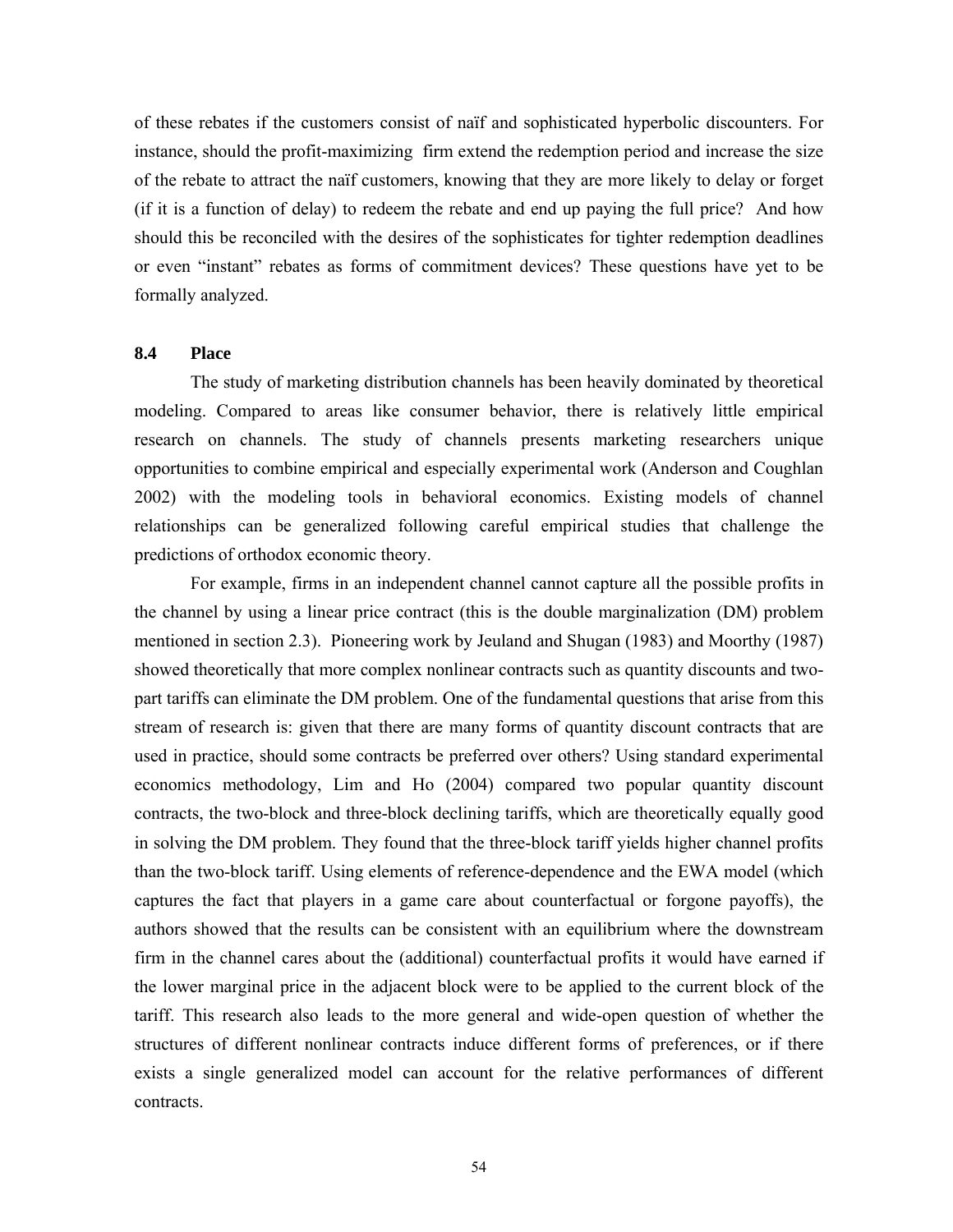of these rebates if the customers consist of naïf and sophisticated hyperbolic discounters. For instance, should the profit-maximizing firm extend the redemption period and increase the size of the rebate to attract the naïf customers, knowing that they are more likely to delay or forget (if it is a function of delay) to redeem the rebate and end up paying the full price? And how should this be reconciled with the desires of the sophisticates for tighter redemption deadlines or even "instant" rebates as forms of commitment devices? These questions have yet to be formally analyzed.

#### **8.4 Place**

The study of marketing distribution channels has been heavily dominated by theoretical modeling. Compared to areas like consumer behavior, there is relatively little empirical research on channels. The study of channels presents marketing researchers unique opportunities to combine empirical and especially experimental work (Anderson and Coughlan 2002) with the modeling tools in behavioral economics. Existing models of channel relationships can be generalized following careful empirical studies that challenge the predictions of orthodox economic theory.

 For example, firms in an independent channel cannot capture all the possible profits in the channel by using a linear price contract (this is the double marginalization (DM) problem mentioned in section 2.3). Pioneering work by Jeuland and Shugan (1983) and Moorthy (1987) showed theoretically that more complex nonlinear contracts such as quantity discounts and twopart tariffs can eliminate the DM problem. One of the fundamental questions that arise from this stream of research is: given that there are many forms of quantity discount contracts that are used in practice, should some contracts be preferred over others? Using standard experimental economics methodology, Lim and Ho (2004) compared two popular quantity discount contracts, the two-block and three-block declining tariffs, which are theoretically equally good in solving the DM problem. They found that the three-block tariff yields higher channel profits than the two-block tariff. Using elements of reference-dependence and the EWA model (which captures the fact that players in a game care about counterfactual or forgone payoffs), the authors showed that the results can be consistent with an equilibrium where the downstream firm in the channel cares about the (additional) counterfactual profits it would have earned if the lower marginal price in the adjacent block were to be applied to the current block of the tariff. This research also leads to the more general and wide-open question of whether the structures of different nonlinear contracts induce different forms of preferences, or if there exists a single generalized model can account for the relative performances of different contracts.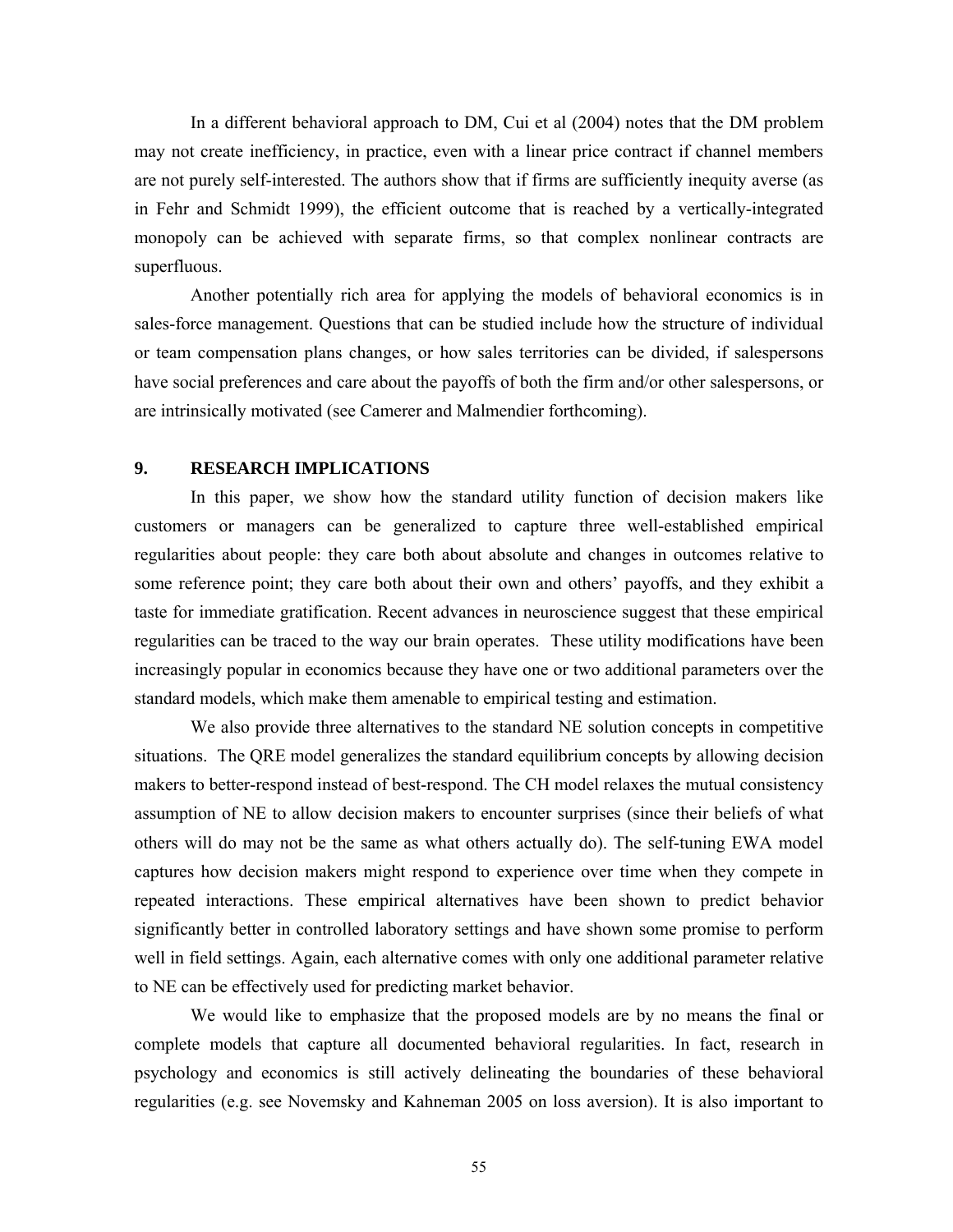In a different behavioral approach to DM, Cui et al (2004) notes that the DM problem may not create inefficiency, in practice, even with a linear price contract if channel members are not purely self-interested. The authors show that if firms are sufficiently inequity averse (as in Fehr and Schmidt 1999), the efficient outcome that is reached by a vertically-integrated monopoly can be achieved with separate firms, so that complex nonlinear contracts are superfluous.

 Another potentially rich area for applying the models of behavioral economics is in sales-force management. Questions that can be studied include how the structure of individual or team compensation plans changes, or how sales territories can be divided, if salespersons have social preferences and care about the payoffs of both the firm and/or other salespersons, or are intrinsically motivated (see Camerer and Malmendier forthcoming).

#### **9. RESEARCH IMPLICATIONS**

In this paper, we show how the standard utility function of decision makers like customers or managers can be generalized to capture three well-established empirical regularities about people: they care both about absolute and changes in outcomes relative to some reference point; they care both about their own and others' payoffs, and they exhibit a taste for immediate gratification. Recent advances in neuroscience suggest that these empirical regularities can be traced to the way our brain operates. These utility modifications have been increasingly popular in economics because they have one or two additional parameters over the standard models, which make them amenable to empirical testing and estimation.

We also provide three alternatives to the standard NE solution concepts in competitive situations. The QRE model generalizes the standard equilibrium concepts by allowing decision makers to better-respond instead of best-respond. The CH model relaxes the mutual consistency assumption of NE to allow decision makers to encounter surprises (since their beliefs of what others will do may not be the same as what others actually do). The self-tuning EWA model captures how decision makers might respond to experience over time when they compete in repeated interactions. These empirical alternatives have been shown to predict behavior significantly better in controlled laboratory settings and have shown some promise to perform well in field settings. Again, each alternative comes with only one additional parameter relative to NE can be effectively used for predicting market behavior.

We would like to emphasize that the proposed models are by no means the final or complete models that capture all documented behavioral regularities. In fact, research in psychology and economics is still actively delineating the boundaries of these behavioral regularities (e.g. see Novemsky and Kahneman 2005 on loss aversion). It is also important to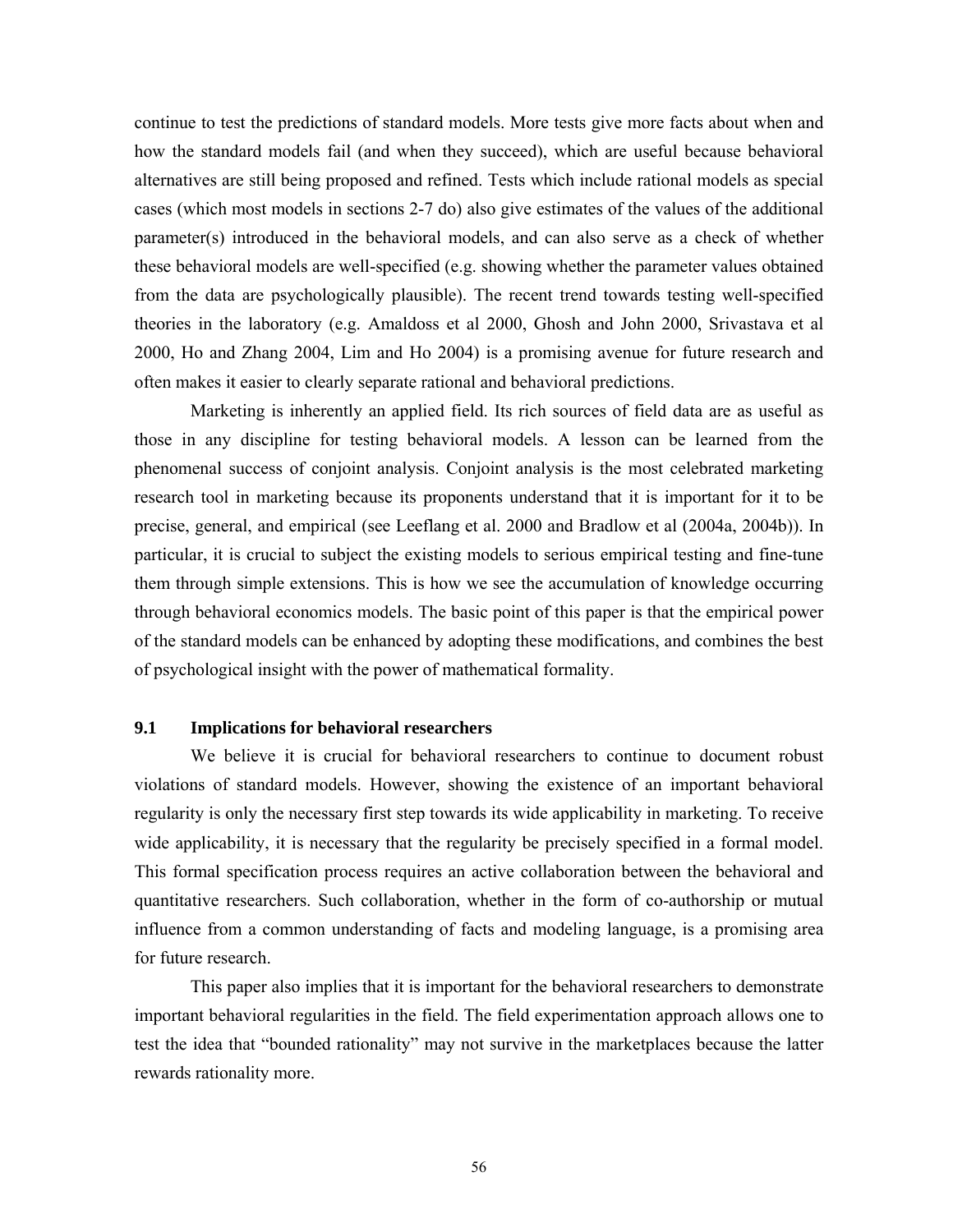continue to test the predictions of standard models. More tests give more facts about when and how the standard models fail (and when they succeed), which are useful because behavioral alternatives are still being proposed and refined. Tests which include rational models as special cases (which most models in sections 2-7 do) also give estimates of the values of the additional parameter(s) introduced in the behavioral models, and can also serve as a check of whether these behavioral models are well-specified (e.g. showing whether the parameter values obtained from the data are psychologically plausible). The recent trend towards testing well-specified theories in the laboratory (e.g. Amaldoss et al 2000, Ghosh and John 2000, Srivastava et al 2000, Ho and Zhang 2004, Lim and Ho 2004) is a promising avenue for future research and often makes it easier to clearly separate rational and behavioral predictions.

Marketing is inherently an applied field. Its rich sources of field data are as useful as those in any discipline for testing behavioral models. A lesson can be learned from the phenomenal success of conjoint analysis. Conjoint analysis is the most celebrated marketing research tool in marketing because its proponents understand that it is important for it to be precise, general, and empirical (see Leeflang et al. 2000 and Bradlow et al (2004a, 2004b)). In particular, it is crucial to subject the existing models to serious empirical testing and fine-tune them through simple extensions. This is how we see the accumulation of knowledge occurring through behavioral economics models. The basic point of this paper is that the empirical power of the standard models can be enhanced by adopting these modifications, and combines the best of psychological insight with the power of mathematical formality.

### **9.1 Implications for behavioral researchers**

We believe it is crucial for behavioral researchers to continue to document robust violations of standard models. However, showing the existence of an important behavioral regularity is only the necessary first step towards its wide applicability in marketing. To receive wide applicability, it is necessary that the regularity be precisely specified in a formal model. This formal specification process requires an active collaboration between the behavioral and quantitative researchers. Such collaboration, whether in the form of co-authorship or mutual influence from a common understanding of facts and modeling language, is a promising area for future research.

This paper also implies that it is important for the behavioral researchers to demonstrate important behavioral regularities in the field. The field experimentation approach allows one to test the idea that "bounded rationality" may not survive in the marketplaces because the latter rewards rationality more.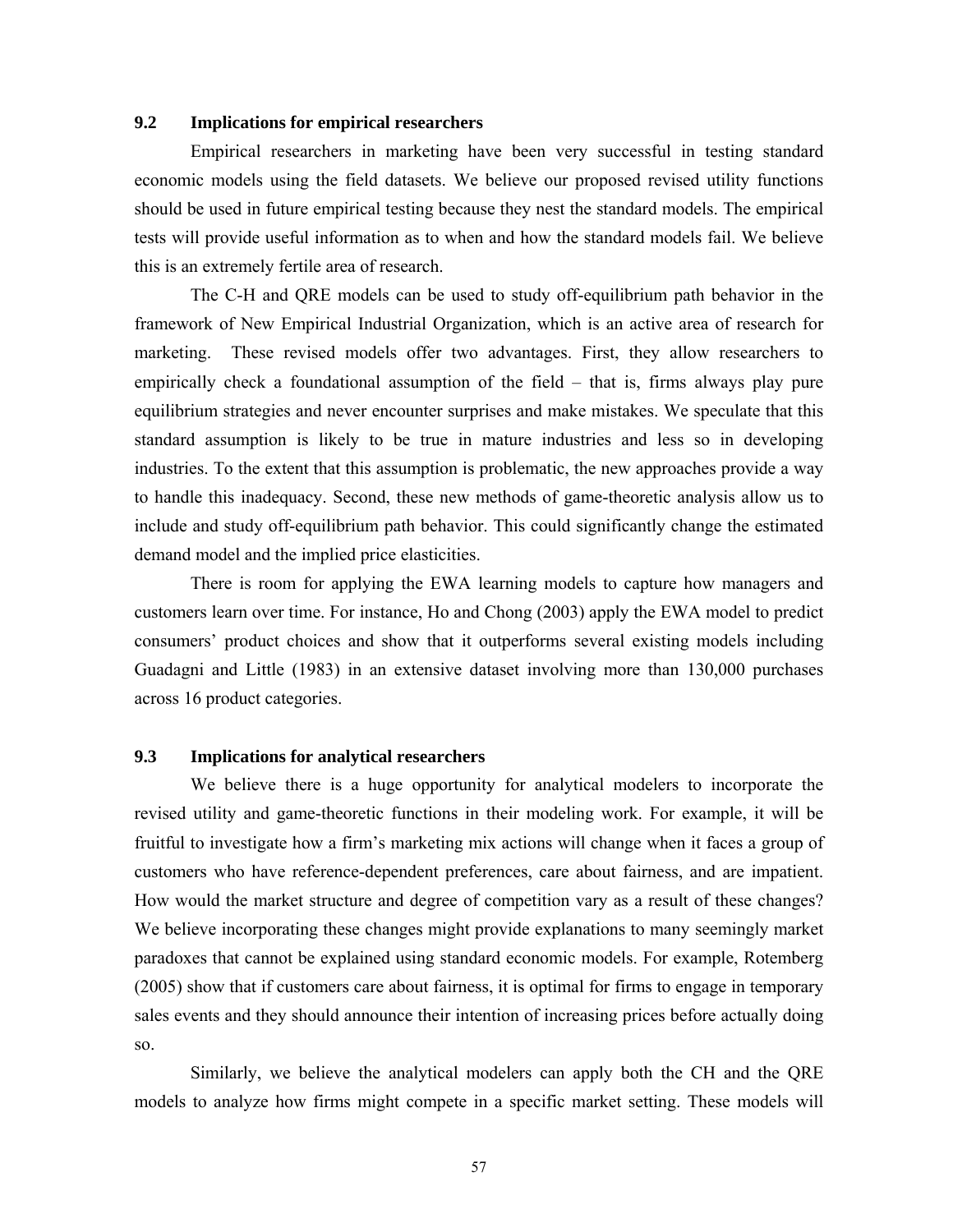## **9.2 Implications for empirical researchers**

Empirical researchers in marketing have been very successful in testing standard economic models using the field datasets. We believe our proposed revised utility functions should be used in future empirical testing because they nest the standard models. The empirical tests will provide useful information as to when and how the standard models fail. We believe this is an extremely fertile area of research.

The C-H and QRE models can be used to study off-equilibrium path behavior in the framework of New Empirical Industrial Organization, which is an active area of research for marketing. These revised models offer two advantages. First, they allow researchers to empirically check a foundational assumption of the field – that is, firms always play pure equilibrium strategies and never encounter surprises and make mistakes. We speculate that this standard assumption is likely to be true in mature industries and less so in developing industries. To the extent that this assumption is problematic, the new approaches provide a way to handle this inadequacy. Second, these new methods of game-theoretic analysis allow us to include and study off-equilibrium path behavior. This could significantly change the estimated demand model and the implied price elasticities.

 There is room for applying the EWA learning models to capture how managers and customers learn over time. For instance, Ho and Chong (2003) apply the EWA model to predict consumers' product choices and show that it outperforms several existing models including Guadagni and Little (1983) in an extensive dataset involving more than 130,000 purchases across 16 product categories.

## **9.3 Implications for analytical researchers**

We believe there is a huge opportunity for analytical modelers to incorporate the revised utility and game-theoretic functions in their modeling work. For example, it will be fruitful to investigate how a firm's marketing mix actions will change when it faces a group of customers who have reference-dependent preferences, care about fairness, and are impatient. How would the market structure and degree of competition vary as a result of these changes? We believe incorporating these changes might provide explanations to many seemingly market paradoxes that cannot be explained using standard economic models. For example, Rotemberg (2005) show that if customers care about fairness, it is optimal for firms to engage in temporary sales events and they should announce their intention of increasing prices before actually doing so.

 Similarly, we believe the analytical modelers can apply both the CH and the QRE models to analyze how firms might compete in a specific market setting. These models will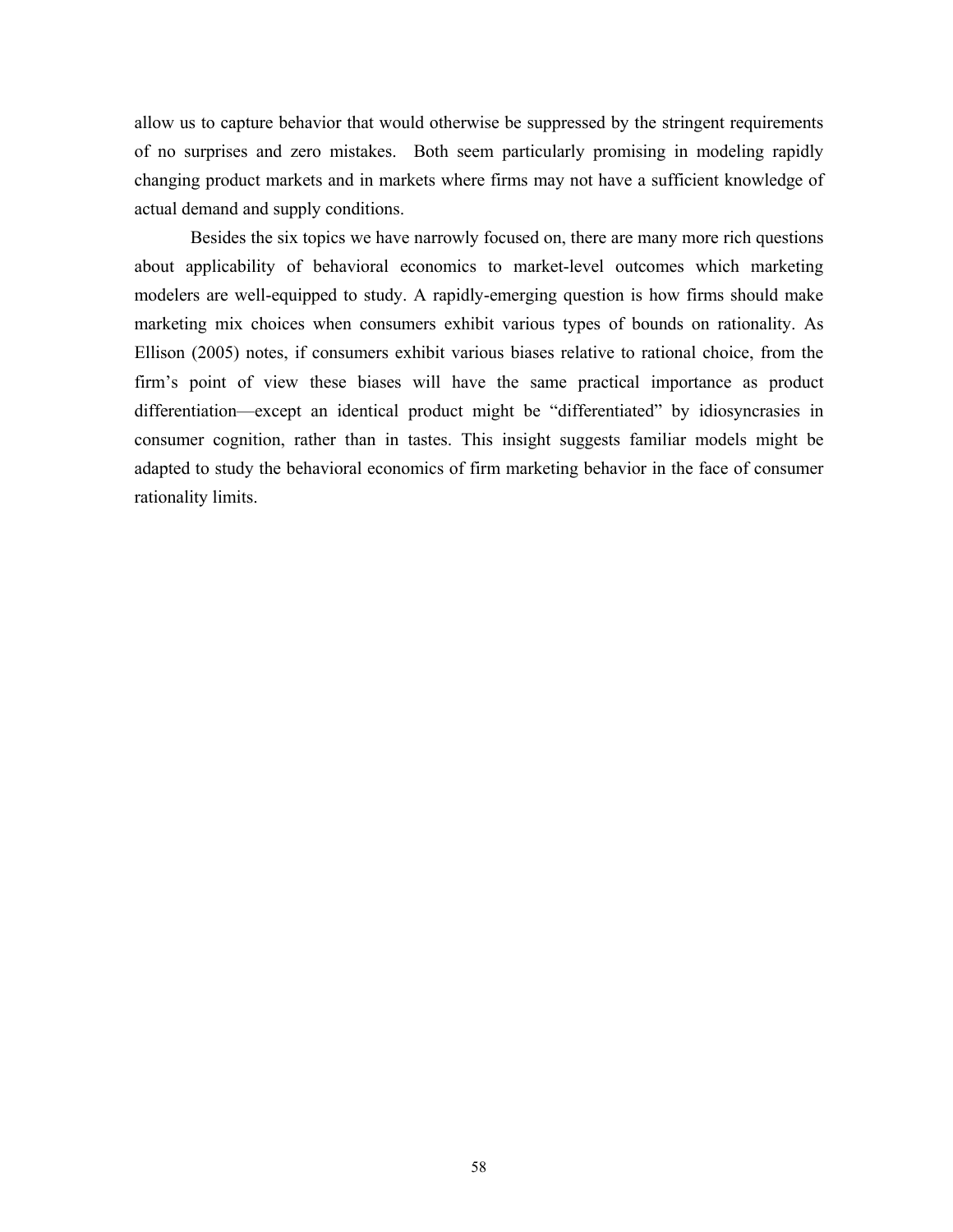allow us to capture behavior that would otherwise be suppressed by the stringent requirements of no surprises and zero mistakes. Both seem particularly promising in modeling rapidly changing product markets and in markets where firms may not have a sufficient knowledge of actual demand and supply conditions.

 Besides the six topics we have narrowly focused on, there are many more rich questions about applicability of behavioral economics to market-level outcomes which marketing modelers are well-equipped to study. A rapidly-emerging question is how firms should make marketing mix choices when consumers exhibit various types of bounds on rationality. As Ellison (2005) notes, if consumers exhibit various biases relative to rational choice, from the firm's point of view these biases will have the same practical importance as product differentiation—except an identical product might be "differentiated" by idiosyncrasies in consumer cognition, rather than in tastes. This insight suggests familiar models might be adapted to study the behavioral economics of firm marketing behavior in the face of consumer rationality limits.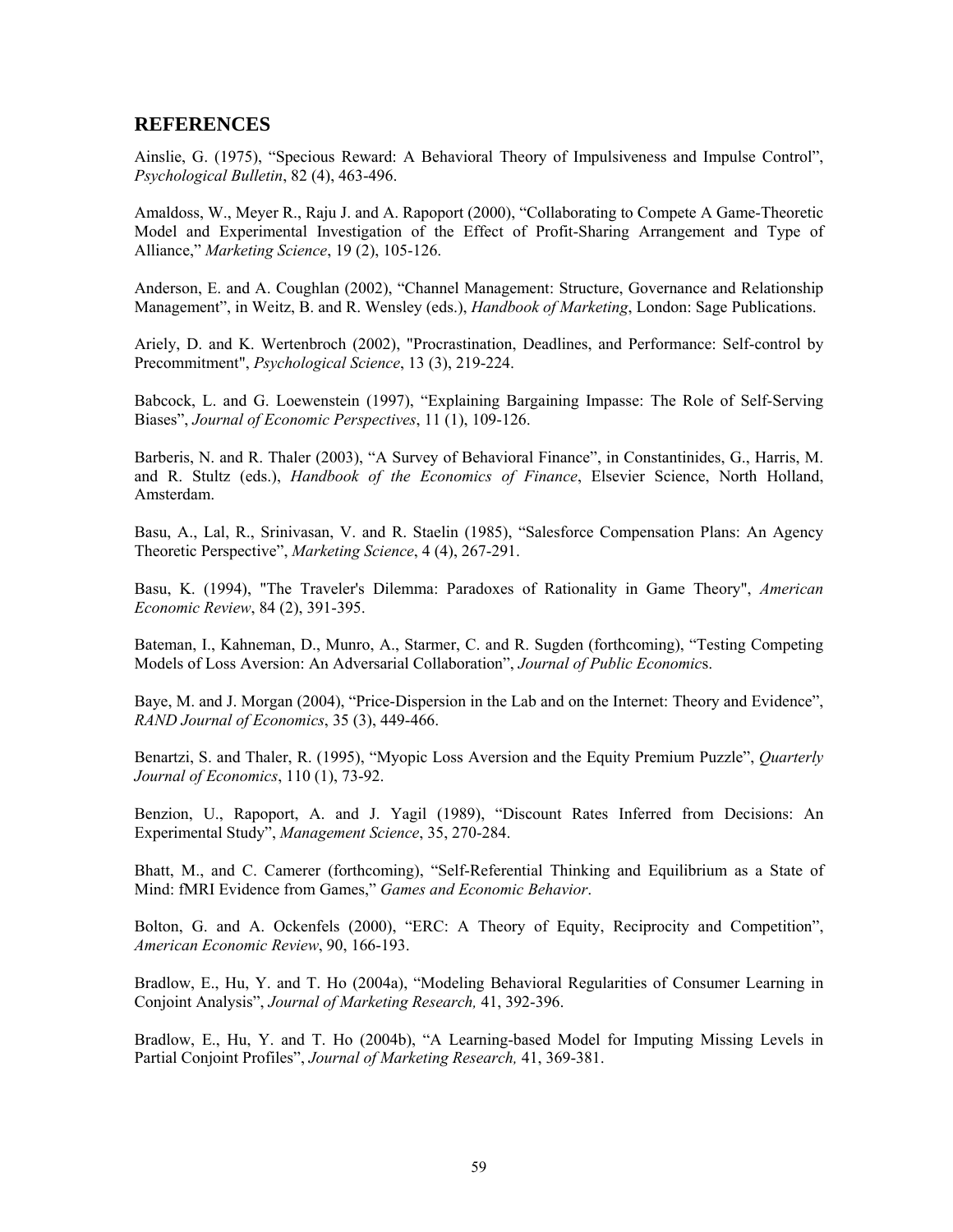## **REFERENCES**

Ainslie, G. (1975), "Specious Reward: A Behavioral Theory of Impulsiveness and Impulse Control", *Psychological Bulletin*, 82 (4), 463-496.

Amaldoss, W., Meyer R., Raju J. and A. Rapoport (2000), "Collaborating to Compete A Game-Theoretic Model and Experimental Investigation of the Effect of Profit-Sharing Arrangement and Type of Alliance," *Marketing Science*, 19 (2), 105-126.

Anderson, E. and A. Coughlan (2002), "Channel Management: Structure, Governance and Relationship Management", in Weitz, B. and R. Wensley (eds.), *Handbook of Marketing*, London: Sage Publications.

Ariely, D. and K. Wertenbroch (2002), "Procrastination, Deadlines, and Performance: Self-control by Precommitment", *Psychological Science*, 13 (3), 219-224.

Babcock, L. and G. Loewenstein (1997), "Explaining Bargaining Impasse: The Role of Self-Serving Biases", *Journal of Economic Perspectives*, 11 (1), 109-126.

Barberis, N. and R. Thaler (2003), "A Survey of Behavioral Finance", in Constantinides, G., Harris, M. and R. Stultz (eds.), *Handbook of the Economics of Finance*, Elsevier Science, North Holland, Amsterdam.

Basu, A., Lal, R., Srinivasan, V. and R. Staelin (1985), "Salesforce Compensation Plans: An Agency Theoretic Perspective", *Marketing Science*, 4 (4), 267-291.

Basu, K. (1994), "The Traveler's Dilemma: Paradoxes of Rationality in Game Theory", *American Economic Review*, 84 (2), 391-395.

Bateman, I., Kahneman, D., Munro, A., Starmer, C. and R. Sugden (forthcoming), "Testing Competing Models of Loss Aversion: An Adversarial Collaboration", *Journal of Public Economic*s.

Baye, M. and J. Morgan (2004), "Price-Dispersion in the Lab and on the Internet: Theory and Evidence", *RAND Journal of Economics*, 35 (3), 449-466.

Benartzi, S. and Thaler, R. (1995), "Myopic Loss Aversion and the Equity Premium Puzzle", *Quarterly Journal of Economics*, 110 (1), 73-92.

Benzion, U., Rapoport, A. and J. Yagil (1989), "Discount Rates Inferred from Decisions: An Experimental Study", *Management Science*, 35, 270-284.

Bhatt, M., and C. Camerer (forthcoming), "Self-Referential Thinking and Equilibrium as a State of Mind: fMRI Evidence from Games," *Games and Economic Behavior*.

Bolton, G. and A. Ockenfels (2000), "ERC: A Theory of Equity, Reciprocity and Competition", *American Economic Review*, 90, 166-193.

Bradlow, E., Hu, Y. and T. Ho (2004a), "Modeling Behavioral Regularities of Consumer Learning in Conjoint Analysis", *Journal of Marketing Research,* 41, 392-396.

Bradlow, E., Hu, Y. and T. Ho (2004b), "A Learning-based Model for Imputing Missing Levels in Partial Conjoint Profiles", *Journal of Marketing Research,* 41, 369-381.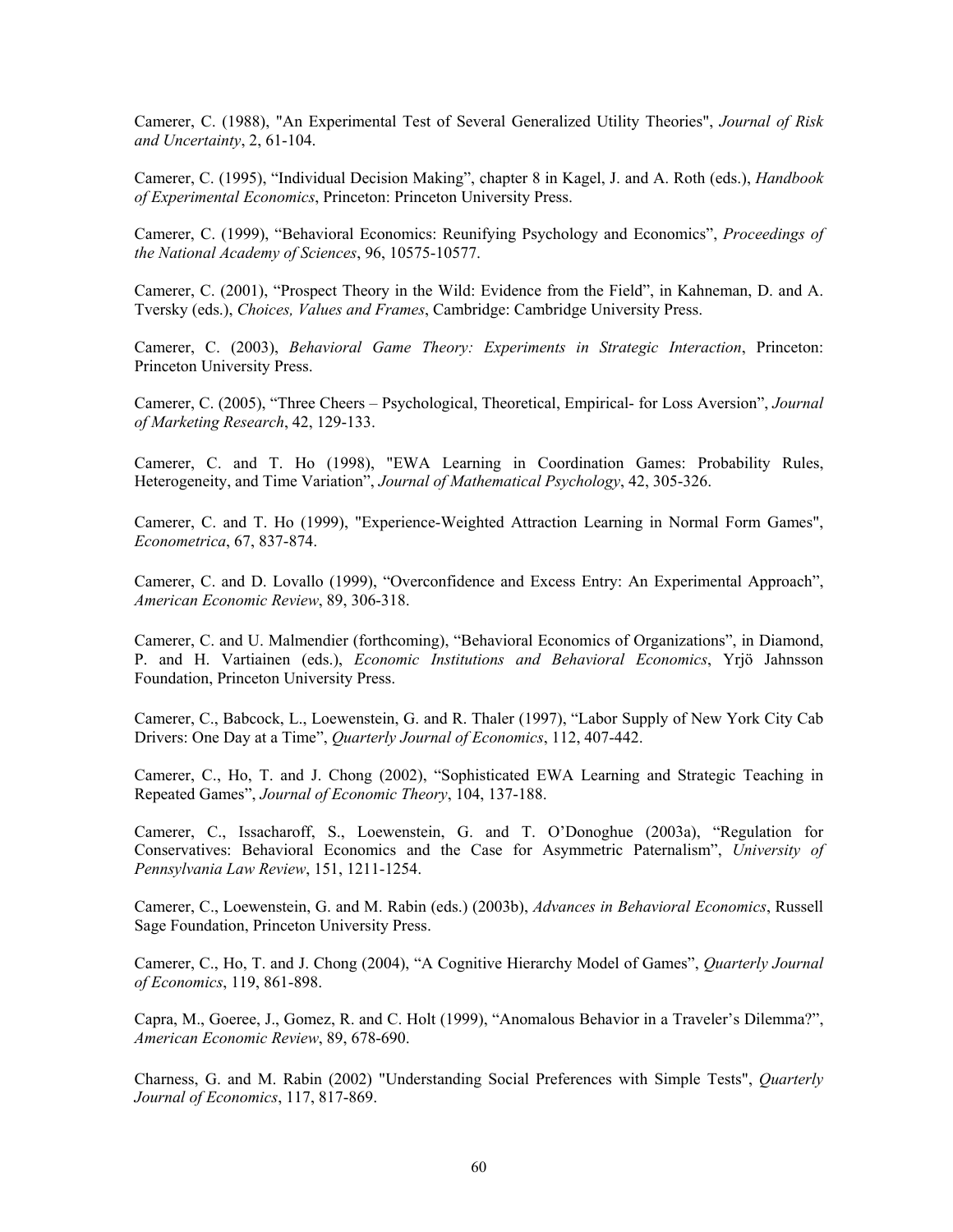Camerer, C. (1988), "An Experimental Test of Several Generalized Utility Theories", *Journal of Risk and Uncertainty*, 2, 61-104.

Camerer, C. (1995), "Individual Decision Making", chapter 8 in Kagel, J. and A. Roth (eds.), *Handbook of Experimental Economics*, Princeton: Princeton University Press.

Camerer, C. (1999), "Behavioral Economics: Reunifying Psychology and Economics", *Proceedings of the National Academy of Sciences*, 96, 10575-10577.

Camerer, C. (2001), "Prospect Theory in the Wild: Evidence from the Field", in Kahneman, D. and A. Tversky (eds.), *Choices, Values and Frames*, Cambridge: Cambridge University Press.

Camerer, C. (2003), *Behavioral Game Theory: Experiments in Strategic Interaction*, Princeton: Princeton University Press.

Camerer, C. (2005), "Three Cheers – Psychological, Theoretical, Empirical- for Loss Aversion", *Journal of Marketing Research*, 42, 129-133.

Camerer, C. and T. Ho (1998), "EWA Learning in Coordination Games: Probability Rules, Heterogeneity, and Time Variation", *Journal of Mathematical Psychology*, 42, 305-326.

Camerer, C. and T. Ho (1999), "Experience-Weighted Attraction Learning in Normal Form Games", *Econometrica*, 67, 837-874.

Camerer, C. and D. Lovallo (1999), "Overconfidence and Excess Entry: An Experimental Approach", *American Economic Review*, 89, 306-318.

Camerer, C. and U. Malmendier (forthcoming), "Behavioral Economics of Organizations", in Diamond, P. and H. Vartiainen (eds.), *Economic Institutions and Behavioral Economics*, Yrjö Jahnsson Foundation, Princeton University Press.

Camerer, C., Babcock, L., Loewenstein, G. and R. Thaler (1997), "Labor Supply of New York City Cab Drivers: One Day at a Time", *Quarterly Journal of Economics*, 112, 407-442.

Camerer, C., Ho, T. and J. Chong (2002), "Sophisticated EWA Learning and Strategic Teaching in Repeated Games", *Journal of Economic Theory*, 104, 137-188.

Camerer, C., Issacharoff, S., Loewenstein, G. and T. O'Donoghue (2003a), "Regulation for Conservatives: Behavioral Economics and the Case for Asymmetric Paternalism", *University of Pennsylvania Law Review*, 151, 1211-1254.

Camerer, C., Loewenstein, G. and M. Rabin (eds.) (2003b), *Advances in Behavioral Economics*, Russell Sage Foundation, Princeton University Press.

Camerer, C., Ho, T. and J. Chong (2004), "A Cognitive Hierarchy Model of Games", *Quarterly Journal of Economics*, 119, 861-898.

Capra, M., Goeree, J., Gomez, R. and C. Holt (1999), "Anomalous Behavior in a Traveler's Dilemma?", *American Economic Review*, 89, 678-690.

Charness, G. and M. Rabin (2002) "Understanding Social Preferences with Simple Tests", *Quarterly Journal of Economics*, 117, 817-869.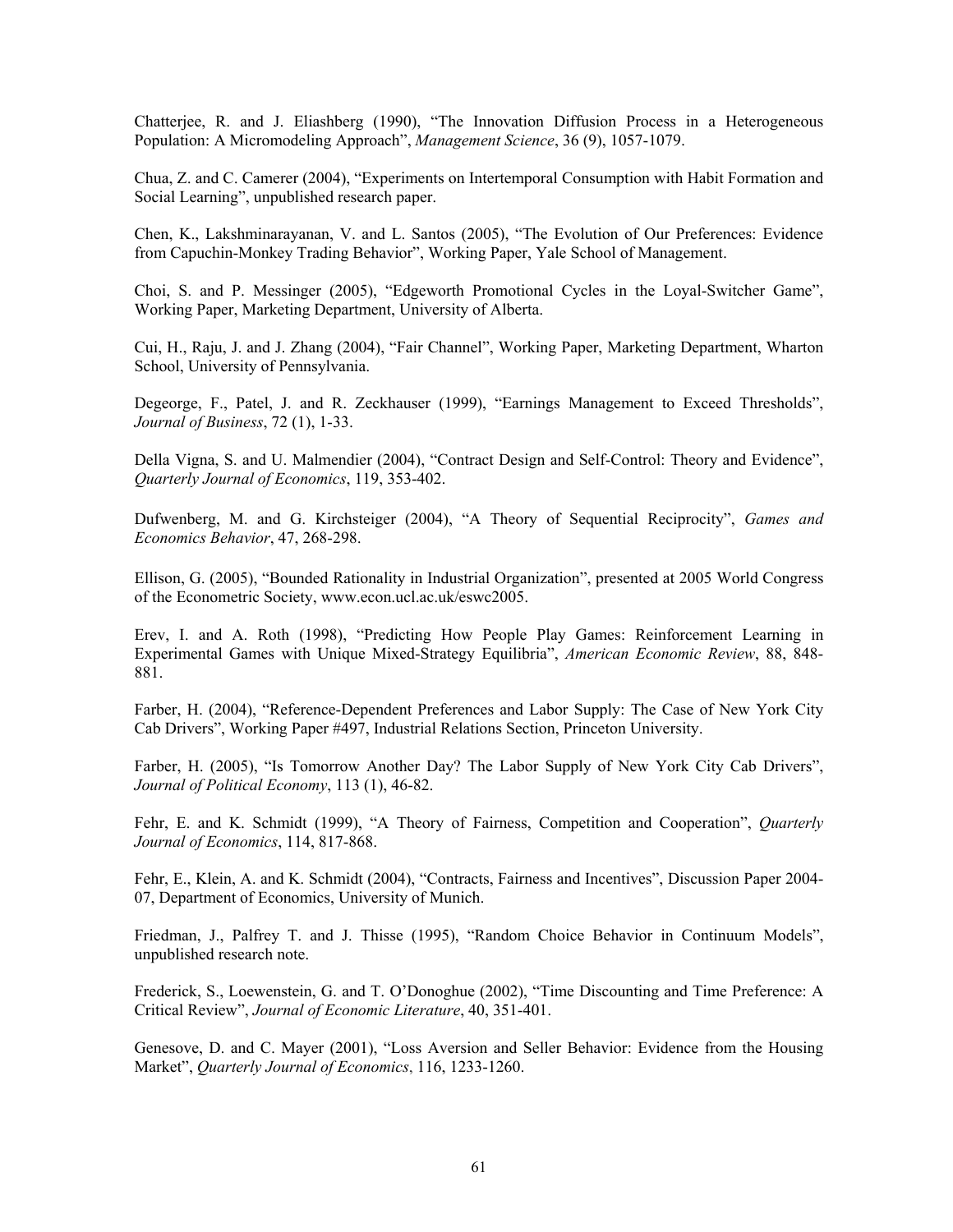Chatterjee, R. and J. Eliashberg (1990), "The Innovation Diffusion Process in a Heterogeneous Population: A Micromodeling Approach", *Management Science*, 36 (9), 1057-1079.

Chua, Z. and C. Camerer (2004), "Experiments on Intertemporal Consumption with Habit Formation and Social Learning", unpublished research paper.

Chen, K., Lakshminarayanan, V. and L. Santos (2005), "The Evolution of Our Preferences: Evidence from Capuchin-Monkey Trading Behavior", Working Paper, Yale School of Management.

Choi, S. and P. Messinger (2005), "Edgeworth Promotional Cycles in the Loyal-Switcher Game", Working Paper, Marketing Department, University of Alberta.

Cui, H., Raju, J. and J. Zhang (2004), "Fair Channel", Working Paper, Marketing Department, Wharton School, University of Pennsylvania.

Degeorge, F., Patel, J. and R. Zeckhauser (1999), "Earnings Management to Exceed Thresholds", *Journal of Business*, 72 (1), 1-33.

Della Vigna, S. and U. Malmendier (2004), "Contract Design and Self-Control: Theory and Evidence", *Quarterly Journal of Economics*, 119, 353-402.

Dufwenberg, M. and G. Kirchsteiger (2004), "A Theory of Sequential Reciprocity", *Games and Economics Behavior*, 47, 268-298.

Ellison, G. (2005), "Bounded Rationality in Industrial Organization", presented at 2005 World Congress of the Econometric Society, www.econ.ucl.ac.uk/eswc2005.

Erev, I. and A. Roth (1998), "Predicting How People Play Games: Reinforcement Learning in Experimental Games with Unique Mixed-Strategy Equilibria", *American Economic Review*, 88, 848- 881.

Farber, H. (2004), "Reference-Dependent Preferences and Labor Supply: The Case of New York City Cab Drivers", Working Paper #497, Industrial Relations Section, Princeton University.

Farber, H. (2005), "Is Tomorrow Another Day? The Labor Supply of New York City Cab Drivers", *Journal of Political Economy*, 113 (1), 46-82.

Fehr, E. and K. Schmidt (1999), "A Theory of Fairness, Competition and Cooperation", *Quarterly Journal of Economics*, 114, 817-868.

Fehr, E., Klein, A. and K. Schmidt (2004), "Contracts, Fairness and Incentives", Discussion Paper 2004- 07, Department of Economics, University of Munich.

Friedman, J., Palfrey T. and J. Thisse (1995), "Random Choice Behavior in Continuum Models", unpublished research note.

Frederick, S., Loewenstein, G. and T. O'Donoghue (2002), "Time Discounting and Time Preference: A Critical Review", *Journal of Economic Literature*, 40, 351-401.

Genesove, D. and C. Mayer (2001), "Loss Aversion and Seller Behavior: Evidence from the Housing Market", *Quarterly Journal of Economics*, 116, 1233-1260.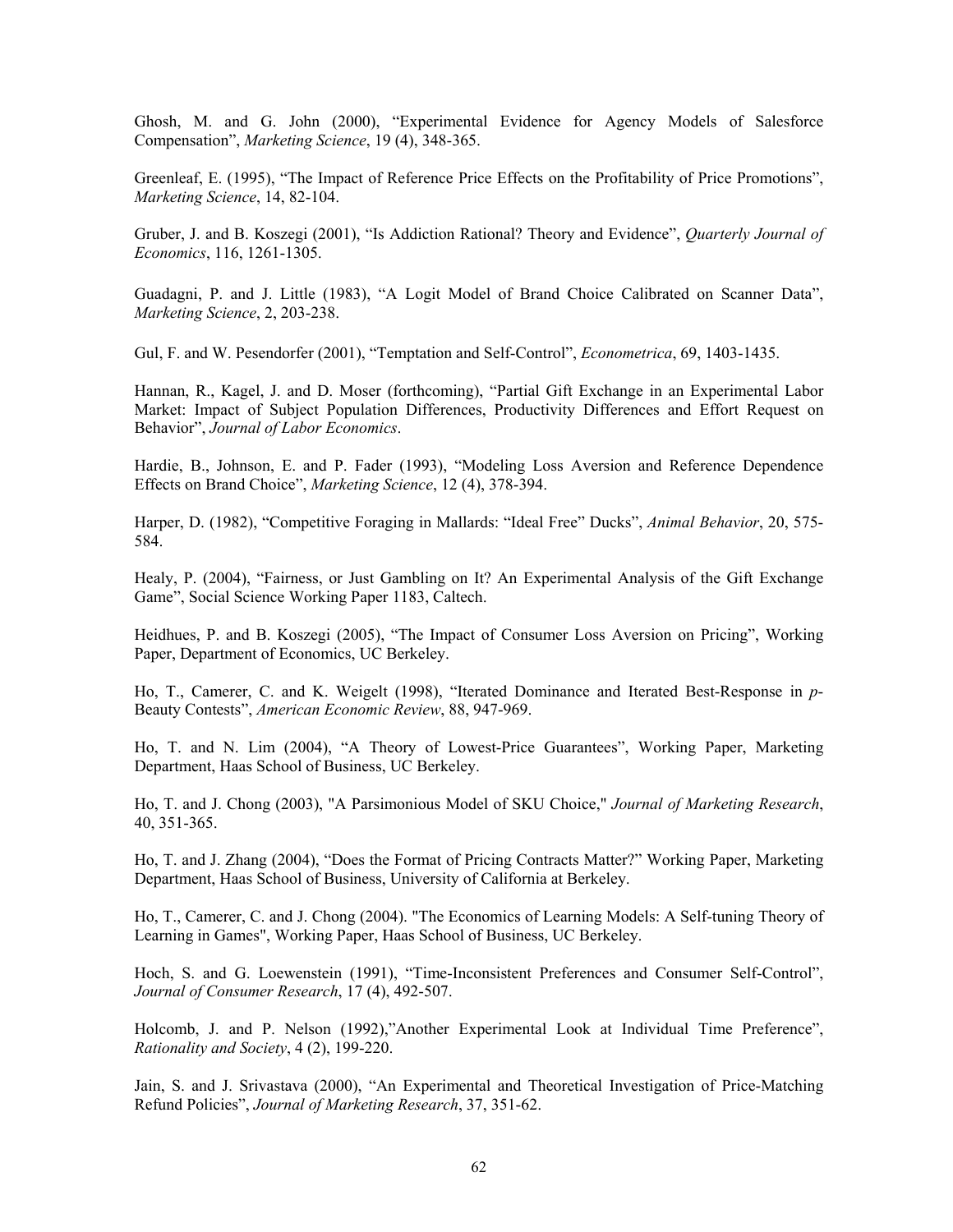Ghosh, M. and G. John (2000), "Experimental Evidence for Agency Models of Salesforce Compensation", *Marketing Science*, 19 (4), 348-365.

Greenleaf, E. (1995), "The Impact of Reference Price Effects on the Profitability of Price Promotions", *Marketing Science*, 14, 82-104.

Gruber, J. and B. Koszegi (2001), "Is Addiction Rational? Theory and Evidence", *Quarterly Journal of Economics*, 116, 1261-1305.

Guadagni, P. and J. Little (1983), "A Logit Model of Brand Choice Calibrated on Scanner Data", *Marketing Science*, 2, 203-238.

Gul, F. and W. Pesendorfer (2001), "Temptation and Self-Control", *Econometrica*, 69, 1403-1435.

Hannan, R., Kagel, J. and D. Moser (forthcoming), "Partial Gift Exchange in an Experimental Labor Market: Impact of Subject Population Differences, Productivity Differences and Effort Request on Behavior", *Journal of Labor Economics*.

Hardie, B., Johnson, E. and P. Fader (1993), "Modeling Loss Aversion and Reference Dependence Effects on Brand Choice", *Marketing Science*, 12 (4), 378-394.

Harper, D. (1982), "Competitive Foraging in Mallards: "Ideal Free" Ducks", *Animal Behavior*, 20, 575- 584.

Healy, P. (2004), "Fairness, or Just Gambling on It? An Experimental Analysis of the Gift Exchange Game", Social Science Working Paper 1183, Caltech.

Heidhues, P. and B. Koszegi (2005), "The Impact of Consumer Loss Aversion on Pricing", Working Paper, Department of Economics, UC Berkeley.

Ho, T., Camerer, C. and K. Weigelt (1998), "Iterated Dominance and Iterated Best-Response in *p*-Beauty Contests", *American Economic Review*, 88, 947-969.

Ho, T. and N. Lim (2004), "A Theory of Lowest-Price Guarantees", Working Paper, Marketing Department, Haas School of Business, UC Berkeley.

Ho, T. and J. Chong (2003), "A Parsimonious Model of SKU Choice," *Journal of Marketing Research*, 40, 351-365.

Ho, T. and J. Zhang (2004), "Does the Format of Pricing Contracts Matter?" Working Paper, Marketing Department, Haas School of Business, University of California at Berkeley.

Ho, T., Camerer, C. and J. Chong (2004). "The Economics of Learning Models: A Self-tuning Theory of Learning in Games", Working Paper, Haas School of Business, UC Berkeley.

Hoch, S. and G. Loewenstein (1991), "Time-Inconsistent Preferences and Consumer Self-Control", *Journal of Consumer Research*, 17 (4), 492-507.

Holcomb, J. and P. Nelson (1992),"Another Experimental Look at Individual Time Preference", *Rationality and Society*, 4 (2), 199-220.

Jain, S. and J. Srivastava (2000), "An Experimental and Theoretical Investigation of Price-Matching Refund Policies", *Journal of Marketing Research*, 37, 351-62.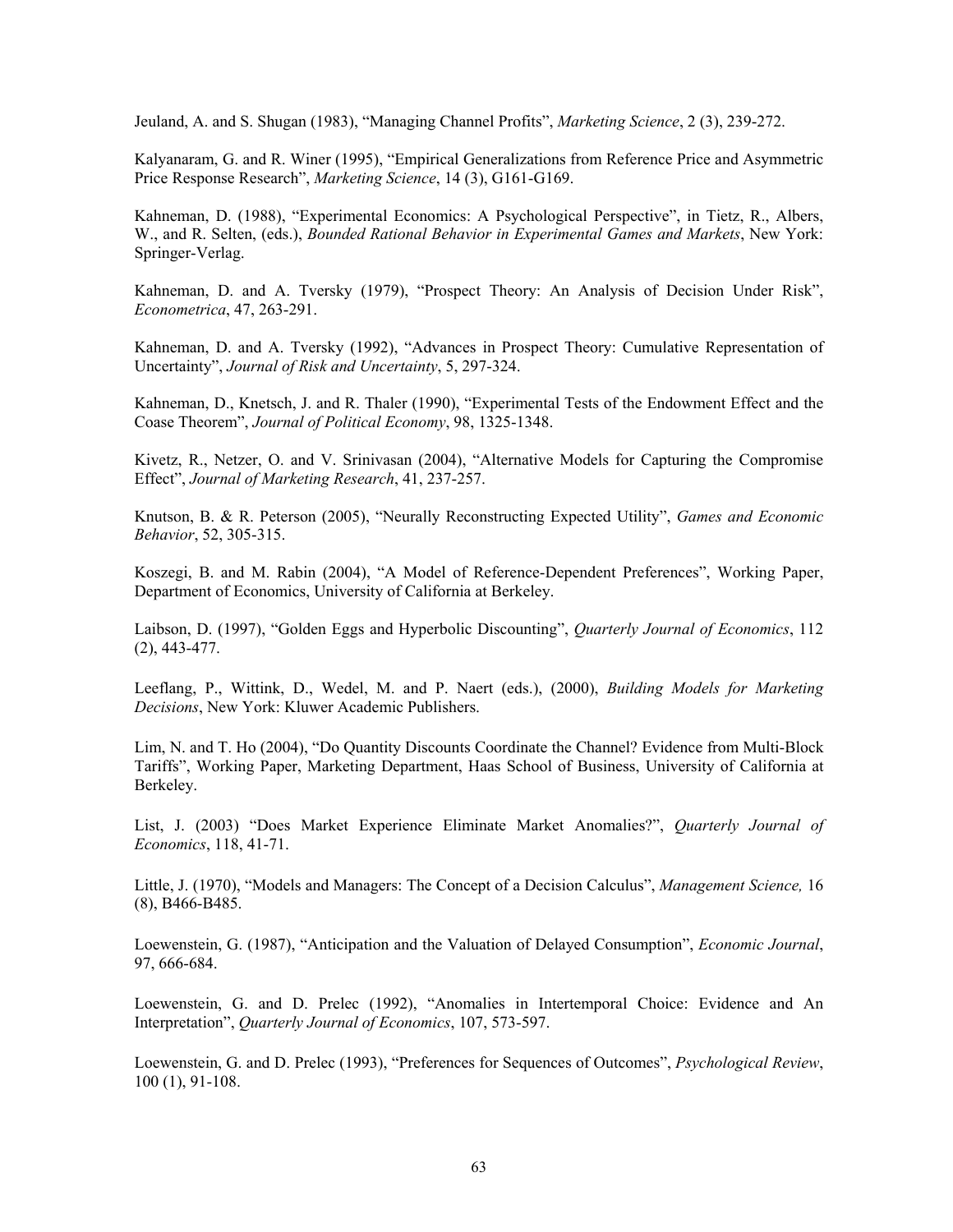Jeuland, A. and S. Shugan (1983), "Managing Channel Profits", *Marketing Science*, 2 (3), 239-272.

Kalyanaram, G. and R. Winer (1995), "Empirical Generalizations from Reference Price and Asymmetric Price Response Research", *Marketing Science*, 14 (3), G161-G169.

Kahneman, D. (1988), "Experimental Economics: A Psychological Perspective", in Tietz, R., Albers, W., and R. Selten, (eds.), *Bounded Rational Behavior in Experimental Games and Markets*, New York: Springer-Verlag.

Kahneman, D. and A. Tversky (1979), "Prospect Theory: An Analysis of Decision Under Risk", *Econometrica*, 47, 263-291.

Kahneman, D. and A. Tversky (1992), "Advances in Prospect Theory: Cumulative Representation of Uncertainty", *Journal of Risk and Uncertainty*, 5, 297-324.

Kahneman, D., Knetsch, J. and R. Thaler (1990), "Experimental Tests of the Endowment Effect and the Coase Theorem", *Journal of Political Economy*, 98, 1325-1348.

Kivetz, R., Netzer, O. and V. Srinivasan (2004), "Alternative Models for Capturing the Compromise Effect", *Journal of Marketing Research*, 41, 237-257.

Knutson, B. & R. Peterson (2005), "Neurally Reconstructing Expected Utility", *Games and Economic Behavior*, 52, 305-315.

Koszegi, B. and M. Rabin (2004), "A Model of Reference-Dependent Preferences", Working Paper, Department of Economics, University of California at Berkeley.

Laibson, D. (1997), "Golden Eggs and Hyperbolic Discounting", *Quarterly Journal of Economics*, 112 (2), 443-477.

Leeflang, P., Wittink, D., Wedel, M. and P. Naert (eds.), (2000), *Building Models for Marketing Decisions*, New York: Kluwer Academic Publishers.

Lim, N. and T. Ho (2004), "Do Quantity Discounts Coordinate the Channel? Evidence from Multi-Block Tariffs", Working Paper, Marketing Department, Haas School of Business, University of California at Berkeley.

List, J. (2003) "Does Market Experience Eliminate Market Anomalies?", *Quarterly Journal of Economics*, 118, 41-71.

Little, J. (1970), "Models and Managers: The Concept of a Decision Calculus", *Management Science,* 16 (8), B466-B485.

Loewenstein, G. (1987), "Anticipation and the Valuation of Delayed Consumption", *Economic Journal*, 97, 666-684.

Loewenstein, G. and D. Prelec (1992), "Anomalies in Intertemporal Choice: Evidence and An Interpretation", *Quarterly Journal of Economics*, 107, 573-597.

Loewenstein, G. and D. Prelec (1993), "Preferences for Sequences of Outcomes", *Psychological Review*, 100 (1), 91-108.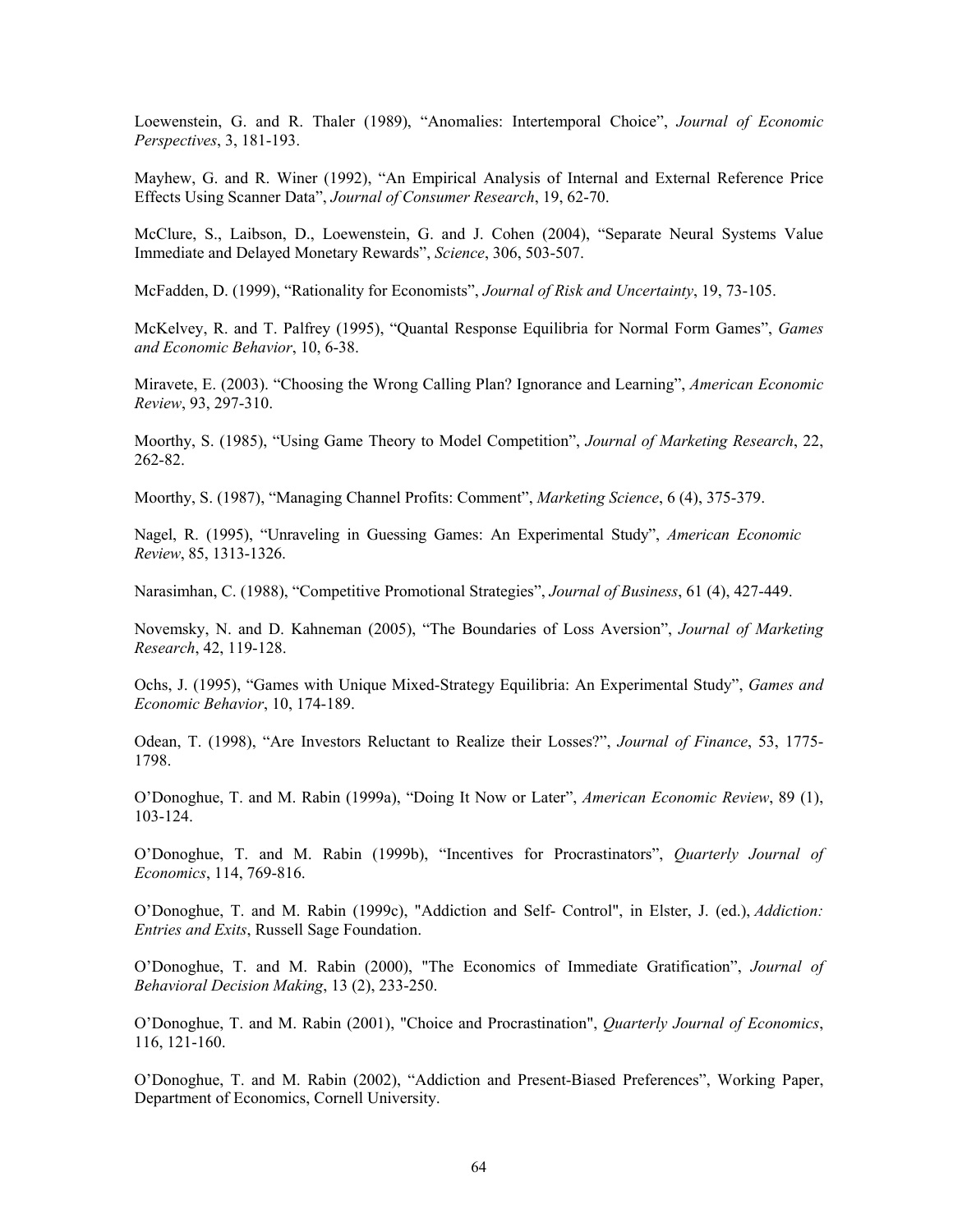Loewenstein, G. and R. Thaler (1989), "Anomalies: Intertemporal Choice", *Journal of Economic Perspectives*, 3, 181-193.

Mayhew, G. and R. Winer (1992), "An Empirical Analysis of Internal and External Reference Price Effects Using Scanner Data", *Journal of Consumer Research*, 19, 62-70.

McClure, S., Laibson, D., Loewenstein, G. and J. Cohen (2004), "Separate Neural Systems Value Immediate and Delayed Monetary Rewards", *Science*, 306, 503-507.

McFadden, D. (1999), "Rationality for Economists", *Journal of Risk and Uncertainty*, 19, 73-105.

McKelvey, R. and T. Palfrey (1995), "Quantal Response Equilibria for Normal Form Games", *Games and Economic Behavior*, 10, 6-38.

Miravete, E. (2003). "Choosing the Wrong Calling Plan? Ignorance and Learning", *American Economic Review*, 93, 297-310.

Moorthy, S. (1985), "Using Game Theory to Model Competition", *Journal of Marketing Research*, 22, 262-82.

Moorthy, S. (1987), "Managing Channel Profits: Comment", *Marketing Science*, 6 (4), 375-379.

Nagel, R. (1995), "Unraveling in Guessing Games: An Experimental Study", *American Economic Review*, 85, 1313-1326.

Narasimhan, C. (1988), "Competitive Promotional Strategies", *Journal of Business*, 61 (4), 427-449.

Novemsky, N. and D. Kahneman (2005), "The Boundaries of Loss Aversion", *Journal of Marketing Research*, 42, 119-128.

Ochs, J. (1995), "Games with Unique Mixed-Strategy Equilibria: An Experimental Study", *Games and Economic Behavior*, 10, 174-189.

Odean, T. (1998), "Are Investors Reluctant to Realize their Losses?", *Journal of Finance*, 53, 1775- 1798.

O'Donoghue, T. and M. Rabin (1999a), "Doing It Now or Later", *American Economic Review*, 89 (1), 103-124.

O'Donoghue, T. and M. Rabin (1999b), "Incentives for Procrastinators", *Quarterly Journal of Economics*, 114, 769-816.

O'Donoghue, T. and M. Rabin (1999c), "Addiction and Self- Control", in Elster, J. (ed.), *Addiction: Entries and Exits*, Russell Sage Foundation.

O'Donoghue, T. and M. Rabin (2000), "The Economics of Immediate Gratification", *Journal of Behavioral Decision Making*, 13 (2), 233-250.

O'Donoghue, T. and M. Rabin (2001), "Choice and Procrastination", *Quarterly Journal of Economics*, 116, 121-160.

O'Donoghue, T. and M. Rabin (2002), "Addiction and Present-Biased Preferences", Working Paper, Department of Economics, Cornell University.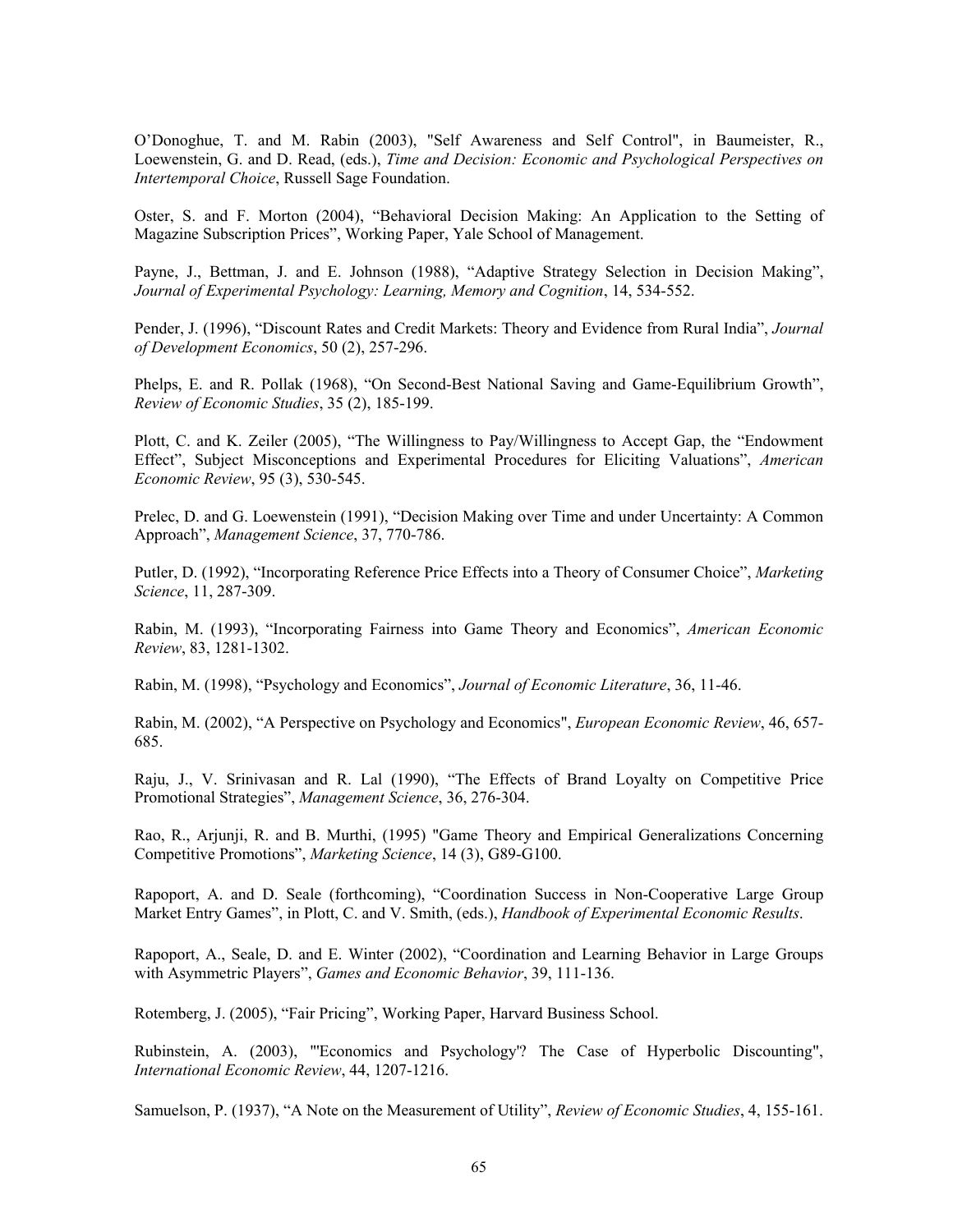O'Donoghue, T. and M. Rabin (2003), "Self Awareness and Self Control", in Baumeister, R., Loewenstein, G. and D. Read, (eds.), *Time and Decision: Economic and Psychological Perspectives on Intertemporal Choice*, Russell Sage Foundation.

Oster, S. and F. Morton (2004), "Behavioral Decision Making: An Application to the Setting of Magazine Subscription Prices", Working Paper, Yale School of Management.

Payne, J., Bettman, J. and E. Johnson (1988), "Adaptive Strategy Selection in Decision Making", *Journal of Experimental Psychology: Learning, Memory and Cognition*, 14, 534-552.

Pender, J. (1996), "Discount Rates and Credit Markets: Theory and Evidence from Rural India", *Journal of Development Economics*, 50 (2), 257-296.

Phelps, E. and R. Pollak (1968), "On Second-Best National Saving and Game-Equilibrium Growth", *Review of Economic Studies*, 35 (2), 185-199.

Plott, C. and K. Zeiler (2005), "The Willingness to Pay/Willingness to Accept Gap, the "Endowment Effect", Subject Misconceptions and Experimental Procedures for Eliciting Valuations", *American Economic Review*, 95 (3), 530-545.

Prelec, D. and G. Loewenstein (1991), "Decision Making over Time and under Uncertainty: A Common Approach", *Management Science*, 37, 770-786.

Putler, D. (1992), "Incorporating Reference Price Effects into a Theory of Consumer Choice", *Marketing Science*, 11, 287-309.

Rabin, M. (1993), "Incorporating Fairness into Game Theory and Economics", *American Economic Review*, 83, 1281-1302.

Rabin, M. (1998), "Psychology and Economics", *Journal of Economic Literature*, 36, 11-46.

Rabin, M. (2002), "A Perspective on Psychology and Economics", *European Economic Review*, 46, 657- 685.

Raju, J., V. Srinivasan and R. Lal (1990), "The Effects of Brand Loyalty on Competitive Price Promotional Strategies", *Management Science*, 36, 276-304.

Rao, R., Arjunji, R. and B. Murthi, (1995) "Game Theory and Empirical Generalizations Concerning Competitive Promotions", *Marketing Science*, 14 (3), G89-G100.

Rapoport, A. and D. Seale (forthcoming), "Coordination Success in Non-Cooperative Large Group Market Entry Games", in Plott, C. and V. Smith, (eds.), *Handbook of Experimental Economic Results*.

Rapoport, A., Seale, D. and E. Winter (2002), "Coordination and Learning Behavior in Large Groups with Asymmetric Players", *Games and Economic Behavior*, 39, 111-136.

Rotemberg, J. (2005), "Fair Pricing", Working Paper, Harvard Business School.

Rubinstein, A. (2003), "'Economics and Psychology'? The Case of Hyperbolic Discounting", *International Economic Review*, 44, 1207-1216.

Samuelson, P. (1937), "A Note on the Measurement of Utility", *Review of Economic Studies*, 4, 155-161.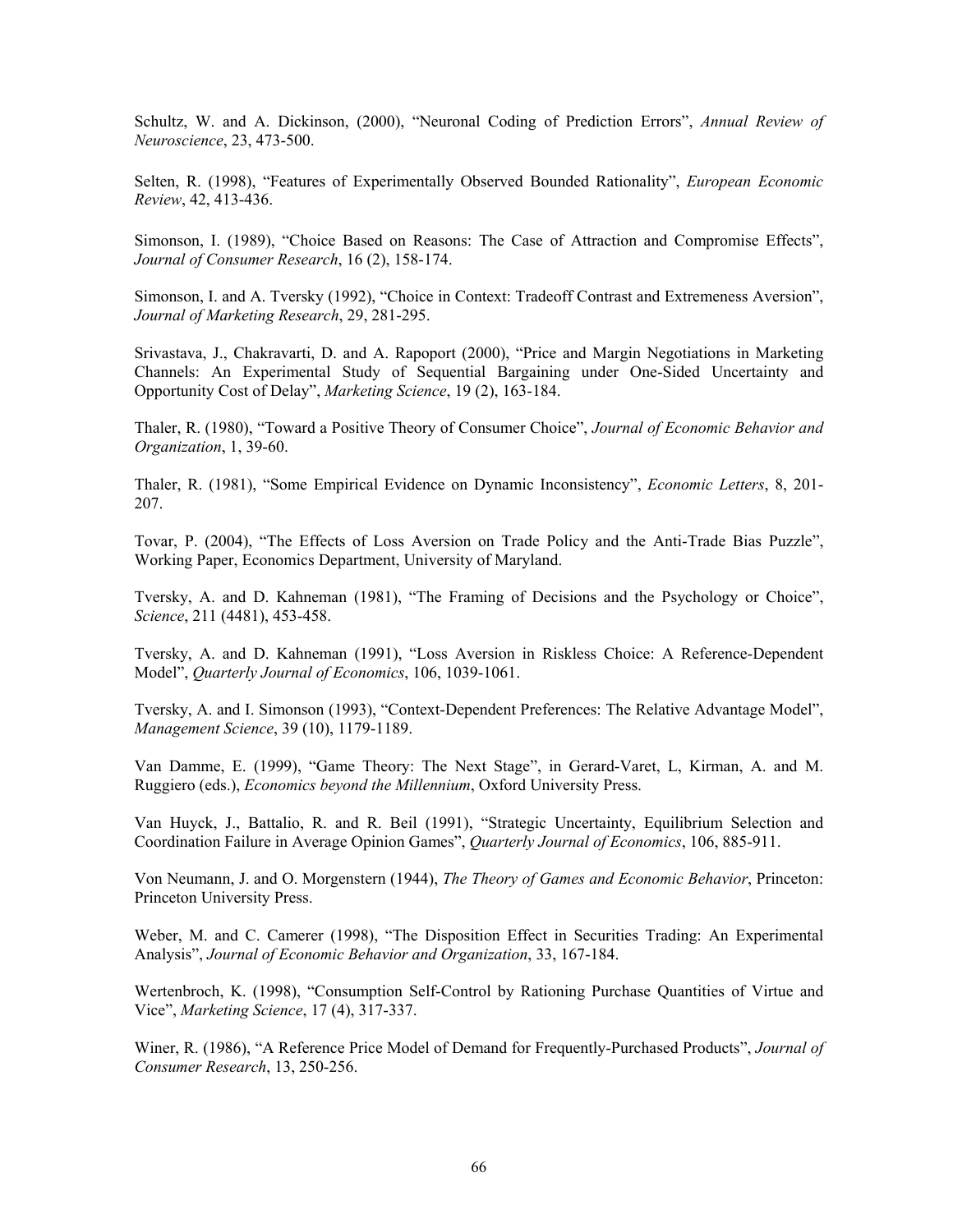Schultz, W. and A. Dickinson, (2000), "Neuronal Coding of Prediction Errors", *Annual Review of Neuroscience*, 23, 473-500.

Selten, R. (1998), "Features of Experimentally Observed Bounded Rationality", *European Economic Review*, 42, 413-436.

Simonson, I. (1989), "Choice Based on Reasons: The Case of Attraction and Compromise Effects", *Journal of Consumer Research*, 16 (2), 158-174.

Simonson, I. and A. Tversky (1992), "Choice in Context: Tradeoff Contrast and Extremeness Aversion", *Journal of Marketing Research*, 29, 281-295.

Srivastava, J., Chakravarti, D. and A. Rapoport (2000), "Price and Margin Negotiations in Marketing Channels: An Experimental Study of Sequential Bargaining under One-Sided Uncertainty and Opportunity Cost of Delay", *Marketing Science*, 19 (2), 163-184.

Thaler, R. (1980), "Toward a Positive Theory of Consumer Choice", *Journal of Economic Behavior and Organization*, 1, 39-60.

Thaler, R. (1981), "Some Empirical Evidence on Dynamic Inconsistency", *Economic Letters*, 8, 201- 207.

Tovar, P. (2004), "The Effects of Loss Aversion on Trade Policy and the Anti-Trade Bias Puzzle", Working Paper, Economics Department, University of Maryland.

Tversky, A. and D. Kahneman (1981), "The Framing of Decisions and the Psychology or Choice", *Science*, 211 (4481), 453-458.

Tversky, A. and D. Kahneman (1991), "Loss Aversion in Riskless Choice: A Reference-Dependent Model", *Quarterly Journal of Economics*, 106, 1039-1061.

Tversky, A. and I. Simonson (1993), "Context-Dependent Preferences: The Relative Advantage Model", *Management Science*, 39 (10), 1179-1189.

Van Damme, E. (1999), "Game Theory: The Next Stage", in Gerard-Varet, L, Kirman, A. and M. Ruggiero (eds.), *Economics beyond the Millennium*, Oxford University Press.

Van Huyck, J., Battalio, R. and R. Beil (1991), "Strategic Uncertainty, Equilibrium Selection and Coordination Failure in Average Opinion Games", *Quarterly Journal of Economics*, 106, 885-911.

Von Neumann, J. and O. Morgenstern (1944), *The Theory of Games and Economic Behavior*, Princeton: Princeton University Press.

Weber, M. and C. Camerer (1998), "The Disposition Effect in Securities Trading: An Experimental Analysis", *Journal of Economic Behavior and Organization*, 33, 167-184.

Wertenbroch, K. (1998), "Consumption Self-Control by Rationing Purchase Quantities of Virtue and Vice", *Marketing Science*, 17 (4), 317-337.

Winer, R. (1986), "A Reference Price Model of Demand for Frequently-Purchased Products", *Journal of Consumer Research*, 13, 250-256.